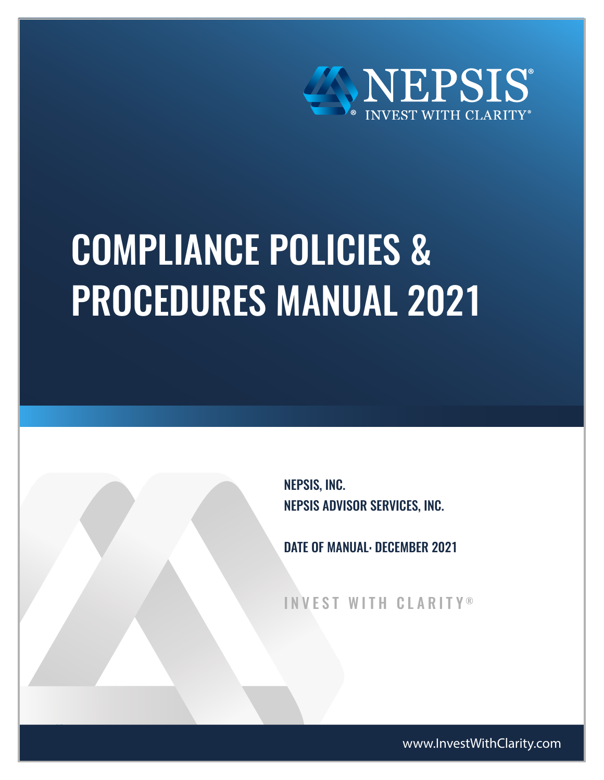

# COMPLIANCE POLICIES & PROCEDURES MANUAL 2021

NEPSIS, INC. NEPSIS ADVISOR SERVICES, INC.

DATE OF MANUAL: DECEMBER 2021

INVEST WITH CLARITY®

**1** www.InvestWithClarity.com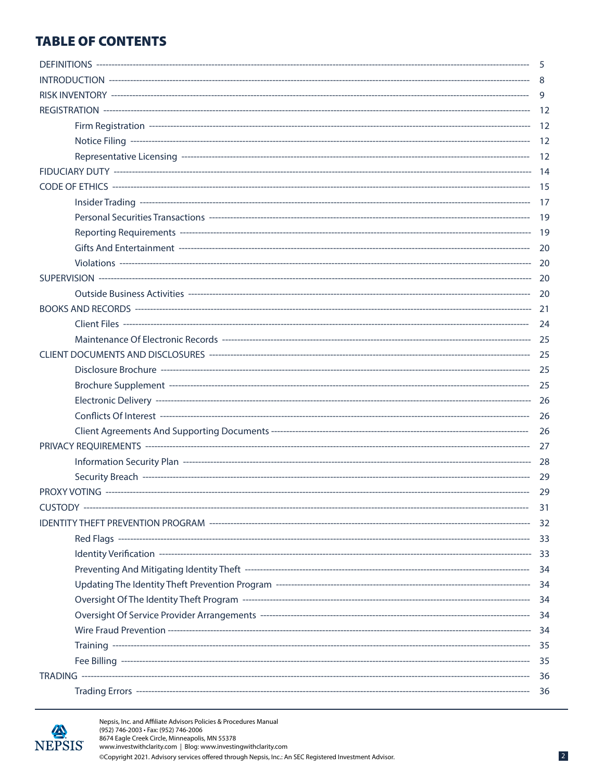# **TABLE OF CONTENTS**

| - 5  |
|------|
|      |
|      |
|      |
|      |
|      |
|      |
|      |
|      |
|      |
|      |
|      |
|      |
|      |
|      |
|      |
|      |
|      |
|      |
|      |
|      |
|      |
|      |
|      |
|      |
|      |
|      |
|      |
|      |
| - 31 |
| - 32 |
| - 33 |
|      |
| - 34 |
|      |
| - 34 |
| - 34 |
| - 34 |
| - 35 |
| - 35 |
| - 36 |
| - 36 |

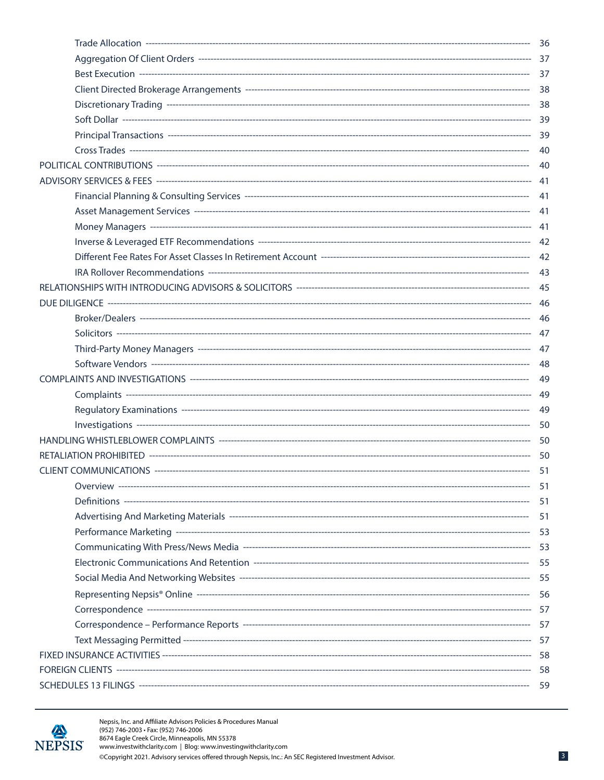| - 51 |
|------|
| - 51 |
| - 51 |
|      |
|      |
|      |
|      |
|      |
|      |
|      |
|      |
|      |
|      |
|      |
|      |

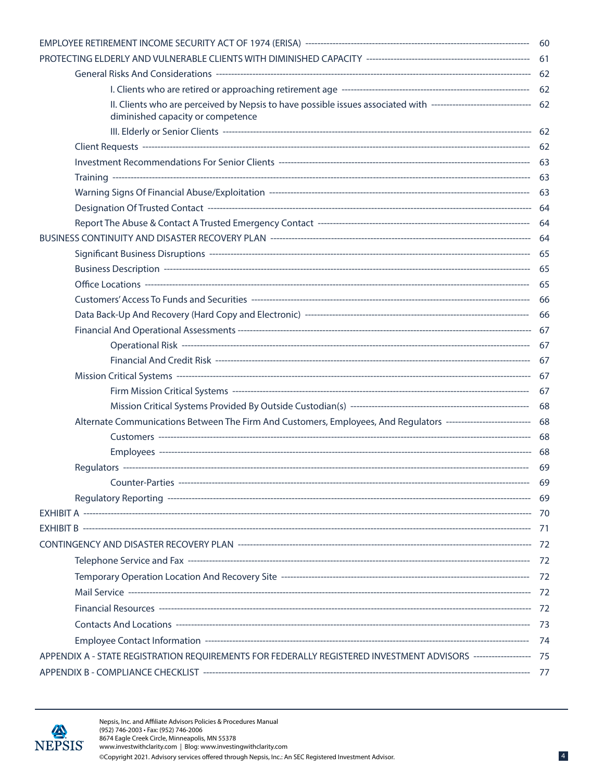| II. Clients who are perceived by Nepsis to have possible issues associated with ------------------------------ 62<br>diminished capacity or competence |      |
|--------------------------------------------------------------------------------------------------------------------------------------------------------|------|
|                                                                                                                                                        |      |
|                                                                                                                                                        |      |
|                                                                                                                                                        |      |
|                                                                                                                                                        |      |
|                                                                                                                                                        |      |
|                                                                                                                                                        |      |
|                                                                                                                                                        |      |
|                                                                                                                                                        |      |
|                                                                                                                                                        |      |
|                                                                                                                                                        |      |
|                                                                                                                                                        |      |
|                                                                                                                                                        |      |
|                                                                                                                                                        |      |
|                                                                                                                                                        |      |
|                                                                                                                                                        |      |
|                                                                                                                                                        |      |
|                                                                                                                                                        |      |
|                                                                                                                                                        |      |
|                                                                                                                                                        |      |
| Alternate Communications Between The Firm And Customers, Employees, And Regulators --------------------------- 68                                      |      |
|                                                                                                                                                        |      |
|                                                                                                                                                        |      |
|                                                                                                                                                        |      |
|                                                                                                                                                        |      |
|                                                                                                                                                        |      |
|                                                                                                                                                        |      |
|                                                                                                                                                        |      |
|                                                                                                                                                        |      |
|                                                                                                                                                        |      |
|                                                                                                                                                        |      |
|                                                                                                                                                        |      |
|                                                                                                                                                        |      |
|                                                                                                                                                        | - 73 |
|                                                                                                                                                        |      |
| APPENDIX A - STATE REGISTRATION REQUIREMENTS FOR FEDERALLY REGISTERED INVESTMENT ADVISORS ------------------- 75                                       |      |
|                                                                                                                                                        |      |

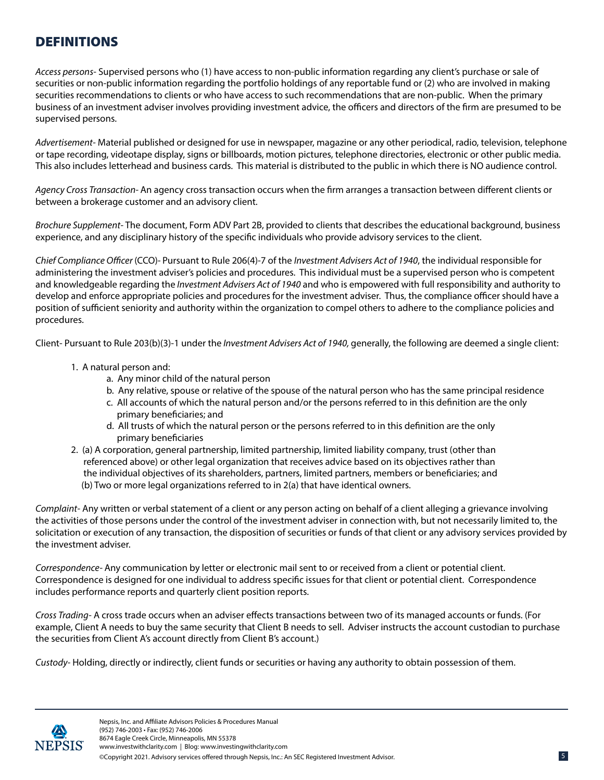## DEFINITIONS

*Access persons*- Supervised persons who (1) have access to non-public information regarding any client's purchase or sale of securities or non-public information regarding the portfolio holdings of any reportable fund or (2) who are involved in making securities recommendations to clients or who have access to such recommendations that are non-public. When the primary business of an investment adviser involves providing investment advice, the officers and directors of the firm are presumed to be supervised persons.

*Advertisement-* Material published or designed for use in newspaper, magazine or any other periodical, radio, television, telephone or tape recording, videotape display, signs or billboards, motion pictures, telephone directories, electronic or other public media. This also includes letterhead and business cards. This material is distributed to the public in which there is NO audience control.

*Agency Cross Transaction-* An agency cross transaction occurs when the firm arranges a transaction between different clients or between a brokerage customer and an advisory client.

*Brochure Supplement-* The document, Form ADV Part 2B, provided to clients that describes the educational background, business experience, and any disciplinary history of the specific individuals who provide advisory services to the client.

*Chief Compliance Officer* (CCO)- Pursuant to Rule 206(4)-7 of the *Investment Advisers Act of 1940*, the individual responsible for administering the investment adviser's policies and procedures. This individual must be a supervised person who is competent and knowledgeable regarding the *Investment Advisers Act of 1940* and who is empowered with full responsibility and authority to develop and enforce appropriate policies and procedures for the investment adviser. Thus, the compliance officer should have a position of sufficient seniority and authority within the organization to compel others to adhere to the compliance policies and procedures.

Client- Pursuant to Rule 203(b)(3)-1 under the *Investment Advisers Act of 1940,* generally, the following are deemed a single client:

- 1. A natural person and:
	- a. Any minor child of the natural person
	- b. Any relative, spouse or relative of the spouse of the natural person who has the same principal residence
	- c. All accounts of which the natural person and/or the persons referred to in this definition are the only primary beneficiaries; and
	- d. All trusts of which the natural person or the persons referred to in this definition are the only primary beneficiaries
- 2. (a) A corporation, general partnership, limited partnership, limited liability company, trust (other than referenced above) or other legal organization that receives advice based on its objectives rather than the individual objectives of its shareholders, partners, limited partners, members or beneficiaries; and (b) Two or more legal organizations referred to in 2(a) that have identical owners.

*Complaint-* Any written or verbal statement of a client or any person acting on behalf of a client alleging a grievance involving the activities of those persons under the control of the investment adviser in connection with, but not necessarily limited to, the solicitation or execution of any transaction, the disposition of securities or funds of that client or any advisory services provided by the investment adviser.

*Correspondence-* Any communication by letter or electronic mail sent to or received from a client or potential client. Correspondence is designed for one individual to address specific issues for that client or potential client. Correspondence includes performance reports and quarterly client position reports.

*Cross Trading-* A cross trade occurs when an adviser effects transactions between two of its managed accounts or funds. (For example, Client A needs to buy the same security that Client B needs to sell. Adviser instructs the account custodian to purchase the securities from Client A's account directly from Client B's account.)

*Custody-* Holding, directly or indirectly, client funds or securities or having any authority to obtain possession of them.

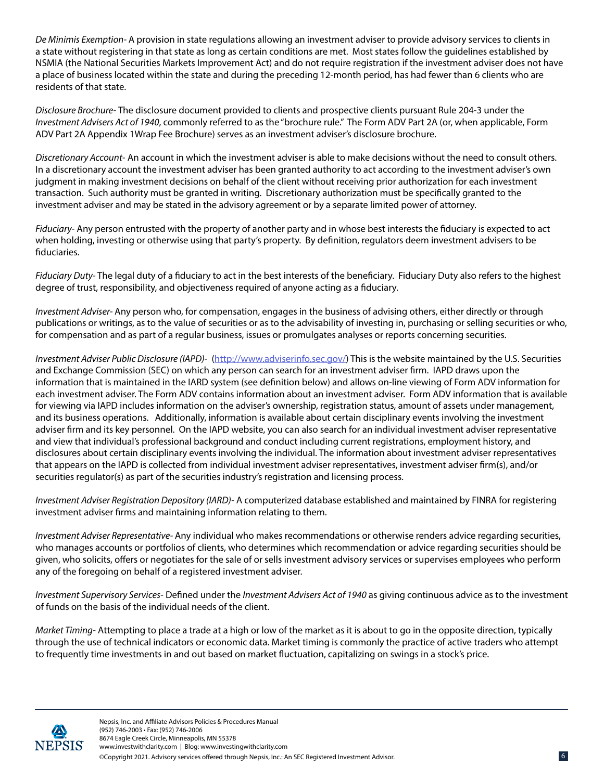*De Minimis Exemption-* A provision in state regulations allowing an investment adviser to provide advisory services to clients in a state without registering in that state as long as certain conditions are met. Most states follow the guidelines established by NSMIA (the National Securities Markets Improvement Act) and do not require registration if the investment adviser does not have a place of business located within the state and during the preceding 12-month period, has had fewer than 6 clients who are residents of that state.

*Disclosure Brochure-* The disclosure document provided to clients and prospective clients pursuant Rule 204-3 under the *Investment Advisers Act of 1940*, commonly referred to as the "brochure rule." The Form ADV Part 2A (or, when applicable, Form ADV Part 2A Appendix 1Wrap Fee Brochure) serves as an investment adviser's disclosure brochure.

*Discretionary Account-* An account in which the investment adviser is able to make decisions without the need to consult others. In a discretionary account the investment adviser has been granted authority to act according to the investment adviser's own judgment in making investment decisions on behalf of the client without receiving prior authorization for each investment transaction. Such authority must be granted in writing. Discretionary authorization must be specifically granted to the investment adviser and may be stated in the advisory agreement or by a separate limited power of attorney.

*Fiduciary-* Any person entrusted with the property of another party and in whose best interests the fiduciary is expected to act when holding, investing or otherwise using that party's property. By definition, regulators deem investment advisers to be fiduciaries.

*Fiduciary Duty-* The legal duty of a fiduciary to act in the best interests of the beneficiary. Fiduciary Duty also refers to the highest degree of trust, responsibility, and objectiveness required of anyone acting as a fiduciary.

*Investment Adviser-* Any person who, for compensation, engages in the business of advising others, either directly or through publications or writings, as to the value of securities or as to the advisability of investing in, purchasing or selling securities or who, for compensation and as part of a regular business, issues or promulgates analyses or reports concerning securities.

*Investment Adviser Public Disclosure (IAPD)-* ([http://www.adviserinfo.sec.gov/\)](http://www.adviserinfo.sec.gov/) This is the website maintained by the U.S. Securities and Exchange Commission (SEC) on which any person can search for an investment adviser firm. IAPD draws upon the information that is maintained in the IARD system (see definition below) and allows on-line viewing of Form ADV information for each investment adviser. The Form ADV contains information about an investment adviser. Form ADV information that is available for viewing via IAPD includes information on the adviser's ownership, registration status, amount of assets under management, and its business operations. Additionally, information is available about certain disciplinary events involving the investment adviser firm and its key personnel. On the IAPD website, you can also search for an individual investment adviser representative and view that individual's professional background and conduct including current registrations, employment history, and disclosures about certain disciplinary events involving the individual. The information about investment adviser representatives that appears on the IAPD is collected from individual investment adviser representatives, investment adviser firm(s), and/or securities regulator(s) as part of the securities industry's registration and licensing process.

*Investment Adviser Registration Depository (IARD)-* A computerized database established and maintained by FINRA for registering investment adviser firms and maintaining information relating to them.

*Investment Adviser Representative-* Any individual who makes recommendations or otherwise renders advice regarding securities, who manages accounts or portfolios of clients, who determines which recommendation or advice regarding securities should be given, who solicits, offers or negotiates for the sale of or sells investment advisory services or supervises employees who perform any of the foregoing on behalf of a registered investment adviser.

*Investment Supervisory Services-* Defined under the *Investment Advisers Act of 1940* as giving continuous advice as to the investment of funds on the basis of the individual needs of the client.

*Market Timing-* Attempting to place a trade at a high or low of the market as it is about to go in the opposite direction, typically through the use of technical indicators or economic data. Market timing is commonly the practice of active traders who attempt to frequently time investments in and out based on market fluctuation, capitalizing on swings in a stock's price.

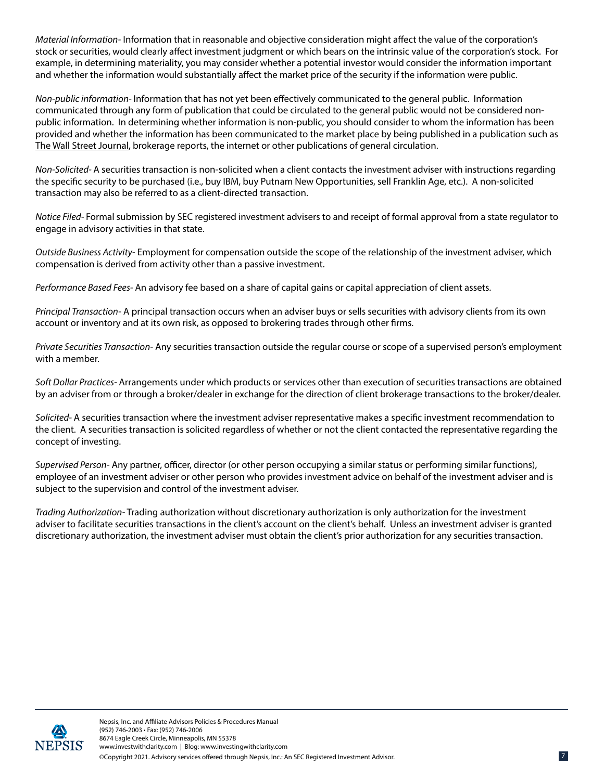*Material Information-* Information that in reasonable and objective consideration might affect the value of the corporation's stock or securities, would clearly affect investment judgment or which bears on the intrinsic value of the corporation's stock. For example, in determining materiality, you may consider whether a potential investor would consider the information important and whether the information would substantially affect the market price of the security if the information were public.

*Non-public information-* Information that has not yet been effectively communicated to the general public. Information communicated through any form of publication that could be circulated to the general public would not be considered nonpublic information. In determining whether information is non-public, you should consider to whom the information has been provided and whether the information has been communicated to the market place by being published in a publication such as The Wall Street Journal, brokerage reports, the internet or other publications of general circulation.

*Non-Solicited-* A securities transaction is non-solicited when a client contacts the investment adviser with instructions regarding the specific security to be purchased (i.e., buy IBM, buy Putnam New Opportunities, sell Franklin Age, etc.). A non-solicited transaction may also be referred to as a client-directed transaction.

*Notice Filed-* Formal submission by SEC registered investment advisers to and receipt of formal approval from a state regulator to engage in advisory activities in that state.

*Outside Business Activity-* Employment for compensation outside the scope of the relationship of the investment adviser, which compensation is derived from activity other than a passive investment.

*Performance Based Fees-* An advisory fee based on a share of capital gains or capital appreciation of client assets.

*Principal Transaction-* A principal transaction occurs when an adviser buys or sells securities with advisory clients from its own account or inventory and at its own risk, as opposed to brokering trades through other firms.

*Private Securities Transaction-* Any securities transaction outside the regular course or scope of a supervised person's employment with a member.

*Soft Dollar Practices-* Arrangements under which products or services other than execution of securities transactions are obtained by an adviser from or through a broker/dealer in exchange for the direction of client brokerage transactions to the broker/dealer.

*Solicited-* A securities transaction where the investment adviser representative makes a specific investment recommendation to the client. A securities transaction is solicited regardless of whether or not the client contacted the representative regarding the concept of investing.

*Supervised Person-* Any partner, officer, director (or other person occupying a similar status or performing similar functions), employee of an investment adviser or other person who provides investment advice on behalf of the investment adviser and is subject to the supervision and control of the investment adviser.

*Trading Authorization-* Trading authorization without discretionary authorization is only authorization for the investment adviser to facilitate securities transactions in the client's account on the client's behalf. Unless an investment adviser is granted discretionary authorization, the investment adviser must obtain the client's prior authorization for any securities transaction.

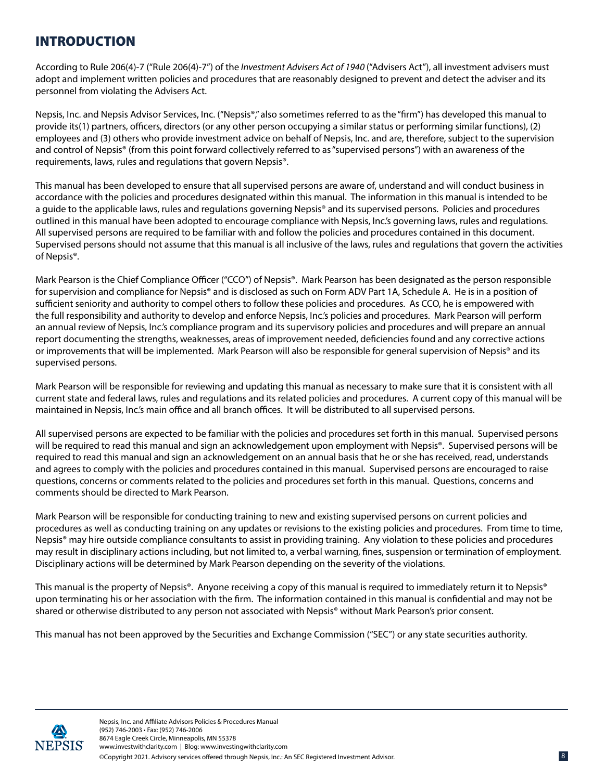#### INTRODUCTION

According to Rule 206(4)-7 ("Rule 206(4)-7") of the *Investment Advisers Act of 1940* ("Advisers Act"), all investment advisers must adopt and implement written policies and procedures that are reasonably designed to prevent and detect the adviser and its personnel from violating the Advisers Act.

Nepsis, Inc. and Nepsis Advisor Services, Inc. ("Nepsis®," also sometimes referred to as the "firm") has developed this manual to provide its(1) partners, officers, directors (or any other person occupying a similar status or performing similar functions), (2) employees and (3) others who provide investment advice on behalf of Nepsis, Inc. and are, therefore, subject to the supervision and control of Nepsis® (from this point forward collectively referred to as "supervised persons") with an awareness of the requirements, laws, rules and regulations that govern Nepsis®.

This manual has been developed to ensure that all supervised persons are aware of, understand and will conduct business in accordance with the policies and procedures designated within this manual. The information in this manual is intended to be a guide to the applicable laws, rules and regulations governing Nepsis® and its supervised persons. Policies and procedures outlined in this manual have been adopted to encourage compliance with Nepsis, Inc.'s governing laws, rules and regulations. All supervised persons are required to be familiar with and follow the policies and procedures contained in this document. Supervised persons should not assume that this manual is all inclusive of the laws, rules and regulations that govern the activities of Nepsis®.

Mark Pearson is the Chief Compliance Officer ("CCO") of Nepsis®. Mark Pearson has been designated as the person responsible for supervision and compliance for Nepsis® and is disclosed as such on Form ADV Part 1A, Schedule A. He is in a position of sufficient seniority and authority to compel others to follow these policies and procedures. As CCO, he is empowered with the full responsibility and authority to develop and enforce Nepsis, Inc.'s policies and procedures. Mark Pearson will perform an annual review of Nepsis, Inc.'s compliance program and its supervisory policies and procedures and will prepare an annual report documenting the strengths, weaknesses, areas of improvement needed, deficiencies found and any corrective actions or improvements that will be implemented. Mark Pearson will also be responsible for general supervision of Nepsis® and its supervised persons.

Mark Pearson will be responsible for reviewing and updating this manual as necessary to make sure that it is consistent with all current state and federal laws, rules and regulations and its related policies and procedures. A current copy of this manual will be maintained in Nepsis, Inc.'s main office and all branch offices. It will be distributed to all supervised persons.

All supervised persons are expected to be familiar with the policies and procedures set forth in this manual. Supervised persons will be required to read this manual and sign an acknowledgement upon employment with Nepsis®. Supervised persons will be required to read this manual and sign an acknowledgement on an annual basis that he or she has received, read, understands and agrees to comply with the policies and procedures contained in this manual. Supervised persons are encouraged to raise questions, concerns or comments related to the policies and procedures set forth in this manual. Questions, concerns and comments should be directed to Mark Pearson.

Mark Pearson will be responsible for conducting training to new and existing supervised persons on current policies and procedures as well as conducting training on any updates or revisions to the existing policies and procedures. From time to time, Nepsis® may hire outside compliance consultants to assist in providing training. Any violation to these policies and procedures may result in disciplinary actions including, but not limited to, a verbal warning, fines, suspension or termination of employment. Disciplinary actions will be determined by Mark Pearson depending on the severity of the violations.

This manual is the property of Nepsis®. Anyone receiving a copy of this manual is required to immediately return it to Nepsis® upon terminating his or her association with the firm. The information contained in this manual is confidential and may not be shared or otherwise distributed to any person not associated with Nepsis® without Mark Pearson's prior consent.

This manual has not been approved by the Securities and Exchange Commission ("SEC") or any state securities authority.

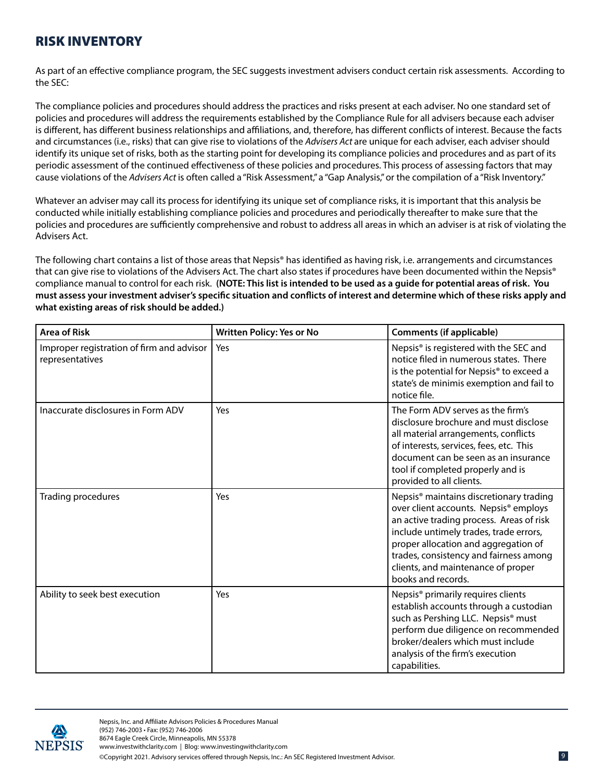#### RISK INVENTORY

As part of an effective compliance program, the SEC suggests investment advisers conduct certain risk assessments. According to the SEC:

The compliance policies and procedures should address the practices and risks present at each adviser. No one standard set of policies and procedures will address the requirements established by the Compliance Rule for all advisers because each adviser is different, has different business relationships and affiliations, and, therefore, has different conflicts of interest. Because the facts and circumstances (i.e., risks) that can give rise to violations of the *Advisers Act* are unique for each adviser, each adviser should identify its unique set of risks, both as the starting point for developing its compliance policies and procedures and as part of its periodic assessment of the continued effectiveness of these policies and procedures. This process of assessing factors that may cause violations of the *Advisers Act* is often called a "Risk Assessment," a "Gap Analysis," or the compilation of a "Risk Inventory."

Whatever an adviser may call its process for identifying its unique set of compliance risks, it is important that this analysis be conducted while initially establishing compliance policies and procedures and periodically thereafter to make sure that the policies and procedures are sufficiently comprehensive and robust to address all areas in which an adviser is at risk of violating the Advisers Act.

The following chart contains a list of those areas that Nepsis® has identified as having risk, i.e. arrangements and circumstances that can give rise to violations of the Advisers Act. The chart also states if procedures have been documented within the Nepsis® compliance manual to control for each risk. **(NOTE: This list is intended to be used as a guide for potential areas of risk. You must assess your investment adviser's specific situation and conflicts of interest and determine which of these risks apply and what existing areas of risk should be added.)**

| <b>Area of Risk</b>                                          | Written Policy: Yes or No | <b>Comments (if applicable)</b>                                                                                                                                                                                                                                                                                                              |
|--------------------------------------------------------------|---------------------------|----------------------------------------------------------------------------------------------------------------------------------------------------------------------------------------------------------------------------------------------------------------------------------------------------------------------------------------------|
| Improper registration of firm and advisor<br>representatives | Yes                       | Nepsis <sup>®</sup> is registered with the SEC and<br>notice filed in numerous states. There<br>is the potential for Nepsis <sup>®</sup> to exceed a<br>state's de minimis exemption and fail to<br>notice file.                                                                                                                             |
| Inaccurate disclosures in Form ADV                           | Yes                       | The Form ADV serves as the firm's<br>disclosure brochure and must disclose<br>all material arrangements, conflicts<br>of interests, services, fees, etc. This<br>document can be seen as an insurance<br>tool if completed properly and is<br>provided to all clients.                                                                       |
| <b>Trading procedures</b>                                    | Yes                       | Nepsis <sup>®</sup> maintains discretionary trading<br>over client accounts. Nepsis <sup>®</sup> employs<br>an active trading process. Areas of risk<br>include untimely trades, trade errors,<br>proper allocation and aggregation of<br>trades, consistency and fairness among<br>clients, and maintenance of proper<br>books and records. |
| Ability to seek best execution                               | Yes                       | Nepsis <sup>®</sup> primarily requires clients<br>establish accounts through a custodian<br>such as Pershing LLC. Nepsis <sup>®</sup> must<br>perform due diligence on recommended<br>broker/dealers which must include<br>analysis of the firm's execution<br>capabilities.                                                                 |

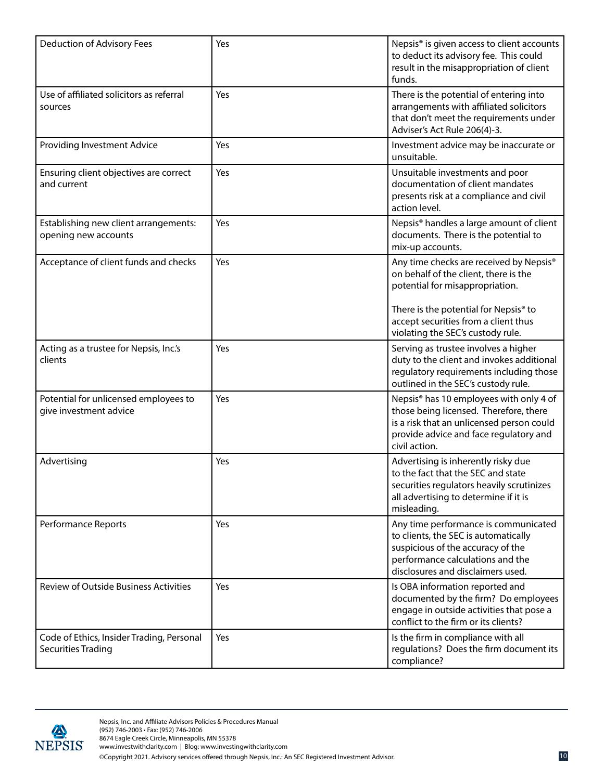| Deduction of Advisory Fees                                      | Yes | Nepsis <sup>®</sup> is given access to client accounts<br>to deduct its advisory fee. This could<br>result in the misappropriation of client<br>funds.                                     |
|-----------------------------------------------------------------|-----|--------------------------------------------------------------------------------------------------------------------------------------------------------------------------------------------|
| Use of affiliated solicitors as referral<br>sources             | Yes | There is the potential of entering into<br>arrangements with affiliated solicitors<br>that don't meet the requirements under<br>Adviser's Act Rule 206(4)-3.                               |
| <b>Providing Investment Advice</b>                              | Yes | Investment advice may be inaccurate or<br>unsuitable.                                                                                                                                      |
| Ensuring client objectives are correct<br>and current           | Yes | Unsuitable investments and poor<br>documentation of client mandates<br>presents risk at a compliance and civil<br>action level.                                                            |
| Establishing new client arrangements:<br>opening new accounts   | Yes | Nepsis <sup>®</sup> handles a large amount of client<br>documents. There is the potential to<br>mix-up accounts.                                                                           |
| Acceptance of client funds and checks                           | Yes | Any time checks are received by Nepsis <sup>®</sup><br>on behalf of the client, there is the<br>potential for misappropriation.                                                            |
|                                                                 |     | There is the potential for Nepsis <sup>®</sup> to<br>accept securities from a client thus<br>violating the SEC's custody rule.                                                             |
| Acting as a trustee for Nepsis, Inc.'s<br>clients               | Yes | Serving as trustee involves a higher<br>duty to the client and invokes additional<br>regulatory requirements including those<br>outlined in the SEC's custody rule.                        |
| Potential for unlicensed employees to<br>give investment advice | Yes | Nepsis® has 10 employees with only 4 of<br>those being licensed. Therefore, there<br>is a risk that an unlicensed person could<br>provide advice and face regulatory and<br>civil action.  |
| Advertising                                                     | Yes | Advertising is inherently risky due<br>to the fact that the SEC and state<br>securities regulators heavily scrutinizes<br>all advertising to determine if it is<br>misleading.             |
| Performance Reports                                             | Yes | Any time performance is communicated<br>to clients, the SEC is automatically<br>suspicious of the accuracy of the<br>performance calculations and the<br>disclosures and disclaimers used. |
| Review of Outside Business Activities                           | Yes | Is OBA information reported and<br>documented by the firm? Do employees<br>engage in outside activities that pose a<br>conflict to the firm or its clients?                                |
| Code of Ethics, Insider Trading, Personal<br>Securities Trading | Yes | Is the firm in compliance with all<br>regulations? Does the firm document its<br>compliance?                                                                                               |

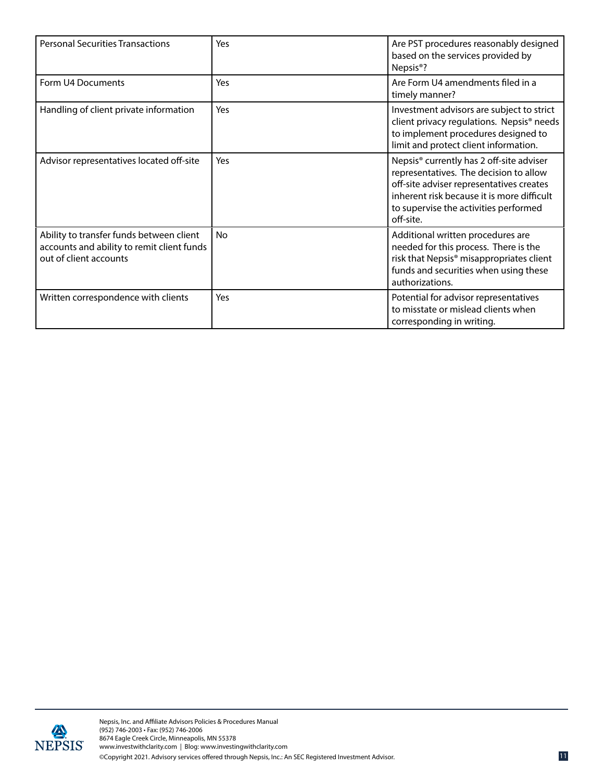| <b>Personal Securities Transactions</b>                                                                          | Yes | Are PST procedures reasonably designed<br>based on the services provided by<br>Nepsis <sup>®</sup> ?                                                                                                                                           |
|------------------------------------------------------------------------------------------------------------------|-----|------------------------------------------------------------------------------------------------------------------------------------------------------------------------------------------------------------------------------------------------|
| Form U4 Documents                                                                                                | Yes | Are Form U4 amendments filed in a<br>timely manner?                                                                                                                                                                                            |
| Handling of client private information                                                                           | Yes | Investment advisors are subject to strict<br>client privacy regulations. Nepsis <sup>®</sup> needs<br>to implement procedures designed to<br>limit and protect client information.                                                             |
| Advisor representatives located off-site                                                                         | Yes | Nepsis <sup>®</sup> currently has 2 off-site adviser<br>representatives. The decision to allow<br>off-site adviser representatives creates<br>inherent risk because it is more difficult<br>to supervise the activities performed<br>off-site. |
| Ability to transfer funds between client<br>accounts and ability to remit client funds<br>out of client accounts | No  | Additional written procedures are<br>needed for this process. There is the<br>risk that Nepsis <sup>®</sup> misappropriates client<br>funds and securities when using these<br>authorizations.                                                 |
| Written correspondence with clients                                                                              | Yes | Potential for advisor representatives<br>to misstate or mislead clients when<br>corresponding in writing.                                                                                                                                      |

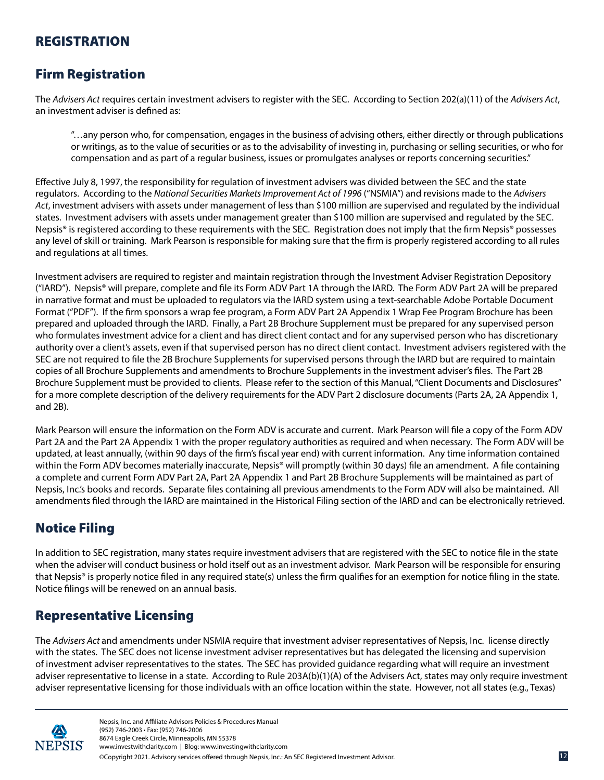## REGISTRATION

# Firm Registration

The *Advisers Act* requires certain investment advisers to register with the SEC. According to Section 202(a)(11) of the *Advisers Act*, an investment adviser is defined as:

"…any person who, for compensation, engages in the business of advising others, either directly or through publications or writings, as to the value of securities or as to the advisability of investing in, purchasing or selling securities, or who for compensation and as part of a regular business, issues or promulgates analyses or reports concerning securities."

Effective July 8, 1997, the responsibility for regulation of investment advisers was divided between the SEC and the state regulators. According to the *National Securities Markets Improvement Act of 1996* ("NSMIA") and revisions made to the *Advisers Act*, investment advisers with assets under management of less than \$100 million are supervised and regulated by the individual states. Investment advisers with assets under management greater than \$100 million are supervised and regulated by the SEC. Nepsis® is registered according to these requirements with the SEC. Registration does not imply that the firm Nepsis® possesses any level of skill or training. Mark Pearson is responsible for making sure that the firm is properly registered according to all rules and regulations at all times.

Investment advisers are required to register and maintain registration through the Investment Adviser Registration Depository ("IARD"). Nepsis® will prepare, complete and file its Form ADV Part 1A through the IARD. The Form ADV Part 2A will be prepared in narrative format and must be uploaded to regulators via the IARD system using a text-searchable Adobe Portable Document Format ("PDF"). If the firm sponsors a wrap fee program, a Form ADV Part 2A Appendix 1 Wrap Fee Program Brochure has been prepared and uploaded through the IARD. Finally, a Part 2B Brochure Supplement must be prepared for any supervised person who formulates investment advice for a client and has direct client contact and for any supervised person who has discretionary authority over a client's assets, even if that supervised person has no direct client contact. Investment advisers registered with the SEC are not required to file the 2B Brochure Supplements for supervised persons through the IARD but are required to maintain copies of all Brochure Supplements and amendments to Brochure Supplements in the investment adviser's files. The Part 2B Brochure Supplement must be provided to clients. Please refer to the section of this Manual, "Client Documents and Disclosures" for a more complete description of the delivery requirements for the ADV Part 2 disclosure documents (Parts 2A, 2A Appendix 1, and 2B).

Mark Pearson will ensure the information on the Form ADV is accurate and current. Mark Pearson will file a copy of the Form ADV Part 2A and the Part 2A Appendix 1 with the proper regulatory authorities as required and when necessary. The Form ADV will be updated, at least annually, (within 90 days of the firm's fiscal year end) with current information. Any time information contained within the Form ADV becomes materially inaccurate, Nepsis® will promptly (within 30 days) file an amendment. A file containing a complete and current Form ADV Part 2A, Part 2A Appendix 1 and Part 2B Brochure Supplements will be maintained as part of Nepsis, Inc.'s books and records. Separate files containing all previous amendments to the Form ADV will also be maintained. All amendments filed through the IARD are maintained in the Historical Filing section of the IARD and can be electronically retrieved.

# Notice Filing

In addition to SEC registration, many states require investment advisers that are registered with the SEC to notice file in the state when the adviser will conduct business or hold itself out as an investment advisor. Mark Pearson will be responsible for ensuring that Nepsis® is properly notice filed in any required state(s) unless the firm qualifies for an exemption for notice filing in the state. Notice filings will be renewed on an annual basis.

# Representative Licensing

The *Advisers Act* and amendments under NSMIA require that investment adviser representatives of Nepsis, Inc. license directly with the states. The SEC does not license investment adviser representatives but has delegated the licensing and supervision of investment adviser representatives to the states. The SEC has provided guidance regarding what will require an investment adviser representative to license in a state. According to Rule 203A(b)(1)(A) of the Advisers Act, states may only require investment adviser representative licensing for those individuals with an office location within the state. However, not all states (e.g., Texas)

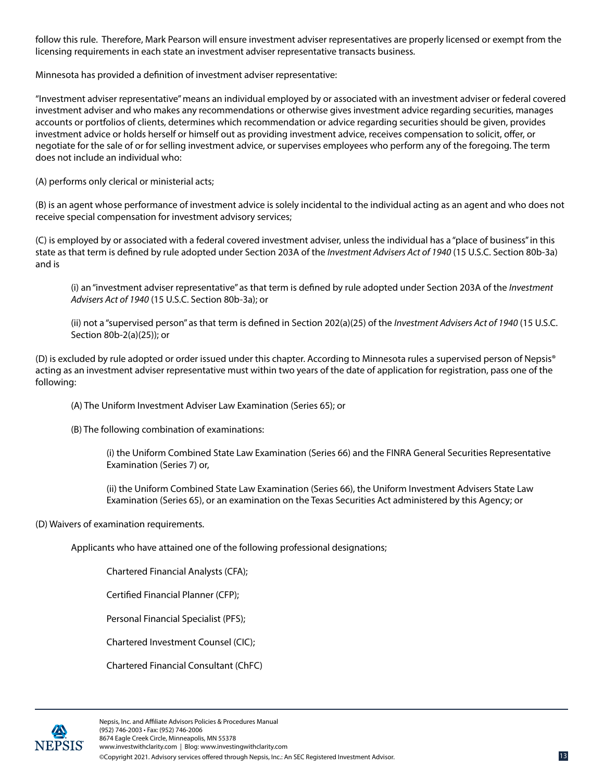follow this rule. Therefore, Mark Pearson will ensure investment adviser representatives are properly licensed or exempt from the licensing requirements in each state an investment adviser representative transacts business.

Minnesota has provided a definition of investment adviser representative:

"Investment adviser representative" means an individual employed by or associated with an investment adviser or federal covered investment adviser and who makes any recommendations or otherwise gives investment advice regarding securities, manages accounts or portfolios of clients, determines which recommendation or advice regarding securities should be given, provides investment advice or holds herself or himself out as providing investment advice, receives compensation to solicit, offer, or negotiate for the sale of or for selling investment advice, or supervises employees who perform any of the foregoing. The term does not include an individual who:

(A) performs only clerical or ministerial acts;

(B) is an agent whose performance of investment advice is solely incidental to the individual acting as an agent and who does not receive special compensation for investment advisory services;

(C) is employed by or associated with a federal covered investment adviser, unless the individual has a "place of business" in this state as that term is defined by rule adopted under Section 203A of the *Investment Advisers Act of 1940* (15 U.S.C. Section 80b-3a) and is

(i) an "investment adviser representative" as that term is defined by rule adopted under Section 203A of the *Investment Advisers Act of 1940* (15 U.S.C. Section 80b-3a); or

(ii) not a "supervised person" as that term is defined in Section 202(a)(25) of the *Investment Advisers Act of 1940* (15 U.S.C. Section 80b-2(a)(25)); or

(D) is excluded by rule adopted or order issued under this chapter. According to Minnesota rules a supervised person of Nepsis® acting as an investment adviser representative must within two years of the date of application for registration, pass one of the following:

(A) The Uniform Investment Adviser Law Examination (Series 65); or

(B) The following combination of examinations:

 (i) the Uniform Combined State Law Examination (Series 66) and the FINRA General Securities Representative Examination (Series 7) or,

 (ii) the Uniform Combined State Law Examination (Series 66), the Uniform Investment Advisers State Law Examination (Series 65), or an examination on the Texas Securities Act administered by this Agency; or

(D) Waivers of examination requirements.

Applicants who have attained one of the following professional designations;

Chartered Financial Analysts (CFA);

Certified Financial Planner (CFP);

Personal Financial Specialist (PFS);

Chartered Investment Counsel (CIC);

Chartered Financial Consultant (ChFC)

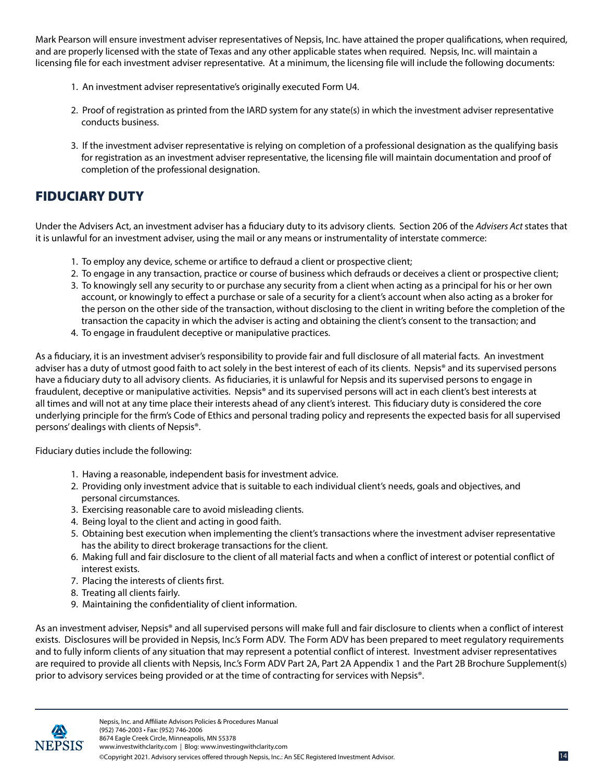Mark Pearson will ensure investment adviser representatives of Nepsis, Inc. have attained the proper qualifications, when required, and are properly licensed with the state of Texas and any other applicable states when required. Nepsis, Inc. will maintain a licensing file for each investment adviser representative. At a minimum, the licensing file will include the following documents:

- 1. An investment adviser representative's originally executed Form U4.
- 2. Proof of registration as printed from the IARD system for any state(s) in which the investment adviser representative conducts business.
- 3. If the investment adviser representative is relying on completion of a professional designation as the qualifying basis for registration as an investment adviser representative, the licensing file will maintain documentation and proof of completion of the professional designation.

# FIDUCIARY DUTY

Under the Advisers Act, an investment adviser has a fiduciary duty to its advisory clients. Section 206 of the *Advisers Act* states that it is unlawful for an investment adviser, using the mail or any means or instrumentality of interstate commerce:

- 1. To employ any device, scheme or artifice to defraud a client or prospective client;
- 2. To engage in any transaction, practice or course of business which defrauds or deceives a client or prospective client;
- 3. To knowingly sell any security to or purchase any security from a client when acting as a principal for his or her own account, or knowingly to effect a purchase or sale of a security for a client's account when also acting as a broker for the person on the other side of the transaction, without disclosing to the client in writing before the completion of the transaction the capacity in which the adviser is acting and obtaining the client's consent to the transaction; and
- 4. To engage in fraudulent deceptive or manipulative practices.

As a fiduciary, it is an investment adviser's responsibility to provide fair and full disclosure of all material facts. An investment adviser has a duty of utmost good faith to act solely in the best interest of each of its clients. Nepsis® and its supervised persons have a fiduciary duty to all advisory clients. As fiduciaries, it is unlawful for Nepsis and its supervised persons to engage in fraudulent, deceptive or manipulative activities. Nepsis® and its supervised persons will act in each client's best interests at all times and will not at any time place their interests ahead of any client's interest. This fiduciary duty is considered the core underlying principle for the firm's Code of Ethics and personal trading policy and represents the expected basis for all supervised persons' dealings with clients of Nepsis®.

Fiduciary duties include the following:

- 1. Having a reasonable, independent basis for investment advice.
- 2. Providing only investment advice that is suitable to each individual client's needs, goals and objectives, and personal circumstances.
- 3. Exercising reasonable care to avoid misleading clients.
- 4. Being loyal to the client and acting in good faith.
- 5. Obtaining best execution when implementing the client's transactions where the investment adviser representative has the ability to direct brokerage transactions for the client.
- 6. Making full and fair disclosure to the client of all material facts and when a conflict of interest or potential conflict of interest exists.
- 7. Placing the interests of clients first.
- 8. Treating all clients fairly.
- 9. Maintaining the confidentiality of client information.

As an investment adviser, Nepsis® and all supervised persons will make full and fair disclosure to clients when a conflict of interest exists. Disclosures will be provided in Nepsis, Inc.'s Form ADV. The Form ADV has been prepared to meet regulatory requirements and to fully inform clients of any situation that may represent a potential conflict of interest. Investment adviser representatives are required to provide all clients with Nepsis, Inc.'s Form ADV Part 2A, Part 2A Appendix 1 and the Part 2B Brochure Supplement(s) prior to advisory services being provided or at the time of contracting for services with Nepsis®.

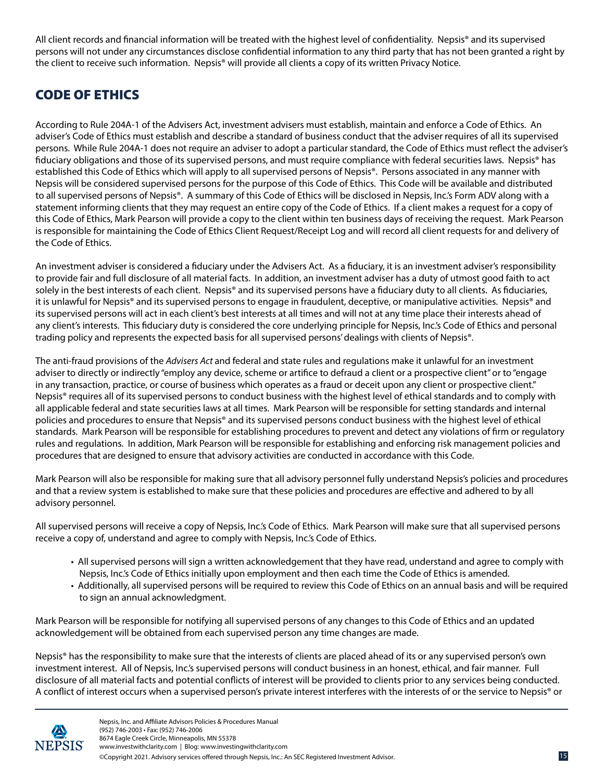All client records and financial information will be treated with the highest level of confidentiality. Nepsis® and its supervised persons will not under any circumstances disclose confidential information to any third party that has not been granted a right by the client to receive such information. Nepsis® will provide all clients a copy of its written Privacy Notice.

# CODE OF ETHICS

According to Rule 204A-1 of the Advisers Act, investment advisers must establish, maintain and enforce a Code of Ethics. An adviser's Code of Ethics must establish and describe a standard of business conduct that the adviser requires of all its supervised persons. While Rule 204A-1 does not require an adviser to adopt a particular standard, the Code of Ethics must reflect the adviser's fiduciary obligations and those of its supervised persons, and must require compliance with federal securities laws. Nepsis® has established this Code of Ethics which will apply to all supervised persons of Nepsis®. Persons associated in any manner with Nepsis will be considered supervised persons for the purpose of this Code of Ethics. This Code will be available and distributed to all supervised persons of Nepsis®. A summary of this Code of Ethics will be disclosed in Nepsis, Inc.'s Form ADV along with a statement informing clients that they may request an entire copy of the Code of Ethics. If a client makes a request for a copy of this Code of Ethics, Mark Pearson will provide a copy to the client within ten business days of receiving the request. Mark Pearson is responsible for maintaining the Code of Ethics Client Request/Receipt Log and will record all client requests for and delivery of the Code of Ethics.

An investment adviser is considered a fiduciary under the Advisers Act. As a fiduciary, it is an investment adviser's responsibility to provide fair and full disclosure of all material facts. In addition, an investment adviser has a duty of utmost good faith to act solely in the best interests of each client. Nepsis® and its supervised persons have a fiduciary duty to all clients. As fiduciaries, it is unlawful for Nepsis® and its supervised persons to engage in fraudulent, deceptive, or manipulative activities. Nepsis® and its supervised persons will act in each client's best interests at all times and will not at any time place their interests ahead of any client's interests. This fiduciary duty is considered the core underlying principle for Nepsis, Inc.'s Code of Ethics and personal trading policy and represents the expected basis for all supervised persons' dealings with clients of Nepsis®.

The anti-fraud provisions of the *Advisers Act* and federal and state rules and regulations make it unlawful for an investment adviser to directly or indirectly "employ any device, scheme or artifice to defraud a client or a prospective client" or to "engage in any transaction, practice, or course of business which operates as a fraud or deceit upon any client or prospective client." Nepsis® requires all of its supervised persons to conduct business with the highest level of ethical standards and to comply with all applicable federal and state securities laws at all times. Mark Pearson will be responsible for setting standards and internal policies and procedures to ensure that Nepsis® and its supervised persons conduct business with the highest level of ethical standards. Mark Pearson will be responsible for establishing procedures to prevent and detect any violations of firm or regulatory rules and regulations. In addition, Mark Pearson will be responsible for establishing and enforcing risk management policies and procedures that are designed to ensure that advisory activities are conducted in accordance with this Code.

Mark Pearson will also be responsible for making sure that all advisory personnel fully understand Nepsis's policies and procedures and that a review system is established to make sure that these policies and procedures are effective and adhered to by all advisory personnel.

All supervised persons will receive a copy of Nepsis, Inc.'s Code of Ethics. Mark Pearson will make sure that all supervised persons receive a copy of, understand and agree to comply with Nepsis, Inc.'s Code of Ethics.

- All supervised persons will sign a written acknowledgement that they have read, understand and agree to comply with Nepsis, Inc.'s Code of Ethics initially upon employment and then each time the Code of Ethics is amended.
- Additionally, all supervised persons will be required to review this Code of Ethics on an annual basis and will be required to sign an annual acknowledgment.

Mark Pearson will be responsible for notifying all supervised persons of any changes to this Code of Ethics and an updated acknowledgement will be obtained from each supervised person any time changes are made.

Nepsis® has the responsibility to make sure that the interests of clients are placed ahead of its or any supervised person's own investment interest. All of Nepsis, Inc.'s supervised persons will conduct business in an honest, ethical, and fair manner. Full disclosure of all material facts and potential conflicts of interest will be provided to clients prior to any services being conducted. A conflict of interest occurs when a supervised person's private interest interferes with the interests of or the service to Nepsis® or

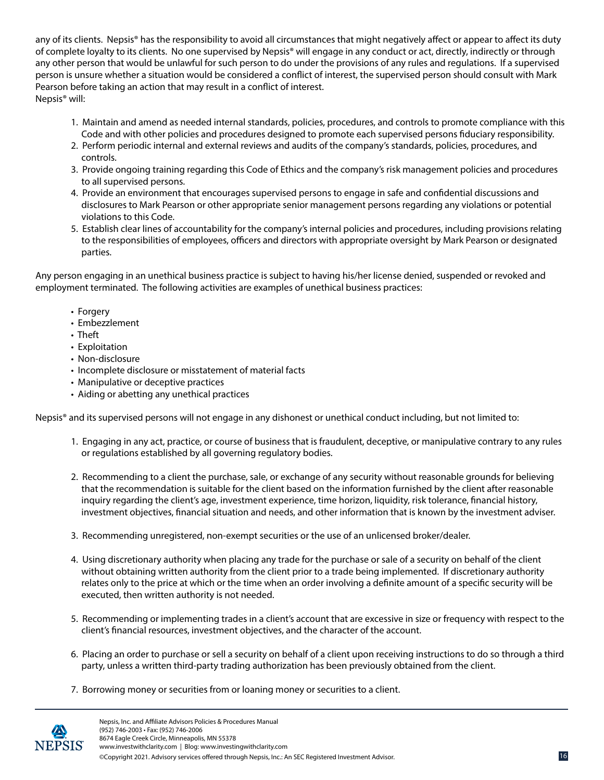any of its clients. Nepsis® has the responsibility to avoid all circumstances that might negatively affect or appear to affect its duty of complete loyalty to its clients. No one supervised by Nepsis® will engage in any conduct or act, directly, indirectly or through any other person that would be unlawful for such person to do under the provisions of any rules and regulations. If a supervised person is unsure whether a situation would be considered a conflict of interest, the supervised person should consult with Mark Pearson before taking an action that may result in a conflict of interest. Nepsis® will:

- 1. Maintain and amend as needed internal standards, policies, procedures, and controls to promote compliance with this Code and with other policies and procedures designed to promote each supervised persons fiduciary responsibility.
- 2. Perform periodic internal and external reviews and audits of the company's standards, policies, procedures, and controls.
- 3. Provide ongoing training regarding this Code of Ethics and the company's risk management policies and procedures to all supervised persons.
- 4. Provide an environment that encourages supervised persons to engage in safe and confidential discussions and disclosures to Mark Pearson or other appropriate senior management persons regarding any violations or potential violations to this Code.
- 5. Establish clear lines of accountability for the company's internal policies and procedures, including provisions relating to the responsibilities of employees, officers and directors with appropriate oversight by Mark Pearson or designated parties.

Any person engaging in an unethical business practice is subject to having his/her license denied, suspended or revoked and employment terminated. The following activities are examples of unethical business practices:

- Forgery
- Embezzlement
- Theft
- Exploitation
- Non-disclosure
- Incomplete disclosure or misstatement of material facts
- Manipulative or deceptive practices
- Aiding or abetting any unethical practices

Nepsis® and its supervised persons will not engage in any dishonest or unethical conduct including, but not limited to:

- 1. Engaging in any act, practice, or course of business that is fraudulent, deceptive, or manipulative contrary to any rules or regulations established by all governing regulatory bodies.
- 2. Recommending to a client the purchase, sale, or exchange of any security without reasonable grounds for believing that the recommendation is suitable for the client based on the information furnished by the client after reasonable inquiry regarding the client's age, investment experience, time horizon, liquidity, risk tolerance, financial history, investment objectives, financial situation and needs, and other information that is known by the investment adviser.
- 3. Recommending unregistered, non-exempt securities or the use of an unlicensed broker/dealer.
- 4. Using discretionary authority when placing any trade for the purchase or sale of a security on behalf of the client without obtaining written authority from the client prior to a trade being implemented. If discretionary authority relates only to the price at which or the time when an order involving a definite amount of a specific security will be executed, then written authority is not needed.
- 5. Recommending or implementing trades in a client's account that are excessive in size or frequency with respect to the client's financial resources, investment objectives, and the character of the account.
- 6. Placing an order to purchase or sell a security on behalf of a client upon receiving instructions to do so through a third party, unless a written third-party trading authorization has been previously obtained from the client.
- 7. Borrowing money or securities from or loaning money or securities to a client.

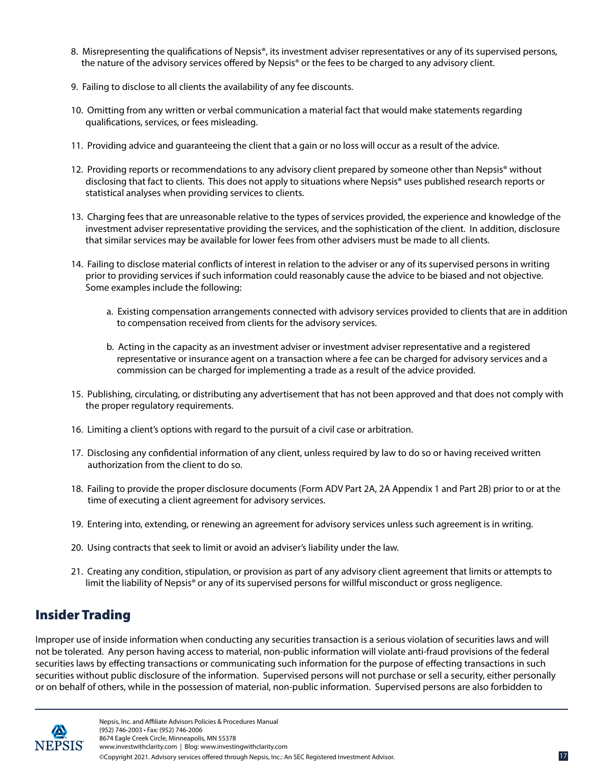- 8. Misrepresenting the qualifications of Nepsis®, its investment adviser representatives or any of its supervised persons, the nature of the advisory services offered by Nepsis® or the fees to be charged to any advisory client.
- 9. Failing to disclose to all clients the availability of any fee discounts.
- 10. Omitting from any written or verbal communication a material fact that would make statements regarding qualifications, services, or fees misleading.
- 11. Providing advice and guaranteeing the client that a gain or no loss will occur as a result of the advice.
- 12. Providing reports or recommendations to any advisory client prepared by someone other than Nepsis® without disclosing that fact to clients. This does not apply to situations where Nepsis® uses published research reports or statistical analyses when providing services to clients.
- 13. Charging fees that are unreasonable relative to the types of services provided, the experience and knowledge of the investment adviser representative providing the services, and the sophistication of the client. In addition, disclosure that similar services may be available for lower fees from other advisers must be made to all clients.
- 14. Failing to disclose material conflicts of interest in relation to the adviser or any of its supervised persons in writing prior to providing services if such information could reasonably cause the advice to be biased and not objective. Some examples include the following:
	- a. Existing compensation arrangements connected with advisory services provided to clients that are in addition to compensation received from clients for the advisory services.
	- b. Acting in the capacity as an investment adviser or investment adviser representative and a registered representative or insurance agent on a transaction where a fee can be charged for advisory services and a commission can be charged for implementing a trade as a result of the advice provided.
- 15. Publishing, circulating, or distributing any advertisement that has not been approved and that does not comply with the proper regulatory requirements.
- 16. Limiting a client's options with regard to the pursuit of a civil case or arbitration.
- 17. Disclosing any confidential information of any client, unless required by law to do so or having received written authorization from the client to do so.
- 18. Failing to provide the proper disclosure documents (Form ADV Part 2A, 2A Appendix 1 and Part 2B) prior to or at the time of executing a client agreement for advisory services.
- 19. Entering into, extending, or renewing an agreement for advisory services unless such agreement is in writing.
- 20. Using contracts that seek to limit or avoid an adviser's liability under the law.
- 21. Creating any condition, stipulation, or provision as part of any advisory client agreement that limits or attempts to limit the liability of Nepsis® or any of its supervised persons for willful misconduct or gross negligence.

#### Insider Trading

Improper use of inside information when conducting any securities transaction is a serious violation of securities laws and will not be tolerated. Any person having access to material, non-public information will violate anti-fraud provisions of the federal securities laws by effecting transactions or communicating such information for the purpose of effecting transactions in such securities without public disclosure of the information. Supervised persons will not purchase or sell a security, either personally or on behalf of others, while in the possession of material, non-public information. Supervised persons are also forbidden to

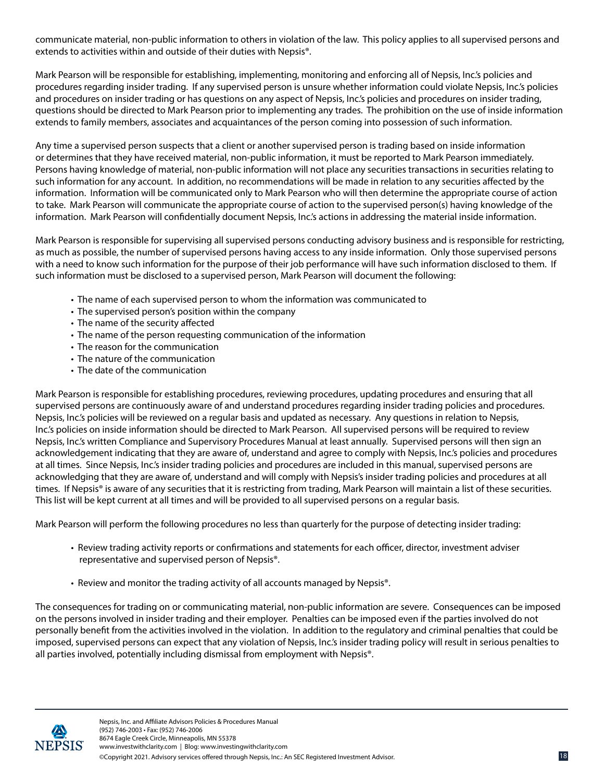communicate material, non-public information to others in violation of the law. This policy applies to all supervised persons and extends to activities within and outside of their duties with Nepsis®.

Mark Pearson will be responsible for establishing, implementing, monitoring and enforcing all of Nepsis, Inc.'s policies and procedures regarding insider trading. If any supervised person is unsure whether information could violate Nepsis, Inc.'s policies and procedures on insider trading or has questions on any aspect of Nepsis, Inc.'s policies and procedures on insider trading, questions should be directed to Mark Pearson prior to implementing any trades. The prohibition on the use of inside information extends to family members, associates and acquaintances of the person coming into possession of such information.

Any time a supervised person suspects that a client or another supervised person is trading based on inside information or determines that they have received material, non-public information, it must be reported to Mark Pearson immediately. Persons having knowledge of material, non-public information will not place any securities transactions in securities relating to such information for any account. In addition, no recommendations will be made in relation to any securities affected by the information. Information will be communicated only to Mark Pearson who will then determine the appropriate course of action to take. Mark Pearson will communicate the appropriate course of action to the supervised person(s) having knowledge of the information. Mark Pearson will confidentially document Nepsis, Inc.'s actions in addressing the material inside information.

Mark Pearson is responsible for supervising all supervised persons conducting advisory business and is responsible for restricting, as much as possible, the number of supervised persons having access to any inside information. Only those supervised persons with a need to know such information for the purpose of their job performance will have such information disclosed to them. If such information must be disclosed to a supervised person, Mark Pearson will document the following:

- The name of each supervised person to whom the information was communicated to
- The supervised person's position within the company
- The name of the security affected
- The name of the person requesting communication of the information
- The reason for the communication
- The nature of the communication
- The date of the communication

Mark Pearson is responsible for establishing procedures, reviewing procedures, updating procedures and ensuring that all supervised persons are continuously aware of and understand procedures regarding insider trading policies and procedures. Nepsis, Inc.'s policies will be reviewed on a regular basis and updated as necessary. Any questions in relation to Nepsis, Inc.'s policies on inside information should be directed to Mark Pearson. All supervised persons will be required to review Nepsis, Inc.'s written Compliance and Supervisory Procedures Manual at least annually. Supervised persons will then sign an acknowledgement indicating that they are aware of, understand and agree to comply with Nepsis, Inc.'s policies and procedures at all times. Since Nepsis, Inc.'s insider trading policies and procedures are included in this manual, supervised persons are acknowledging that they are aware of, understand and will comply with Nepsis's insider trading policies and procedures at all times. If Nepsis® is aware of any securities that it is restricting from trading, Mark Pearson will maintain a list of these securities. This list will be kept current at all times and will be provided to all supervised persons on a regular basis.

Mark Pearson will perform the following procedures no less than quarterly for the purpose of detecting insider trading:

- Review trading activity reports or confirmations and statements for each officer, director, investment adviser representative and supervised person of Nepsis®.
- Review and monitor the trading activity of all accounts managed by Nepsis®.

The consequences for trading on or communicating material, non-public information are severe. Consequences can be imposed on the persons involved in insider trading and their employer. Penalties can be imposed even if the parties involved do not personally benefit from the activities involved in the violation. In addition to the regulatory and criminal penalties that could be imposed, supervised persons can expect that any violation of Nepsis, Inc.'s insider trading policy will result in serious penalties to all parties involved, potentially including dismissal from employment with Nepsis®.

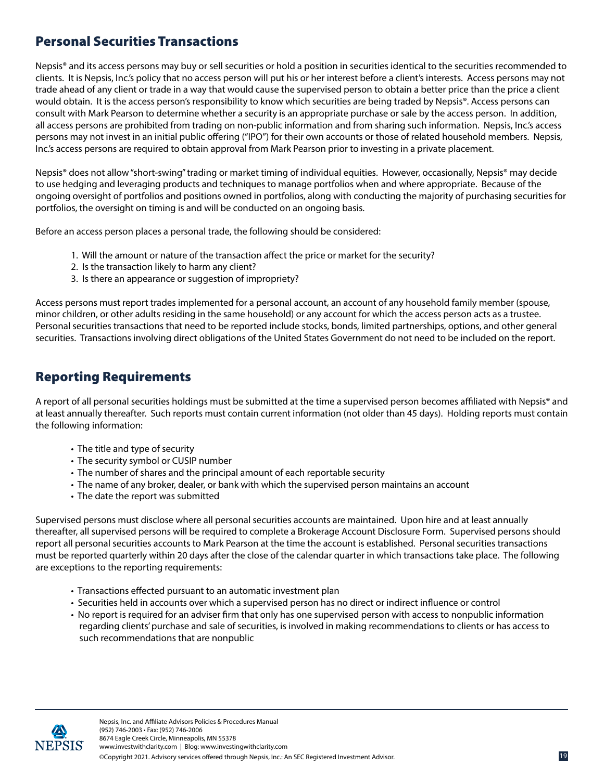# Personal Securities Transactions

Nepsis® and its access persons may buy or sell securities or hold a position in securities identical to the securities recommended to clients. It is Nepsis, Inc.'s policy that no access person will put his or her interest before a client's interests. Access persons may not trade ahead of any client or trade in a way that would cause the supervised person to obtain a better price than the price a client would obtain. It is the access person's responsibility to know which securities are being traded by Nepsis®. Access persons can consult with Mark Pearson to determine whether a security is an appropriate purchase or sale by the access person. In addition, all access persons are prohibited from trading on non-public information and from sharing such information. Nepsis, Inc.'s access persons may not invest in an initial public offering ("IPO") for their own accounts or those of related household members. Nepsis, Inc.'s access persons are required to obtain approval from Mark Pearson prior to investing in a private placement.

Nepsis® does not allow "short-swing" trading or market timing of individual equities. However, occasionally, Nepsis® may decide to use hedging and leveraging products and techniques to manage portfolios when and where appropriate. Because of the ongoing oversight of portfolios and positions owned in portfolios, along with conducting the majority of purchasing securities for portfolios, the oversight on timing is and will be conducted on an ongoing basis.

Before an access person places a personal trade, the following should be considered:

- 1. Will the amount or nature of the transaction affect the price or market for the security?
- 2. Is the transaction likely to harm any client?
- 3. Is there an appearance or suggestion of impropriety?

Access persons must report trades implemented for a personal account, an account of any household family member (spouse, minor children, or other adults residing in the same household) or any account for which the access person acts as a trustee. Personal securities transactions that need to be reported include stocks, bonds, limited partnerships, options, and other general securities. Transactions involving direct obligations of the United States Government do not need to be included on the report.

#### Reporting Requirements

A report of all personal securities holdings must be submitted at the time a supervised person becomes affiliated with Nepsis® and at least annually thereafter. Such reports must contain current information (not older than 45 days). Holding reports must contain the following information:

- The title and type of security
- The security symbol or CUSIP number
- The number of shares and the principal amount of each reportable security
- The name of any broker, dealer, or bank with which the supervised person maintains an account
- The date the report was submitted

Supervised persons must disclose where all personal securities accounts are maintained. Upon hire and at least annually thereafter, all supervised persons will be required to complete a Brokerage Account Disclosure Form. Supervised persons should report all personal securities accounts to Mark Pearson at the time the account is established. Personal securities transactions must be reported quarterly within 20 days after the close of the calendar quarter in which transactions take place. The following are exceptions to the reporting requirements:

- Transactions effected pursuant to an automatic investment plan
- Securities held in accounts over which a supervised person has no direct or indirect influence or control
- No report is required for an adviser firm that only has one supervised person with access to nonpublic information regarding clients' purchase and sale of securities, is involved in making recommendations to clients or has access to such recommendations that are nonpublic

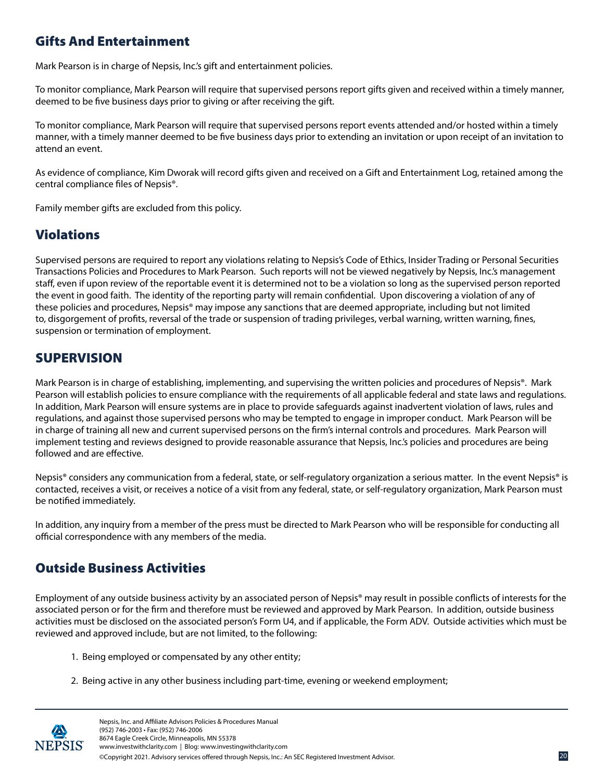# Gifts And Entertainment

Mark Pearson is in charge of Nepsis, Inc.'s gift and entertainment policies.

To monitor compliance, Mark Pearson will require that supervised persons report gifts given and received within a timely manner, deemed to be five business days prior to giving or after receiving the gift.

To monitor compliance, Mark Pearson will require that supervised persons report events attended and/or hosted within a timely manner, with a timely manner deemed to be five business days prior to extending an invitation or upon receipt of an invitation to attend an event.

As evidence of compliance, Kim Dworak will record gifts given and received on a Gift and Entertainment Log, retained among the central compliance files of Nepsis®.

Family member gifts are excluded from this policy.

#### Violations

Supervised persons are required to report any violations relating to Nepsis's Code of Ethics, Insider Trading or Personal Securities Transactions Policies and Procedures to Mark Pearson. Such reports will not be viewed negatively by Nepsis, Inc.'s management staff, even if upon review of the reportable event it is determined not to be a violation so long as the supervised person reported the event in good faith. The identity of the reporting party will remain confidential. Upon discovering a violation of any of these policies and procedures, Nepsis® may impose any sanctions that are deemed appropriate, including but not limited to, disgorgement of profits, reversal of the trade or suspension of trading privileges, verbal warning, written warning, fines, suspension or termination of employment.

#### SUPERVISION

Mark Pearson is in charge of establishing, implementing, and supervising the written policies and procedures of Nepsis®. Mark Pearson will establish policies to ensure compliance with the requirements of all applicable federal and state laws and regulations. In addition, Mark Pearson will ensure systems are in place to provide safeguards against inadvertent violation of laws, rules and regulations, and against those supervised persons who may be tempted to engage in improper conduct. Mark Pearson will be in charge of training all new and current supervised persons on the firm's internal controls and procedures. Mark Pearson will implement testing and reviews designed to provide reasonable assurance that Nepsis, Inc.'s policies and procedures are being followed and are effective.

Nepsis® considers any communication from a federal, state, or self-regulatory organization a serious matter. In the event Nepsis® is contacted, receives a visit, or receives a notice of a visit from any federal, state, or self-regulatory organization, Mark Pearson must be notified immediately.

In addition, any inquiry from a member of the press must be directed to Mark Pearson who will be responsible for conducting all official correspondence with any members of the media.

# Outside Business Activities

Employment of any outside business activity by an associated person of Nepsis® may result in possible conflicts of interests for the associated person or for the firm and therefore must be reviewed and approved by Mark Pearson. In addition, outside business activities must be disclosed on the associated person's Form U4, and if applicable, the Form ADV. Outside activities which must be reviewed and approved include, but are not limited, to the following:

- 1. Being employed or compensated by any other entity;
- 2. Being active in any other business including part-time, evening or weekend employment;

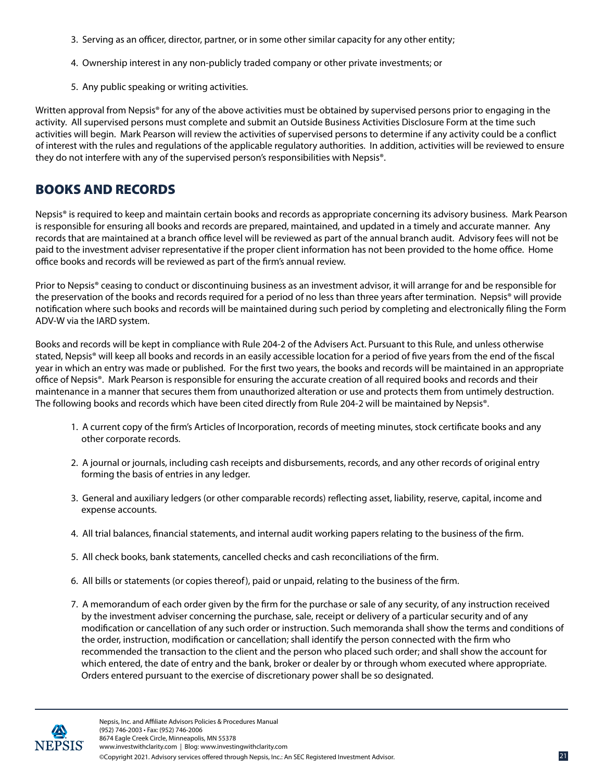- 3. Serving as an officer, director, partner, or in some other similar capacity for any other entity;
- 4. Ownership interest in any non-publicly traded company or other private investments; or
- 5. Any public speaking or writing activities.

Written approval from Nepsis<sup>®</sup> for any of the above activities must be obtained by supervised persons prior to engaging in the activity. All supervised persons must complete and submit an Outside Business Activities Disclosure Form at the time such activities will begin. Mark Pearson will review the activities of supervised persons to determine if any activity could be a conflict of interest with the rules and regulations of the applicable regulatory authorities. In addition, activities will be reviewed to ensure they do not interfere with any of the supervised person's responsibilities with Nepsis®.

## BOOKS AND RECORDS

Nepsis® is required to keep and maintain certain books and records as appropriate concerning its advisory business. Mark Pearson is responsible for ensuring all books and records are prepared, maintained, and updated in a timely and accurate manner. Any records that are maintained at a branch office level will be reviewed as part of the annual branch audit. Advisory fees will not be paid to the investment adviser representative if the proper client information has not been provided to the home office. Home office books and records will be reviewed as part of the firm's annual review.

Prior to Nepsis<sup>®</sup> ceasing to conduct or discontinuing business as an investment advisor, it will arrange for and be responsible for the preservation of the books and records required for a period of no less than three years after termination. Nepsis® will provide notification where such books and records will be maintained during such period by completing and electronically filing the Form ADV-W via the IARD system.

Books and records will be kept in compliance with Rule 204-2 of the Advisers Act. Pursuant to this Rule, and unless otherwise stated, Nepsis® will keep all books and records in an easily accessible location for a period of five years from the end of the fiscal year in which an entry was made or published. For the first two years, the books and records will be maintained in an appropriate office of Nepsis®. Mark Pearson is responsible for ensuring the accurate creation of all required books and records and their maintenance in a manner that secures them from unauthorized alteration or use and protects them from untimely destruction. The following books and records which have been cited directly from Rule 204-2 will be maintained by Nepsis®.

- 1. A current copy of the firm's Articles of Incorporation, records of meeting minutes, stock certificate books and any other corporate records.
- 2. A journal or journals, including cash receipts and disbursements, records, and any other records of original entry forming the basis of entries in any ledger.
- 3. General and auxiliary ledgers (or other comparable records) reflecting asset, liability, reserve, capital, income and expense accounts.
- 4. All trial balances, financial statements, and internal audit working papers relating to the business of the firm.
- 5. All check books, bank statements, cancelled checks and cash reconciliations of the firm.
- 6. All bills or statements (or copies thereof), paid or unpaid, relating to the business of the firm.
- 7. A memorandum of each order given by the firm for the purchase or sale of any security, of any instruction received by the investment adviser concerning the purchase, sale, receipt or delivery of a particular security and of any modification or cancellation of any such order or instruction. Such memoranda shall show the terms and conditions of the order, instruction, modification or cancellation; shall identify the person connected with the firm who recommended the transaction to the client and the person who placed such order; and shall show the account for which entered, the date of entry and the bank, broker or dealer by or through whom executed where appropriate. Orders entered pursuant to the exercise of discretionary power shall be so designated.

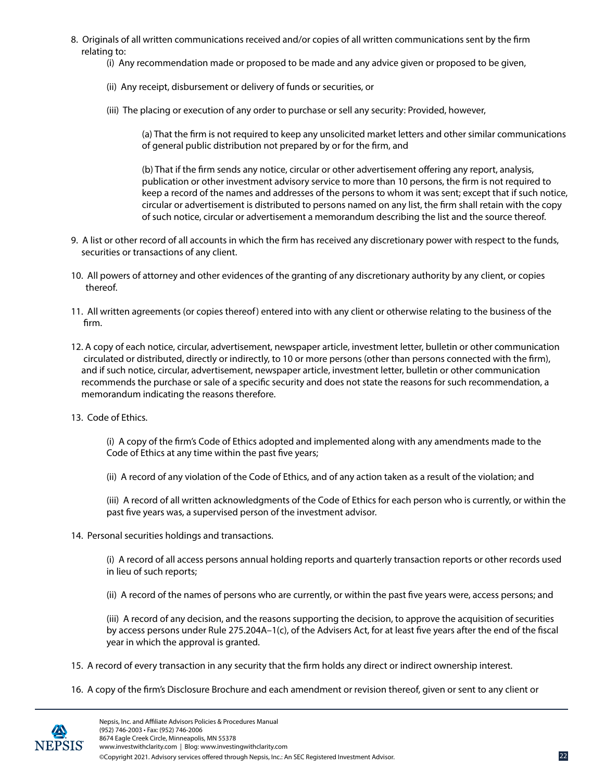- 8. Originals of all written communications received and/or copies of all written communications sent by the firm relating to:
	- (i) Any recommendation made or proposed to be made and any advice given or proposed to be given,
	- (ii) Any receipt, disbursement or delivery of funds or securities, or
	- (iii) The placing or execution of any order to purchase or sell any security: Provided, however,

 (a) That the firm is not required to keep any unsolicited market letters and other similar communications of general public distribution not prepared by or for the firm, and

 (b) That if the firm sends any notice, circular or other advertisement offering any report, analysis, publication or other investment advisory service to more than 10 persons, the firm is not required to keep a record of the names and addresses of the persons to whom it was sent; except that if such notice, circular or advertisement is distributed to persons named on any list, the firm shall retain with the copy of such notice, circular or advertisement a memorandum describing the list and the source thereof.

- 9. A list or other record of all accounts in which the firm has received any discretionary power with respect to the funds, securities or transactions of any client.
- 10. All powers of attorney and other evidences of the granting of any discretionary authority by any client, or copies thereof.
- 11. All written agreements (or copies thereof) entered into with any client or otherwise relating to the business of the firm.
- 12. A copy of each notice, circular, advertisement, newspaper article, investment letter, bulletin or other communication circulated or distributed, directly or indirectly, to 10 or more persons (other than persons connected with the firm), and if such notice, circular, advertisement, newspaper article, investment letter, bulletin or other communication recommends the purchase or sale of a specific security and does not state the reasons for such recommendation, a memorandum indicating the reasons therefore.
- 13. Code of Ethics.

 (i) A copy of the firm's Code of Ethics adopted and implemented along with any amendments made to the Code of Ethics at any time within the past five years;

(ii) A record of any violation of the Code of Ethics, and of any action taken as a result of the violation; and

 (iii) A record of all written acknowledgments of the Code of Ethics for each person who is currently, or within the past five years was, a supervised person of the investment advisor.

14. Personal securities holdings and transactions.

 (i) A record of all access persons annual holding reports and quarterly transaction reports or other records used in lieu of such reports;

(ii) A record of the names of persons who are currently, or within the past five years were, access persons; and

 (iii) A record of any decision, and the reasons supporting the decision, to approve the acquisition of securities by access persons under Rule 275.204A–1(c), of the Advisers Act, for at least five years after the end of the fiscal year in which the approval is granted.

15. A record of every transaction in any security that the firm holds any direct or indirect ownership interest.

16. A copy of the firm's Disclosure Brochure and each amendment or revision thereof, given or sent to any client or

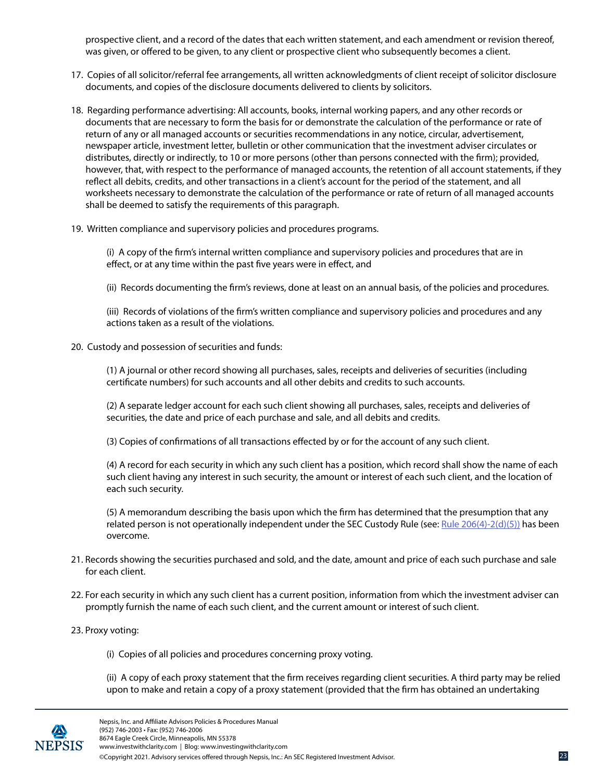prospective client, and a record of the dates that each written statement, and each amendment or revision thereof, was given, or offered to be given, to any client or prospective client who subsequently becomes a client.

- 17. Copies of all solicitor/referral fee arrangements, all written acknowledgments of client receipt of solicitor disclosure documents, and copies of the disclosure documents delivered to clients by solicitors.
- 18. Regarding performance advertising: All accounts, books, internal working papers, and any other records or documents that are necessary to form the basis for or demonstrate the calculation of the performance or rate of return of any or all managed accounts or securities recommendations in any notice, circular, advertisement, newspaper article, investment letter, bulletin or other communication that the investment adviser circulates or distributes, directly or indirectly, to 10 or more persons (other than persons connected with the firm); provided, however, that, with respect to the performance of managed accounts, the retention of all account statements, if they reflect all debits, credits, and other transactions in a client's account for the period of the statement, and all worksheets necessary to demonstrate the calculation of the performance or rate of return of all managed accounts shall be deemed to satisfy the requirements of this paragraph.
- 19. Written compliance and supervisory policies and procedures programs.

 (i) A copy of the firm's internal written compliance and supervisory policies and procedures that are in effect, or at any time within the past five years were in effect, and

(ii) Records documenting the firm's reviews, done at least on an annual basis, of the policies and procedures.

 (iii) Records of violations of the firm's written compliance and supervisory policies and procedures and any actions taken as a result of the violations.

20. Custody and possession of securities and funds:

 (1) A journal or other record showing all purchases, sales, receipts and deliveries of securities (including certificate numbers) for such accounts and all other debits and credits to such accounts.

 (2) A separate ledger account for each such client showing all purchases, sales, receipts and deliveries of securities, the date and price of each purchase and sale, and all debits and credits.

(3) Copies of confirmations of all transactions effected by or for the account of any such client.

 (4) A record for each security in which any such client has a position, which record shall show the name of each such client having any interest in such security, the amount or interest of each such client, and the location of each such security.

 (5) A memorandum describing the basis upon which the firm has determined that the presumption that any related person is not operationally independent under the SEC Custody Rule (see: Rule  $206(4)-2(d)(5)$ ) has been overcome.

- 21. Records showing the securities purchased and sold, and the date, amount and price of each such purchase and sale for each client.
- 22. For each security in which any such client has a current position, information from which the investment adviser can promptly furnish the name of each such client, and the current amount or interest of such client.
- 23. Proxy voting:
	- (i) Copies of all policies and procedures concerning proxy voting.

 (ii) A copy of each proxy statement that the firm receives regarding client securities. A third party may be relied upon to make and retain a copy of a proxy statement (provided that the firm has obtained an undertaking

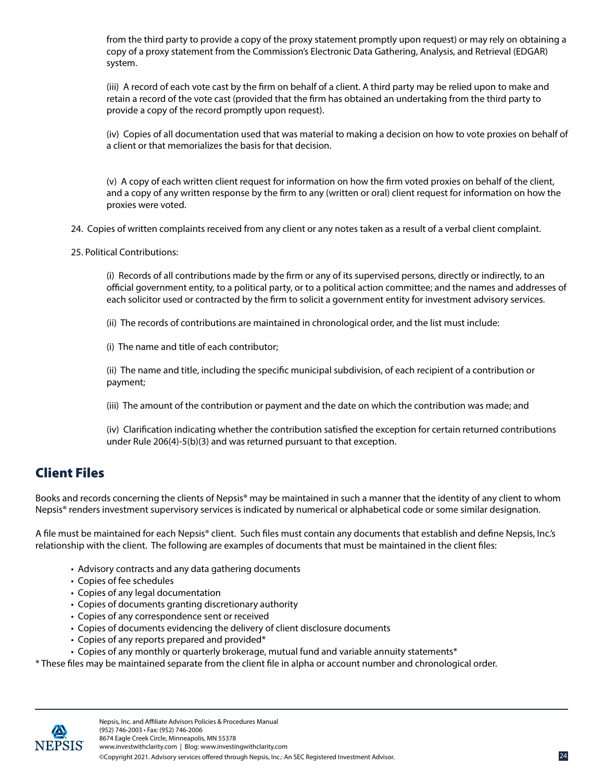from the third party to provide a copy of the proxy statement promptly upon request) or may rely on obtaining a copy of a proxy statement from the Commission's Electronic Data Gathering, Analysis, and Retrieval (EDGAR) system.

 (iii) A record of each vote cast by the firm on behalf of a client. A third party may be relied upon to make and retain a record of the vote cast (provided that the firm has obtained an undertaking from the third party to provide a copy of the record promptly upon request).

 (iv) Copies of all documentation used that was material to making a decision on how to vote proxies on behalf of a client or that memorializes the basis for that decision.

 (v) A copy of each written client request for information on how the firm voted proxies on behalf of the client, and a copy of any written response by the firm to any (written or oral) client request for information on how the proxies were voted.

- 24. Copies of written complaints received from any client or any notes taken as a result of a verbal client complaint.
- 25. Political Contributions:

 (i) Records of all contributions made by the firm or any of its supervised persons, directly or indirectly, to an official government entity, to a political party, or to a political action committee; and the names and addresses of each solicitor used or contracted by the firm to solicit a government entity for investment advisory services.

(ii) The records of contributions are maintained in chronological order, and the list must include:

(i) The name and title of each contributor;

 (ii) The name and title, including the specific municipal subdivision, of each recipient of a contribution or payment;

(iii) The amount of the contribution or payment and the date on which the contribution was made; and

 (iv) Clarification indicating whether the contribution satisfied the exception for certain returned contributions under Rule 206(4)-5(b)(3) and was returned pursuant to that exception.

# Client Files

Books and records concerning the clients of Nepsis® may be maintained in such a manner that the identity of any client to whom Nepsis® renders investment supervisory services is indicated by numerical or alphabetical code or some similar designation.

A file must be maintained for each Nepsis® client. Such files must contain any documents that establish and define Nepsis, Inc.'s relationship with the client. The following are examples of documents that must be maintained in the client files:

- Advisory contracts and any data gathering documents
- Copies of fee schedules
- Copies of any legal documentation
- Copies of documents granting discretionary authority
- Copies of any correspondence sent or received
- Copies of documents evidencing the delivery of client disclosure documents
- Copies of any reports prepared and provided\*
- Copies of any monthly or quarterly brokerage, mutual fund and variable annuity statements\*

\* These files may be maintained separate from the client file in alpha or account number and chronological order.

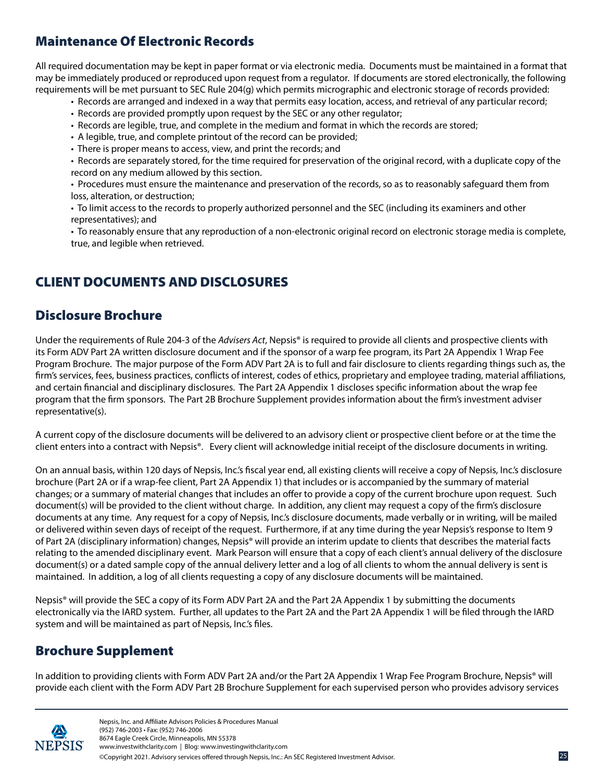# Maintenance Of Electronic Records

All required documentation may be kept in paper format or via electronic media. Documents must be maintained in a format that may be immediately produced or reproduced upon request from a regulator. If documents are stored electronically, the following requirements will be met pursuant to SEC Rule 204(g) which permits micrographic and electronic storage of records provided:

- Records are arranged and indexed in a way that permits easy location, access, and retrieval of any particular record;
- Records are provided promptly upon request by the SEC or any other regulator;
- Records are legible, true, and complete in the medium and format in which the records are stored;
- A legible, true, and complete printout of the record can be provided;
- There is proper means to access, view, and print the records; and

• Records are separately stored, for the time required for preservation of the original record, with a duplicate copy of the record on any medium allowed by this section.

- Procedures must ensure the maintenance and preservation of the records, so as to reasonably safeguard them from loss, alteration, or destruction;
- To limit access to the records to properly authorized personnel and the SEC (including its examiners and other representatives); and

• To reasonably ensure that any reproduction of a non-electronic original record on electronic storage media is complete, true, and legible when retrieved.

## CLIENT DOCUMENTS AND DISCLOSURES

#### Disclosure Brochure

Under the requirements of Rule 204-3 of the *Advisers Act*, Nepsis® is required to provide all clients and prospective clients with its Form ADV Part 2A written disclosure document and if the sponsor of a warp fee program, its Part 2A Appendix 1 Wrap Fee Program Brochure. The major purpose of the Form ADV Part 2A is to full and fair disclosure to clients regarding things such as, the firm's services, fees, business practices, conflicts of interest, codes of ethics, proprietary and employee trading, material affiliations, and certain financial and disciplinary disclosures. The Part 2A Appendix 1 discloses specific information about the wrap fee program that the firm sponsors. The Part 2B Brochure Supplement provides information about the firm's investment adviser representative(s).

A current copy of the disclosure documents will be delivered to an advisory client or prospective client before or at the time the client enters into a contract with Nepsis®. Every client will acknowledge initial receipt of the disclosure documents in writing.

On an annual basis, within 120 days of Nepsis, Inc.'s fiscal year end, all existing clients will receive a copy of Nepsis, Inc.'s disclosure brochure (Part 2A or if a wrap-fee client, Part 2A Appendix 1) that includes or is accompanied by the summary of material changes; or a summary of material changes that includes an offer to provide a copy of the current brochure upon request. Such document(s) will be provided to the client without charge. In addition, any client may request a copy of the firm's disclosure documents at any time. Any request for a copy of Nepsis, Inc.'s disclosure documents, made verbally or in writing, will be mailed or delivered within seven days of receipt of the request. Furthermore, if at any time during the year Nepsis's response to Item 9 of Part 2A (disciplinary information) changes, Nepsis® will provide an interim update to clients that describes the material facts relating to the amended disciplinary event. Mark Pearson will ensure that a copy of each client's annual delivery of the disclosure document(s) or a dated sample copy of the annual delivery letter and a log of all clients to whom the annual delivery is sent is maintained. In addition, a log of all clients requesting a copy of any disclosure documents will be maintained.

Nepsis® will provide the SEC a copy of its Form ADV Part 2A and the Part 2A Appendix 1 by submitting the documents electronically via the IARD system. Further, all updates to the Part 2A and the Part 2A Appendix 1 will be filed through the IARD system and will be maintained as part of Nepsis, Inc.'s files.

#### Brochure Supplement

In addition to providing clients with Form ADV Part 2A and/or the Part 2A Appendix 1 Wrap Fee Program Brochure, Nepsis® will provide each client with the Form ADV Part 2B Brochure Supplement for each supervised person who provides advisory services

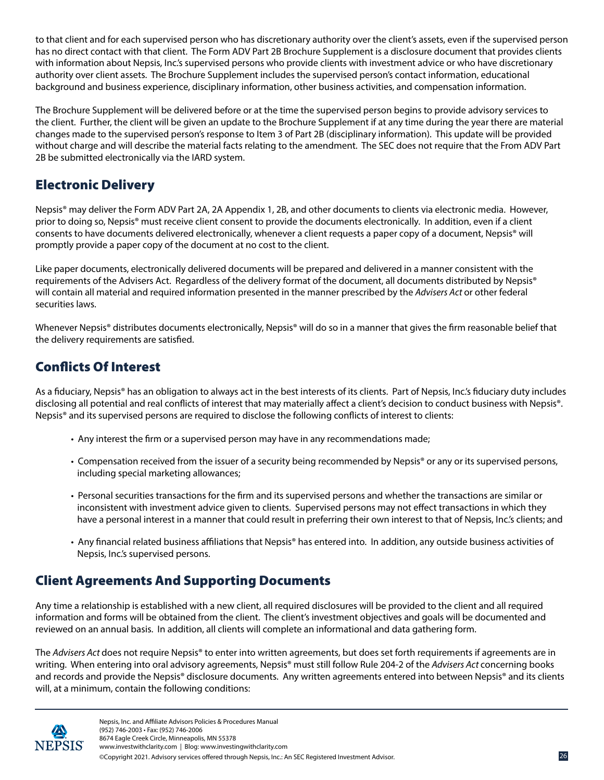to that client and for each supervised person who has discretionary authority over the client's assets, even if the supervised person has no direct contact with that client. The Form ADV Part 2B Brochure Supplement is a disclosure document that provides clients with information about Nepsis, Inc.'s supervised persons who provide clients with investment advice or who have discretionary authority over client assets. The Brochure Supplement includes the supervised person's contact information, educational background and business experience, disciplinary information, other business activities, and compensation information.

The Brochure Supplement will be delivered before or at the time the supervised person begins to provide advisory services to the client. Further, the client will be given an update to the Brochure Supplement if at any time during the year there are material changes made to the supervised person's response to Item 3 of Part 2B (disciplinary information). This update will be provided without charge and will describe the material facts relating to the amendment. The SEC does not require that the From ADV Part 2B be submitted electronically via the IARD system.

## Electronic Delivery

Nepsis® may deliver the Form ADV Part 2A, 2A Appendix 1, 2B, and other documents to clients via electronic media. However, prior to doing so, Nepsis® must receive client consent to provide the documents electronically. In addition, even if a client consents to have documents delivered electronically, whenever a client requests a paper copy of a document, Nepsis® will promptly provide a paper copy of the document at no cost to the client.

Like paper documents, electronically delivered documents will be prepared and delivered in a manner consistent with the requirements of the Advisers Act. Regardless of the delivery format of the document, all documents distributed by Nepsis® will contain all material and required information presented in the manner prescribed by the *Advisers Act* or other federal securities laws.

Whenever Nepsis® distributes documents electronically, Nepsis® will do so in a manner that gives the firm reasonable belief that the delivery requirements are satisfied.

# Conflicts Of Interest

As a fiduciary, Nepsis® has an obligation to always act in the best interests of its clients. Part of Nepsis, Inc.'s fiduciary duty includes disclosing all potential and real conflicts of interest that may materially affect a client's decision to conduct business with Nepsis®. Nepsis® and its supervised persons are required to disclose the following conflicts of interest to clients:

- Any interest the firm or a supervised person may have in any recommendations made;
- Compensation received from the issuer of a security being recommended by Nepsis® or any or its supervised persons, including special marketing allowances;
- Personal securities transactions for the firm and its supervised persons and whether the transactions are similar or inconsistent with investment advice given to clients. Supervised persons may not effect transactions in which they have a personal interest in a manner that could result in preferring their own interest to that of Nepsis, Inc.'s clients; and
- Any financial related business affiliations that Nepsis® has entered into. In addition, any outside business activities of Nepsis, Inc.'s supervised persons.

# Client Agreements And Supporting Documents

Any time a relationship is established with a new client, all required disclosures will be provided to the client and all required information and forms will be obtained from the client. The client's investment objectives and goals will be documented and reviewed on an annual basis. In addition, all clients will complete an informational and data gathering form.

The *Advisers Act* does not require Nepsis® to enter into written agreements, but does set forth requirements if agreements are in writing. When entering into oral advisory agreements, Nepsis® must still follow Rule 204-2 of the *Advisers Act* concerning books and records and provide the Nepsis® disclosure documents. Any written agreements entered into between Nepsis® and its clients will, at a minimum, contain the following conditions:

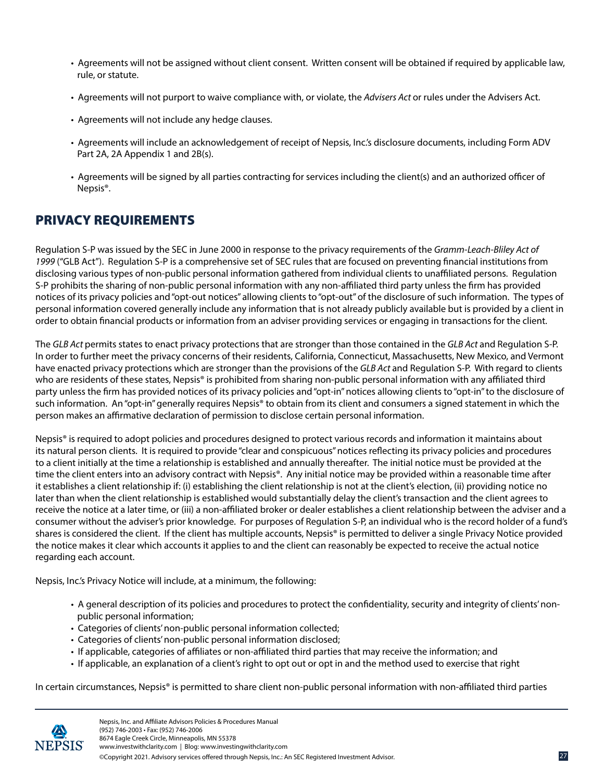- Agreements will not be assigned without client consent. Written consent will be obtained if required by applicable law, rule, or statute.
- Agreements will not purport to waive compliance with, or violate, the *Advisers Act* or rules under the Advisers Act.
- Agreements will not include any hedge clauses.
- Agreements will include an acknowledgement of receipt of Nepsis, Inc.'s disclosure documents, including Form ADV Part 2A, 2A Appendix 1 and 2B(s).
- Agreements will be signed by all parties contracting for services including the client(s) and an authorized officer of Nepsis®.

#### PRIVACY REQUIREMENTS

Regulation S-P was issued by the SEC in June 2000 in response to the privacy requirements of the *Gramm-Leach-Bliley Act of 1999* ("GLB Act"). Regulation S-P is a comprehensive set of SEC rules that are focused on preventing financial institutions from disclosing various types of non-public personal information gathered from individual clients to unaffiliated persons. Regulation S-P prohibits the sharing of non-public personal information with any non-affiliated third party unless the firm has provided notices of its privacy policies and "opt-out notices" allowing clients to "opt-out" of the disclosure of such information. The types of personal information covered generally include any information that is not already publicly available but is provided by a client in order to obtain financial products or information from an adviser providing services or engaging in transactions for the client.

The *GLB Act* permits states to enact privacy protections that are stronger than those contained in the *GLB Act* and Regulation S-P. In order to further meet the privacy concerns of their residents, California, Connecticut, Massachusetts, New Mexico, and Vermont have enacted privacy protections which are stronger than the provisions of the *GLB Act* and Regulation S-P. With regard to clients who are residents of these states, Nepsis® is prohibited from sharing non-public personal information with any affiliated third party unless the firm has provided notices of its privacy policies and "opt-in" notices allowing clients to "opt-in" to the disclosure of such information. An "opt-in" generally requires Nepsis® to obtain from its client and consumers a signed statement in which the person makes an affirmative declaration of permission to disclose certain personal information.

Nepsis® is required to adopt policies and procedures designed to protect various records and information it maintains about its natural person clients. It is required to provide "clear and conspicuous" notices reflecting its privacy policies and procedures to a client initially at the time a relationship is established and annually thereafter. The initial notice must be provided at the time the client enters into an advisory contract with Nepsis®. Any initial notice may be provided within a reasonable time after it establishes a client relationship if: (i) establishing the client relationship is not at the client's election, (ii) providing notice no later than when the client relationship is established would substantially delay the client's transaction and the client agrees to receive the notice at a later time, or (iii) a non-affiliated broker or dealer establishes a client relationship between the adviser and a consumer without the adviser's prior knowledge. For purposes of Regulation S-P, an individual who is the record holder of a fund's shares is considered the client. If the client has multiple accounts, Nepsis® is permitted to deliver a single Privacy Notice provided the notice makes it clear which accounts it applies to and the client can reasonably be expected to receive the actual notice regarding each account.

Nepsis, Inc.'s Privacy Notice will include, at a minimum, the following:

- A general description of its policies and procedures to protect the confidentiality, security and integrity of clients' non public personal information;
- Categories of clients' non-public personal information collected;
- Categories of clients' non-public personal information disclosed;
- If applicable, categories of affiliates or non-affiliated third parties that may receive the information; and
- If applicable, an explanation of a client's right to opt out or opt in and the method used to exercise that right

In certain circumstances, Nepsis® is permitted to share client non-public personal information with non-affiliated third parties

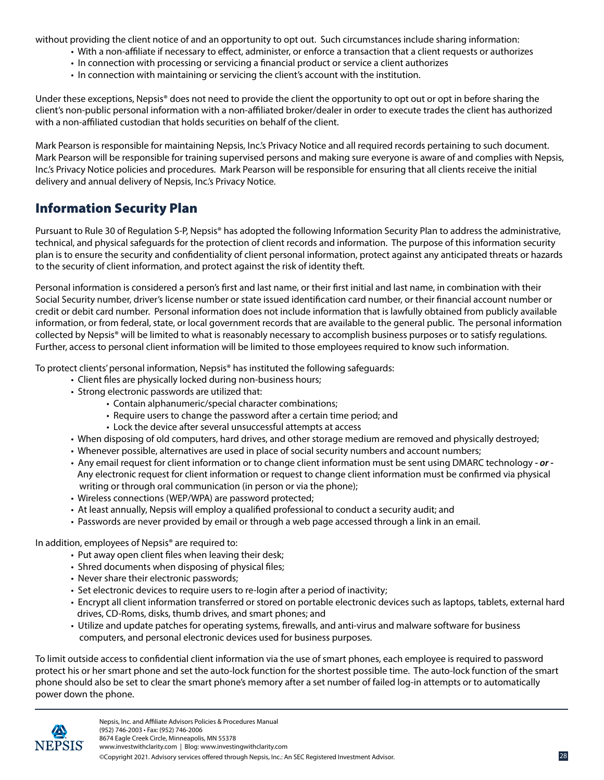without providing the client notice of and an opportunity to opt out. Such circumstances include sharing information:

- With a non-affiliate if necessary to effect, administer, or enforce a transaction that a client requests or authorizes
- In connection with processing or servicing a financial product or service a client authorizes
- In connection with maintaining or servicing the client's account with the institution.

Under these exceptions, Nepsis® does not need to provide the client the opportunity to opt out or opt in before sharing the client's non-public personal information with a non-affiliated broker/dealer in order to execute trades the client has authorized with a non-affiliated custodian that holds securities on behalf of the client.

Mark Pearson is responsible for maintaining Nepsis, Inc.'s Privacy Notice and all required records pertaining to such document. Mark Pearson will be responsible for training supervised persons and making sure everyone is aware of and complies with Nepsis, Inc.'s Privacy Notice policies and procedures. Mark Pearson will be responsible for ensuring that all clients receive the initial delivery and annual delivery of Nepsis, Inc.'s Privacy Notice.

## Information Security Plan

Pursuant to Rule 30 of Regulation S-P, Nepsis® has adopted the following Information Security Plan to address the administrative, technical, and physical safeguards for the protection of client records and information. The purpose of this information security plan is to ensure the security and confidentiality of client personal information, protect against any anticipated threats or hazards to the security of client information, and protect against the risk of identity theft.

Personal information is considered a person's first and last name, or their first initial and last name, in combination with their Social Security number, driver's license number or state issued identification card number, or their financial account number or credit or debit card number. Personal information does not include information that is lawfully obtained from publicly available information, or from federal, state, or local government records that are available to the general public. The personal information collected by Nepsis® will be limited to what is reasonably necessary to accomplish business purposes or to satisfy regulations. Further, access to personal client information will be limited to those employees required to know such information.

To protect clients' personal information, Nepsis® has instituted the following safeguards:

- Client files are physically locked during non-business hours;
- Strong electronic passwords are utilized that:
	- Contain alphanumeric/special character combinations;
	- Require users to change the password after a certain time period; and
	- Lock the device after several unsuccessful attempts at access
- When disposing of old computers, hard drives, and other storage medium are removed and physically destroyed;
- Whenever possible, alternatives are used in place of social security numbers and account numbers;
- Any email request for client information or to change client information must be sent using DMARC technology  *or*  Any electronic request for client information or request to change client information must be confirmed via physical writing or through oral communication (in person or via the phone);
- Wireless connections (WEP/WPA) are password protected;
- At least annually, Nepsis will employ a qualified professional to conduct a security audit; and
- Passwords are never provided by email or through a web page accessed through a link in an email.

In addition, employees of Nepsis<sup>®</sup> are required to:

- Put away open client files when leaving their desk;
- Shred documents when disposing of physical files;
- Never share their electronic passwords;
- Set electronic devices to require users to re-login after a period of inactivity;
- Encrypt all client information transferred or stored on portable electronic devices such as laptops, tablets, external hard drives, CD-Roms, disks, thumb drives, and smart phones; and
- Utilize and update patches for operating systems, firewalls, and anti-virus and malware software for business computers, and personal electronic devices used for business purposes.

To limit outside access to confidential client information via the use of smart phones, each employee is required to password protect his or her smart phone and set the auto-lock function for the shortest possible time. The auto-lock function of the smart phone should also be set to clear the smart phone's memory after a set number of failed log-in attempts or to automatically power down the phone.

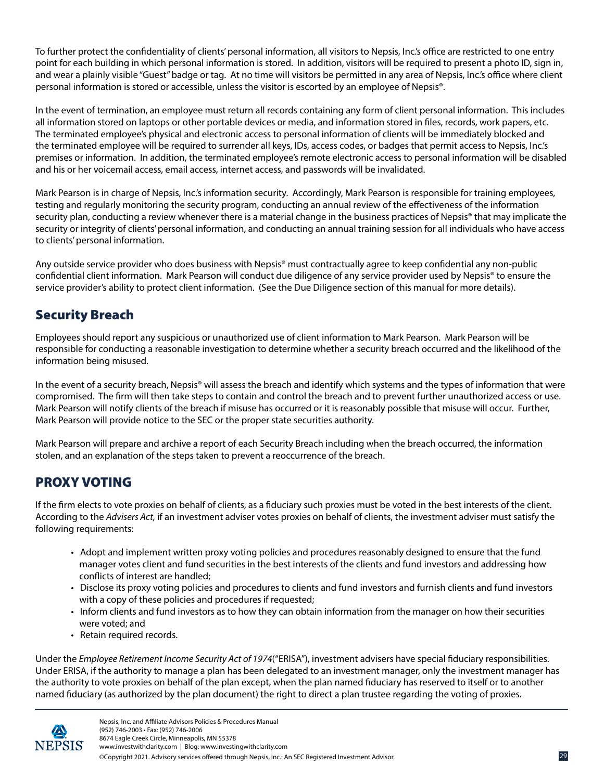To further protect the confidentiality of clients' personal information, all visitors to Nepsis, Inc.'s office are restricted to one entry point for each building in which personal information is stored. In addition, visitors will be required to present a photo ID, sign in, and wear a plainly visible "Guest" badge or tag. At no time will visitors be permitted in any area of Nepsis, Inc.'s office where client personal information is stored or accessible, unless the visitor is escorted by an employee of Nepsis®.

In the event of termination, an employee must return all records containing any form of client personal information. This includes all information stored on laptops or other portable devices or media, and information stored in files, records, work papers, etc. The terminated employee's physical and electronic access to personal information of clients will be immediately blocked and the terminated employee will be required to surrender all keys, IDs, access codes, or badges that permit access to Nepsis, Inc.'s premises or information. In addition, the terminated employee's remote electronic access to personal information will be disabled and his or her voicemail access, email access, internet access, and passwords will be invalidated.

Mark Pearson is in charge of Nepsis, Inc.'s information security. Accordingly, Mark Pearson is responsible for training employees, testing and regularly monitoring the security program, conducting an annual review of the effectiveness of the information security plan, conducting a review whenever there is a material change in the business practices of Nepsis® that may implicate the security or integrity of clients' personal information, and conducting an annual training session for all individuals who have access to clients' personal information.

Any outside service provider who does business with Nepsis® must contractually agree to keep confidential any non-public confidential client information. Mark Pearson will conduct due diligence of any service provider used by Nepsis® to ensure the service provider's ability to protect client information. (See the Due Diligence section of this manual for more details).

# Security Breach

Employees should report any suspicious or unauthorized use of client information to Mark Pearson. Mark Pearson will be responsible for conducting a reasonable investigation to determine whether a security breach occurred and the likelihood of the information being misused.

In the event of a security breach, Nepsis® will assess the breach and identify which systems and the types of information that were compromised. The firm will then take steps to contain and control the breach and to prevent further unauthorized access or use. Mark Pearson will notify clients of the breach if misuse has occurred or it is reasonably possible that misuse will occur. Further, Mark Pearson will provide notice to the SEC or the proper state securities authority.

Mark Pearson will prepare and archive a report of each Security Breach including when the breach occurred, the information stolen, and an explanation of the steps taken to prevent a reoccurrence of the breach.

# PROXY VOTING

If the firm elects to vote proxies on behalf of clients, as a fiduciary such proxies must be voted in the best interests of the client. According to the *Advisers Act,* if an investment adviser votes proxies on behalf of clients, the investment adviser must satisfy the following requirements:

- Adopt and implement written proxy voting policies and procedures reasonably designed to ensure that the fund manager votes client and fund securities in the best interests of the clients and fund investors and addressing how conflicts of interest are handled;
- Disclose its proxy voting policies and procedures to clients and fund investors and furnish clients and fund investors with a copy of these policies and procedures if requested;
- Inform clients and fund investors as to how they can obtain information from the manager on how their securities were voted; and
- Retain required records.

Under the *Employee Retirement Income Security Act of 1974*("ERISA"), investment advisers have special fiduciary responsibilities. Under ERISA, if the authority to manage a plan has been delegated to an investment manager, only the investment manager has the authority to vote proxies on behalf of the plan except, when the plan named fiduciary has reserved to itself or to another named fiduciary (as authorized by the plan document) the right to direct a plan trustee regarding the voting of proxies.

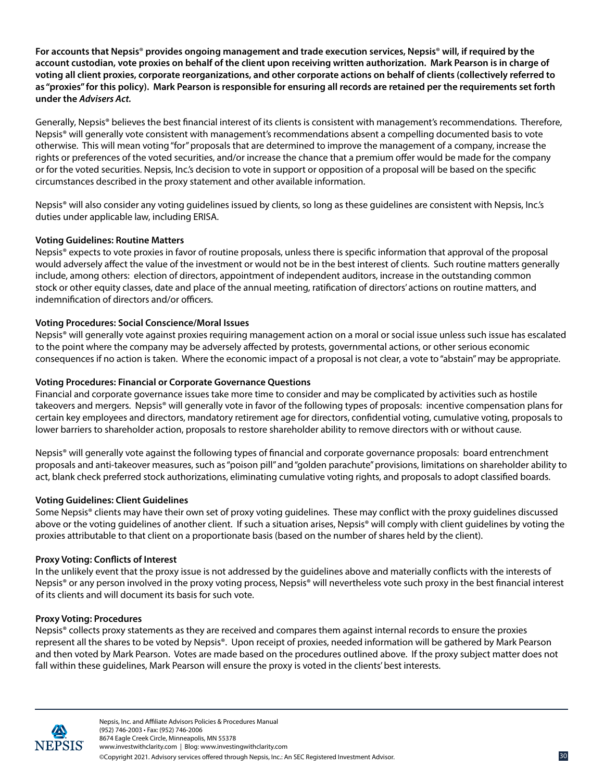**For accounts that Nepsis**® **provides ongoing management and trade execution services, Nepsis**® **will, if required by the account custodian, vote proxies on behalf of the client upon receiving written authorization. Mark Pearson is in charge of voting all client proxies, corporate reorganizations, and other corporate actions on behalf of clients (collectively referred to as "proxies" for this policy). Mark Pearson is responsible for ensuring all records are retained per the requirements set forth under the** *Advisers Act.*

Generally, Nepsis® believes the best financial interest of its clients is consistent with management's recommendations. Therefore, Nepsis® will generally vote consistent with management's recommendations absent a compelling documented basis to vote otherwise. This will mean voting "for" proposals that are determined to improve the management of a company, increase the rights or preferences of the voted securities, and/or increase the chance that a premium offer would be made for the company or for the voted securities. Nepsis, Inc.'s decision to vote in support or opposition of a proposal will be based on the specific circumstances described in the proxy statement and other available information.

Nepsis® will also consider any voting guidelines issued by clients, so long as these guidelines are consistent with Nepsis, Inc.'s duties under applicable law, including ERISA.

#### **Voting Guidelines: Routine Matters**

Nepsis® expects to vote proxies in favor of routine proposals, unless there is specific information that approval of the proposal would adversely affect the value of the investment or would not be in the best interest of clients. Such routine matters generally include, among others: election of directors, appointment of independent auditors, increase in the outstanding common stock or other equity classes, date and place of the annual meeting, ratification of directors' actions on routine matters, and indemnification of directors and/or officers.

#### **Voting Procedures: Social Conscience/Moral Issues**

Nepsis® will generally vote against proxies requiring management action on a moral or social issue unless such issue has escalated to the point where the company may be adversely affected by protests, governmental actions, or other serious economic consequences if no action is taken. Where the economic impact of a proposal is not clear, a vote to "abstain" may be appropriate.

#### **Voting Procedures: Financial or Corporate Governance Questions**

Financial and corporate governance issues take more time to consider and may be complicated by activities such as hostile takeovers and mergers. Nepsis® will generally vote in favor of the following types of proposals: incentive compensation plans for certain key employees and directors, mandatory retirement age for directors, confidential voting, cumulative voting, proposals to lower barriers to shareholder action, proposals to restore shareholder ability to remove directors with or without cause.

Nepsis® will generally vote against the following types of financial and corporate governance proposals: board entrenchment proposals and anti-takeover measures, such as "poison pill" and "golden parachute" provisions, limitations on shareholder ability to act, blank check preferred stock authorizations, eliminating cumulative voting rights, and proposals to adopt classified boards.

#### **Voting Guidelines: Client Guidelines**

Some Nepsis® clients may have their own set of proxy voting guidelines. These may conflict with the proxy guidelines discussed above or the voting guidelines of another client. If such a situation arises, Nepsis® will comply with client guidelines by voting the proxies attributable to that client on a proportionate basis (based on the number of shares held by the client).

#### **Proxy Voting: Conflicts of Interest**

In the unlikely event that the proxy issue is not addressed by the guidelines above and materially conflicts with the interests of Nepsis® or any person involved in the proxy voting process, Nepsis® will nevertheless vote such proxy in the best financial interest of its clients and will document its basis for such vote.

#### **Proxy Voting: Procedures**

Nepsis® collects proxy statements as they are received and compares them against internal records to ensure the proxies represent all the shares to be voted by Nepsis®. Upon receipt of proxies, needed information will be gathered by Mark Pearson and then voted by Mark Pearson. Votes are made based on the procedures outlined above. If the proxy subject matter does not fall within these guidelines, Mark Pearson will ensure the proxy is voted in the clients' best interests.

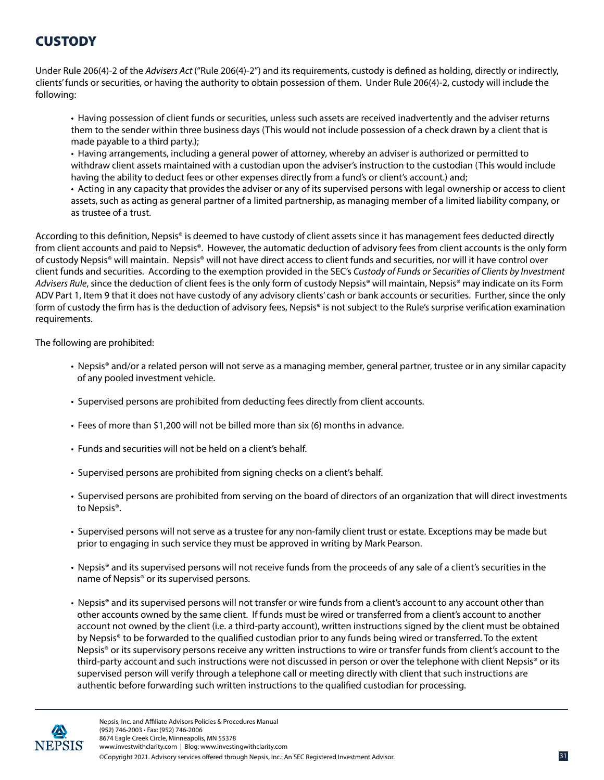# **CUSTODY**

Under Rule 206(4)-2 of the *Advisers Act* ("Rule 206(4)-2") and its requirements, custody is defined as holding, directly or indirectly, clients' funds or securities, or having the authority to obtain possession of them. Under Rule 206(4)-2, custody will include the following:

• Having possession of client funds or securities, unless such assets are received inadvertently and the adviser returns them to the sender within three business days (This would not include possession of a check drawn by a client that is made payable to a third party.);

• Having arrangements, including a general power of attorney, whereby an adviser is authorized or permitted to withdraw client assets maintained with a custodian upon the adviser's instruction to the custodian (This would include having the ability to deduct fees or other expenses directly from a fund's or client's account.) and;

• Acting in any capacity that provides the adviser or any of its supervised persons with legal ownership or access to client assets, such as acting as general partner of a limited partnership, as managing member of a limited liability company, or as trustee of a trust.

According to this definition, Nepsis® is deemed to have custody of client assets since it has management fees deducted directly from client accounts and paid to Nepsis®. However, the automatic deduction of advisory fees from client accounts is the only form of custody Nepsis® will maintain. Nepsis® will not have direct access to client funds and securities, nor will it have control over client funds and securities. According to the exemption provided in the SEC's *Custody of Funds or Securities of Clients by Investment Advisers Rule*, since the deduction of client fees is the only form of custody Nepsis® will maintain, Nepsis® may indicate on its Form ADV Part 1, Item 9 that it does not have custody of any advisory clients' cash or bank accounts or securities. Further, since the only form of custody the firm has is the deduction of advisory fees, Nepsis® is not subject to the Rule's surprise verification examination requirements.

The following are prohibited:

- Nepsis® and/or a related person will not serve as a managing member, general partner, trustee or in any similar capacity of any pooled investment vehicle.
- Supervised persons are prohibited from deducting fees directly from client accounts.
- Fees of more than \$1,200 will not be billed more than six (6) months in advance.
- Funds and securities will not be held on a client's behalf.
- Supervised persons are prohibited from signing checks on a client's behalf.
- Supervised persons are prohibited from serving on the board of directors of an organization that will direct investments to Nepsis®.
- Supervised persons will not serve as a trustee for any non-family client trust or estate. Exceptions may be made but prior to engaging in such service they must be approved in writing by Mark Pearson.
- Nepsis® and its supervised persons will not receive funds from the proceeds of any sale of a client's securities in the name of Nepsis® or its supervised persons.
- Nepsis® and its supervised persons will not transfer or wire funds from a client's account to any account other than other accounts owned by the same client. If funds must be wired or transferred from a client's account to another account not owned by the client (i.e. a third-party account), written instructions signed by the client must be obtained by Nepsis® to be forwarded to the qualified custodian prior to any funds being wired or transferred. To the extent Nepsis® or its supervisory persons receive any written instructions to wire or transfer funds from client's account to the third-party account and such instructions were not discussed in person or over the telephone with client Nepsis® or its supervised person will verify through a telephone call or meeting directly with client that such instructions are authentic before forwarding such written instructions to the qualified custodian for processing.

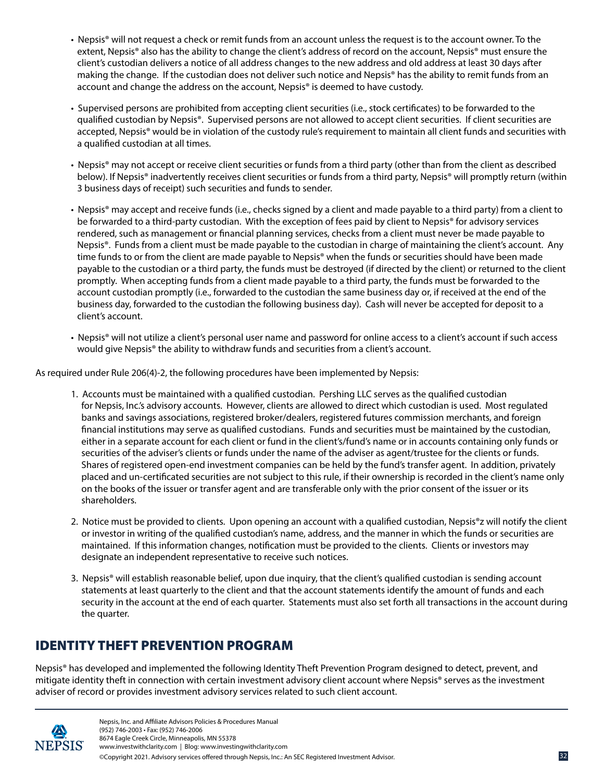- Nepsis® will not request a check or remit funds from an account unless the request is to the account owner. To the extent, Nepsis® also has the ability to change the client's address of record on the account, Nepsis® must ensure the client's custodian delivers a notice of all address changes to the new address and old address at least 30 days after making the change. If the custodian does not deliver such notice and Nepsis® has the ability to remit funds from an account and change the address on the account, Nepsis® is deemed to have custody.
- Supervised persons are prohibited from accepting client securities (i.e., stock certificates) to be forwarded to the qualified custodian by Nepsis®. Supervised persons are not allowed to accept client securities. If client securities are accepted, Nepsis® would be in violation of the custody rule's requirement to maintain all client funds and securities with a qualified custodian at all times.
- Nepsis® may not accept or receive client securities or funds from a third party (other than from the client as described below). If Nepsis® inadvertently receives client securities or funds from a third party, Nepsis® will promptly return (within 3 business days of receipt) such securities and funds to sender.
- Nepsis® may accept and receive funds (i.e., checks signed by a client and made payable to a third party) from a client to be forwarded to a third-party custodian. With the exception of fees paid by client to Nepsis® for advisory services rendered, such as management or financial planning services, checks from a client must never be made payable to Nepsis®. Funds from a client must be made payable to the custodian in charge of maintaining the client's account. Any time funds to or from the client are made payable to Nepsis® when the funds or securities should have been made payable to the custodian or a third party, the funds must be destroyed (if directed by the client) or returned to the client promptly. When accepting funds from a client made payable to a third party, the funds must be forwarded to the account custodian promptly (i.e., forwarded to the custodian the same business day or, if received at the end of the business day, forwarded to the custodian the following business day). Cash will never be accepted for deposit to a client's account.
- Nepsis® will not utilize a client's personal user name and password for online access to a client's account if such access would give Nepsis® the ability to withdraw funds and securities from a client's account.

As required under Rule 206(4)-2, the following procedures have been implemented by Nepsis:

- 1. Accounts must be maintained with a qualified custodian. Pershing LLC serves as the qualified custodian for Nepsis, Inc.'s advisory accounts. However, clients are allowed to direct which custodian is used. Most regulated banks and savings associations, registered broker/dealers, registered futures commission merchants, and foreign financial institutions may serve as qualified custodians. Funds and securities must be maintained by the custodian, either in a separate account for each client or fund in the client's/fund's name or in accounts containing only funds or securities of the adviser's clients or funds under the name of the adviser as agent/trustee for the clients or funds. Shares of registered open-end investment companies can be held by the fund's transfer agent. In addition, privately placed and un-certificated securities are not subject to this rule, if their ownership is recorded in the client's name only on the books of the issuer or transfer agent and are transferable only with the prior consent of the issuer or its shareholders.
- 2. Notice must be provided to clients. Upon opening an account with a qualified custodian, Nepsis®z will notify the client or investor in writing of the qualified custodian's name, address, and the manner in which the funds or securities are maintained. If this information changes, notification must be provided to the clients. Clients or investors may designate an independent representative to receive such notices.
- 3. Nepsis® will establish reasonable belief, upon due inquiry, that the client's qualified custodian is sending account statements at least quarterly to the client and that the account statements identify the amount of funds and each security in the account at the end of each quarter. Statements must also set forth all transactions in the account during the quarter.

# IDENTITY THEFT PREVENTION PROGRAM

Nepsis® has developed and implemented the following Identity Theft Prevention Program designed to detect, prevent, and mitigate identity theft in connection with certain investment advisory client account where Nepsis® serves as the investment adviser of record or provides investment advisory services related to such client account.

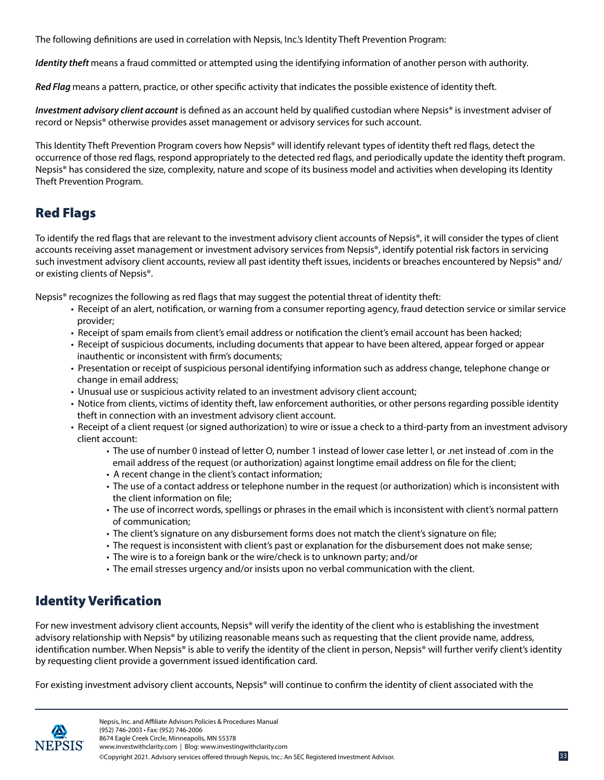The following definitions are used in correlation with Nepsis, Inc.'s Identity Theft Prevention Program:

*Identity theft* means a fraud committed or attempted using the identifying information of another person with authority.

*Red Flag* means a pattern, practice, or other specific activity that indicates the possible existence of identity theft.

*Investment advisory client account* is defined as an account held by qualified custodian where Nepsis® is investment adviser of record or Nepsis® otherwise provides asset management or advisory services for such account.

This Identity Theft Prevention Program covers how Nepsis® will identify relevant types of identity theft red flags, detect the occurrence of those red flags, respond appropriately to the detected red flags, and periodically update the identity theft program. Nepsis® has considered the size, complexity, nature and scope of its business model and activities when developing its Identity Theft Prevention Program.

# Red Flags

To identify the red flags that are relevant to the investment advisory client accounts of Nepsis®, it will consider the types of client accounts receiving asset management or investment advisory services from Nepsis®, identify potential risk factors in servicing such investment advisory client accounts, review all past identity theft issues, incidents or breaches encountered by Nepsis® and/ or existing clients of Nepsis®.

Nepsis® recognizes the following as red flags that may suggest the potential threat of identity theft:

- Receipt of an alert, notification, or warning from a consumer reporting agency, fraud detection service or similar service provider;
- Receipt of spam emails from client's email address or notification the client's email account has been hacked;
- Receipt of suspicious documents, including documents that appear to have been altered, appear forged or appear inauthentic or inconsistent with firm's documents;
- Presentation or receipt of suspicious personal identifying information such as address change, telephone change or change in email address;
- Unusual use or suspicious activity related to an investment advisory client account;
- Notice from clients, victims of identity theft, law enforcement authorities, or other persons regarding possible identity theft in connection with an investment advisory client account.
- Receipt of a client request (or signed authorization) to wire or issue a check to a third-party from an investment advisory client account:
	- The use of number 0 instead of letter O, number 1 instead of lower case letter l, or .net instead of .com in the email address of the request (or authorization) against longtime email address on file for the client;
	- A recent change in the client's contact information;
	- The use of a contact address or telephone number in the request (or authorization) which is inconsistent with the client information on file;
	- The use of incorrect words, spellings or phrases in the email which is inconsistent with client's normal pattern of communication;
	- The client's signature on any disbursement forms does not match the client's signature on file;
	- The request is inconsistent with client's past or explanation for the disbursement does not make sense;
	- The wire is to a foreign bank or the wire/check is to unknown party; and/or
	- The email stresses urgency and/or insists upon no verbal communication with the client.

# Identity Verification

For new investment advisory client accounts, Nepsis® will verify the identity of the client who is establishing the investment advisory relationship with Nepsis® by utilizing reasonable means such as requesting that the client provide name, address, identification number. When Nepsis® is able to verify the identity of the client in person, Nepsis® will further verify client's identity by requesting client provide a government issued identification card.

For existing investment advisory client accounts, Nepsis® will continue to confirm the identity of client associated with the

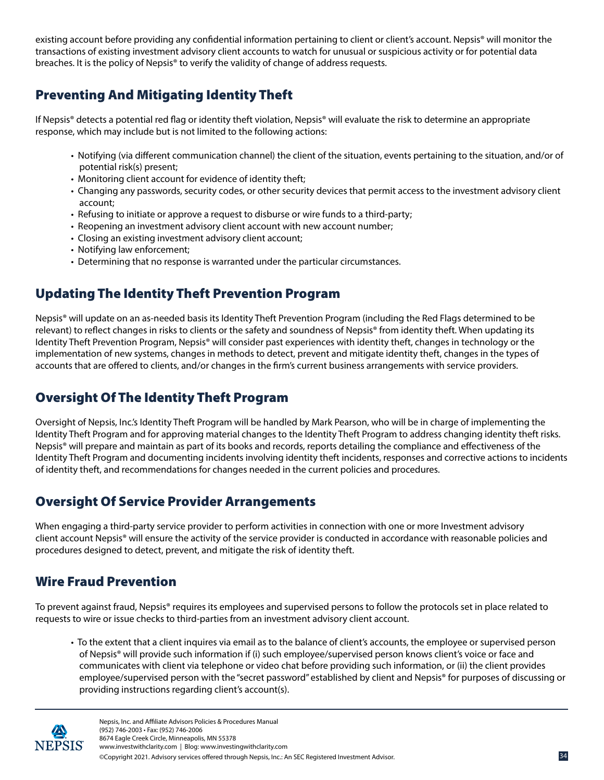existing account before providing any confidential information pertaining to client or client's account. Nepsis® will monitor the transactions of existing investment advisory client accounts to watch for unusual or suspicious activity or for potential data breaches. It is the policy of Nepsis® to verify the validity of change of address requests.

# Preventing And Mitigating Identity Theft

If Nepsis® detects a potential red flag or identity theft violation, Nepsis® will evaluate the risk to determine an appropriate response, which may include but is not limited to the following actions:

- Notifying (via different communication channel) the client of the situation, events pertaining to the situation, and/or of potential risk(s) present;
- Monitoring client account for evidence of identity theft;
- Changing any passwords, security codes, or other security devices that permit access to the investment advisory client account;
- Refusing to initiate or approve a request to disburse or wire funds to a third-party;
- Reopening an investment advisory client account with new account number;
- Closing an existing investment advisory client account;
- Notifying law enforcement;
- Determining that no response is warranted under the particular circumstances.

#### Updating The Identity Theft Prevention Program

Nepsis® will update on an as-needed basis its Identity Theft Prevention Program (including the Red Flags determined to be relevant) to reflect changes in risks to clients or the safety and soundness of Nepsis® from identity theft. When updating its Identity Theft Prevention Program, Nepsis® will consider past experiences with identity theft, changes in technology or the implementation of new systems, changes in methods to detect, prevent and mitigate identity theft, changes in the types of accounts that are offered to clients, and/or changes in the firm's current business arrangements with service providers.

# Oversight Of The Identity Theft Program

Oversight of Nepsis, Inc.'s Identity Theft Program will be handled by Mark Pearson, who will be in charge of implementing the Identity Theft Program and for approving material changes to the Identity Theft Program to address changing identity theft risks. Nepsis® will prepare and maintain as part of its books and records, reports detailing the compliance and effectiveness of the Identity Theft Program and documenting incidents involving identity theft incidents, responses and corrective actions to incidents of identity theft, and recommendations for changes needed in the current policies and procedures.

#### Oversight Of Service Provider Arrangements

When engaging a third-party service provider to perform activities in connection with one or more Investment advisory client account Nepsis® will ensure the activity of the service provider is conducted in accordance with reasonable policies and procedures designed to detect, prevent, and mitigate the risk of identity theft.

#### Wire Fraud Prevention

To prevent against fraud, Nepsis® requires its employees and supervised persons to follow the protocols set in place related to requests to wire or issue checks to third-parties from an investment advisory client account.

• To the extent that a client inquires via email as to the balance of client's accounts, the employee or supervised person of Nepsis® will provide such information if (i) such employee/supervised person knows client's voice or face and communicates with client via telephone or video chat before providing such information, or (ii) the client provides employee/supervised person with the "secret password" established by client and Nepsis® for purposes of discussing or providing instructions regarding client's account(s).

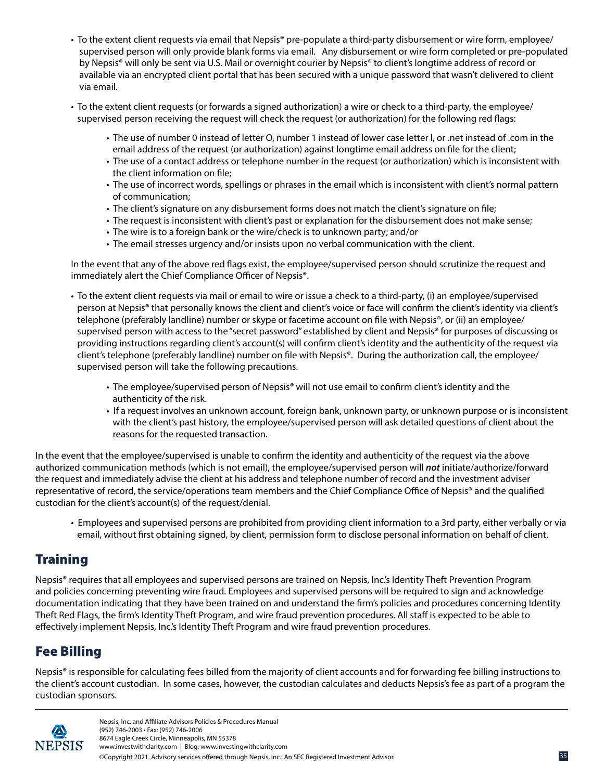- To the extent client requests via email that Nepsis® pre-populate a third-party disbursement or wire form, employee/ supervised person will only provide blank forms via email. Any disbursement or wire form completed or pre-populated by Nepsis® will only be sent via U.S. Mail or overnight courier by Nepsis® to client's longtime address of record or available via an encrypted client portal that has been secured with a unique password that wasn't delivered to client via email.
- To the extent client requests (or forwards a signed authorization) a wire or check to a third-party, the employee/ supervised person receiving the request will check the request (or authorization) for the following red flags:
	- The use of number 0 instead of letter O, number 1 instead of lower case letter l, or .net instead of .com in the email address of the request (or authorization) against longtime email address on file for the client;
	- The use of a contact address or telephone number in the request (or authorization) which is inconsistent with the client information on file;
	- The use of incorrect words, spellings or phrases in the email which is inconsistent with client's normal pattern of communication;
	- The client's signature on any disbursement forms does not match the client's signature on file;
	- The request is inconsistent with client's past or explanation for the disbursement does not make sense;
	- The wire is to a foreign bank or the wire/check is to unknown party; and/or
	- The email stresses urgency and/or insists upon no verbal communication with the client.

In the event that any of the above red flags exist, the employee/supervised person should scrutinize the request and immediately alert the Chief Compliance Officer of Nepsis®.

- To the extent client requests via mail or email to wire or issue a check to a third-party, (i) an employee/supervised person at Nepsis® that personally knows the client and client's voice or face will confirm the client's identity via client's telephone (preferably landline) number or skype or facetime account on file with Nepsis®, or (ii) an employee/ supervised person with access to the "secret password" established by client and Nepsis® for purposes of discussing or providing instructions regarding client's account(s) will confirm client's identity and the authenticity of the request via client's telephone (preferably landline) number on file with Nepsis®. During the authorization call, the employee/ supervised person will take the following precautions.
	- The employee/supervised person of Nepsis® will not use email to confirm client's identity and the authenticity of the risk.
	- If a request involves an unknown account, foreign bank, unknown party, or unknown purpose or is inconsistent with the client's past history, the employee/supervised person will ask detailed questions of client about the reasons for the requested transaction.

In the event that the employee/supervised is unable to confirm the identity and authenticity of the request via the above authorized communication methods (which is not email), the employee/supervised person will *not* initiate/authorize/forward the request and immediately advise the client at his address and telephone number of record and the investment adviser representative of record, the service/operations team members and the Chief Compliance Office of Nepsis® and the qualified custodian for the client's account(s) of the request/denial.

• Employees and supervised persons are prohibited from providing client information to a 3rd party, either verbally or via email, without first obtaining signed, by client, permission form to disclose personal information on behalf of client.

#### **Training**

Nepsis® requires that all employees and supervised persons are trained on Nepsis, Inc.'s Identity Theft Prevention Program and policies concerning preventing wire fraud. Employees and supervised persons will be required to sign and acknowledge documentation indicating that they have been trained on and understand the firm's policies and procedures concerning Identity Theft Red Flags, the firm's Identity Theft Program, and wire fraud prevention procedures. All staff is expected to be able to effectively implement Nepsis, Inc.'s Identity Theft Program and wire fraud prevention procedures.

# Fee Billing

Nepsis® is responsible for calculating fees billed from the majority of client accounts and for forwarding fee billing instructions to the client's account custodian. In some cases, however, the custodian calculates and deducts Nepsis's fee as part of a program the custodian sponsors.

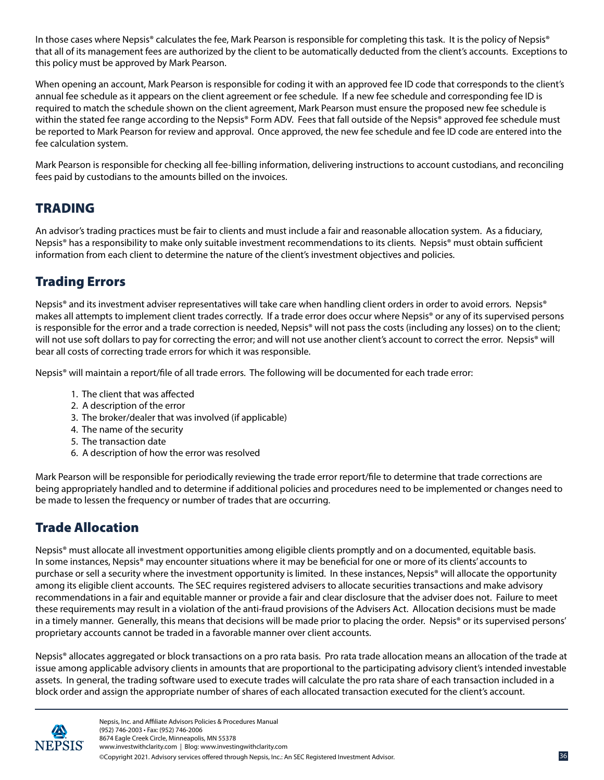In those cases where Nepsis® calculates the fee, Mark Pearson is responsible for completing this task. It is the policy of Nepsis® that all of its management fees are authorized by the client to be automatically deducted from the client's accounts. Exceptions to this policy must be approved by Mark Pearson.

When opening an account, Mark Pearson is responsible for coding it with an approved fee ID code that corresponds to the client's annual fee schedule as it appears on the client agreement or fee schedule. If a new fee schedule and corresponding fee ID is required to match the schedule shown on the client agreement, Mark Pearson must ensure the proposed new fee schedule is within the stated fee range according to the Nepsis® Form ADV. Fees that fall outside of the Nepsis® approved fee schedule must be reported to Mark Pearson for review and approval. Once approved, the new fee schedule and fee ID code are entered into the fee calculation system.

Mark Pearson is responsible for checking all fee-billing information, delivering instructions to account custodians, and reconciling fees paid by custodians to the amounts billed on the invoices.

#### TRADING

An advisor's trading practices must be fair to clients and must include a fair and reasonable allocation system. As a fiduciary, Nepsis® has a responsibility to make only suitable investment recommendations to its clients. Nepsis® must obtain sufficient information from each client to determine the nature of the client's investment objectives and policies.

# Trading Errors

Nepsis® and its investment adviser representatives will take care when handling client orders in order to avoid errors. Nepsis® makes all attempts to implement client trades correctly. If a trade error does occur where Nepsis® or any of its supervised persons is responsible for the error and a trade correction is needed, Nepsis® will not pass the costs (including any losses) on to the client; will not use soft dollars to pay for correcting the error; and will not use another client's account to correct the error. Nepsis® will bear all costs of correcting trade errors for which it was responsible.

Nepsis® will maintain a report/file of all trade errors. The following will be documented for each trade error:

- 1. The client that was affected
- 2. A description of the error
- 3. The broker/dealer that was involved (if applicable)
- 4. The name of the security
- 5. The transaction date
- 6. A description of how the error was resolved

Mark Pearson will be responsible for periodically reviewing the trade error report/file to determine that trade corrections are being appropriately handled and to determine if additional policies and procedures need to be implemented or changes need to be made to lessen the frequency or number of trades that are occurring.

# Trade Allocation

Nepsis® must allocate all investment opportunities among eligible clients promptly and on a documented, equitable basis. In some instances, Nepsis® may encounter situations where it may be beneficial for one or more of its clients' accounts to purchase or sell a security where the investment opportunity is limited. In these instances, Nepsis® will allocate the opportunity among its eligible client accounts. The SEC requires registered advisers to allocate securities transactions and make advisory recommendations in a fair and equitable manner or provide a fair and clear disclosure that the adviser does not. Failure to meet these requirements may result in a violation of the anti-fraud provisions of the Advisers Act. Allocation decisions must be made in a timely manner. Generally, this means that decisions will be made prior to placing the order. Nepsis® or its supervised persons' proprietary accounts cannot be traded in a favorable manner over client accounts.

Nepsis® allocates aggregated or block transactions on a pro rata basis. Pro rata trade allocation means an allocation of the trade at issue among applicable advisory clients in amounts that are proportional to the participating advisory client's intended investable assets. In general, the trading software used to execute trades will calculate the pro rata share of each transaction included in a block order and assign the appropriate number of shares of each allocated transaction executed for the client's account.

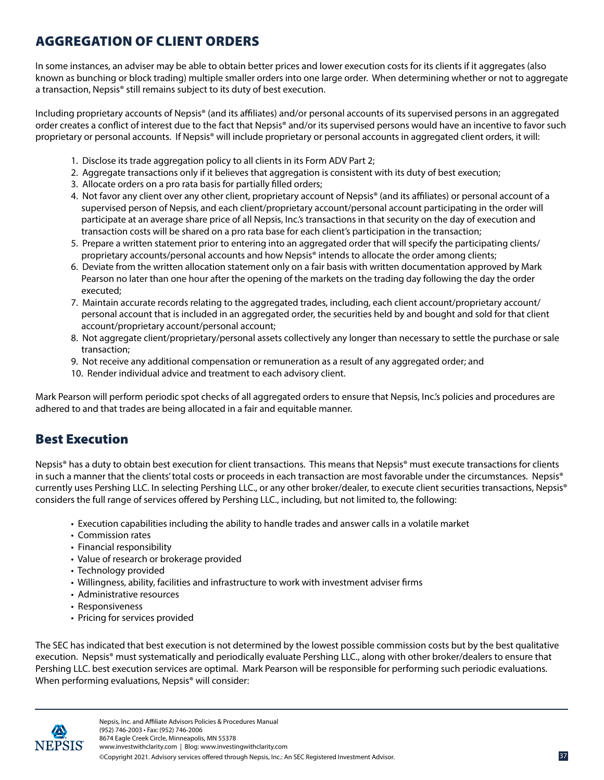# AGGREGATION OF CLIENT ORDERS

In some instances, an adviser may be able to obtain better prices and lower execution costs for its clients if it aggregates (also known as bunching or block trading) multiple smaller orders into one large order. When determining whether or not to aggregate a transaction, Nepsis® still remains subject to its duty of best execution.

Including proprietary accounts of Nepsis® (and its affiliates) and/or personal accounts of its supervised persons in an aggregated order creates a conflict of interest due to the fact that Nepsis® and/or its supervised persons would have an incentive to favor such proprietary or personal accounts. If Nepsis® will include proprietary or personal accounts in aggregated client orders, it will:

- 1. Disclose its trade aggregation policy to all clients in its Form ADV Part 2;
- 2. Aggregate transactions only if it believes that aggregation is consistent with its duty of best execution;
- 3. Allocate orders on a pro rata basis for partially filled orders;
- 4. Not favor any client over any other client, proprietary account of Nepsis® (and its affiliates) or personal account of a supervised person of Nepsis, and each client/proprietary account/personal account participating in the order will participate at an average share price of all Nepsis, Inc.'s transactions in that security on the day of execution and transaction costs will be shared on a pro rata base for each client's participation in the transaction;
- 5. Prepare a written statement prior to entering into an aggregated order that will specify the participating clients/ proprietary accounts/personal accounts and how Nepsis® intends to allocate the order among clients;
- 6. Deviate from the written allocation statement only on a fair basis with written documentation approved by Mark Pearson no later than one hour after the opening of the markets on the trading day following the day the order executed;
- 7. Maintain accurate records relating to the aggregated trades, including, each client account/proprietary account/ personal account that is included in an aggregated order, the securities held by and bought and sold for that client account/proprietary account/personal account;
- 8. Not aggregate client/proprietary/personal assets collectively any longer than necessary to settle the purchase or sale transaction;
- 9. Not receive any additional compensation or remuneration as a result of any aggregated order; and
- 10. Render individual advice and treatment to each advisory client.

Mark Pearson will perform periodic spot checks of all aggregated orders to ensure that Nepsis, Inc.'s policies and procedures are adhered to and that trades are being allocated in a fair and equitable manner.

## Best Execution

Nepsis® has a duty to obtain best execution for client transactions. This means that Nepsis® must execute transactions for clients in such a manner that the clients' total costs or proceeds in each transaction are most favorable under the circumstances. Nepsis<sup>®</sup> currently uses Pershing LLC. In selecting Pershing LLC., or any other broker/dealer, to execute client securities transactions, Nepsis® considers the full range of services offered by Pershing LLC., including, but not limited to, the following:

- Execution capabilities including the ability to handle trades and answer calls in a volatile market
- Commission rates
- Financial responsibility
- Value of research or brokerage provided
- Technology provided
- Willingness, ability, facilities and infrastructure to work with investment adviser firms
- Administrative resources
- Responsiveness
- Pricing for services provided

The SEC has indicated that best execution is not determined by the lowest possible commission costs but by the best qualitative execution. Nepsis® must systematically and periodically evaluate Pershing LLC., along with other broker/dealers to ensure that Pershing LLC. best execution services are optimal. Mark Pearson will be responsible for performing such periodic evaluations. When performing evaluations, Nepsis<sup>®</sup> will consider:

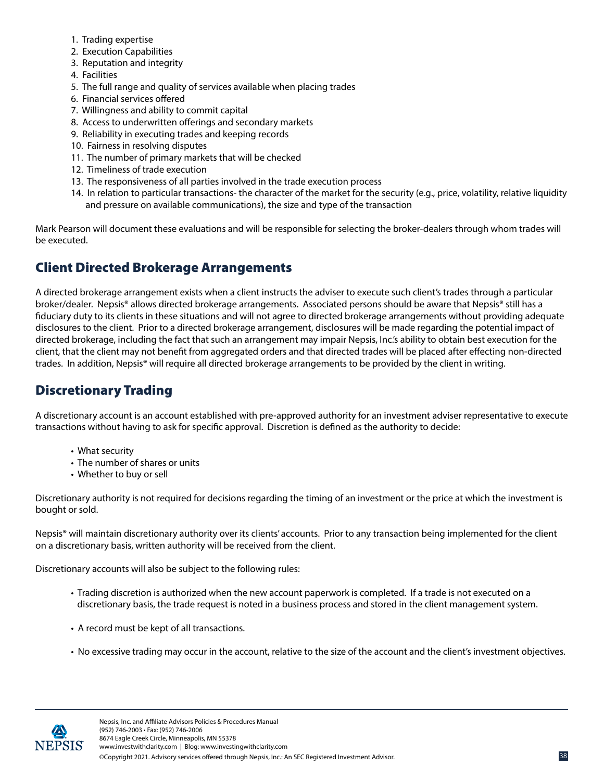- 1. Trading expertise
- 2. Execution Capabilities
- 3. Reputation and integrity
- 4. Facilities
- 5. The full range and quality of services available when placing trades
- 6. Financial services offered
- 7. Willingness and ability to commit capital
- 8. Access to underwritten offerings and secondary markets
- 9. Reliability in executing trades and keeping records
- 10. Fairness in resolving disputes
- 11. The number of primary markets that will be checked
- 12. Timeliness of trade execution
- 13. The responsiveness of all parties involved in the trade execution process
- 14. In relation to particular transactions- the character of the market for the security (e.g., price, volatility, relative liquidity and pressure on available communications), the size and type of the transaction

Mark Pearson will document these evaluations and will be responsible for selecting the broker-dealers through whom trades will be executed.

## Client Directed Brokerage Arrangements

A directed brokerage arrangement exists when a client instructs the adviser to execute such client's trades through a particular broker/dealer. Nepsis® allows directed brokerage arrangements. Associated persons should be aware that Nepsis® still has a fiduciary duty to its clients in these situations and will not agree to directed brokerage arrangements without providing adequate disclosures to the client. Prior to a directed brokerage arrangement, disclosures will be made regarding the potential impact of directed brokerage, including the fact that such an arrangement may impair Nepsis, Inc.'s ability to obtain best execution for the client, that the client may not benefit from aggregated orders and that directed trades will be placed after effecting non-directed trades. In addition, Nepsis® will require all directed brokerage arrangements to be provided by the client in writing.

## Discretionary Trading

A discretionary account is an account established with pre-approved authority for an investment adviser representative to execute transactions without having to ask for specific approval. Discretion is defined as the authority to decide:

- What security
- The number of shares or units
- Whether to buy or sell

Discretionary authority is not required for decisions regarding the timing of an investment or the price at which the investment is bought or sold.

Nepsis® will maintain discretionary authority over its clients' accounts. Prior to any transaction being implemented for the client on a discretionary basis, written authority will be received from the client.

Discretionary accounts will also be subject to the following rules:

- Trading discretion is authorized when the new account paperwork is completed. If a trade is not executed on a discretionary basis, the trade request is noted in a business process and stored in the client management system.
- A record must be kept of all transactions.
- No excessive trading may occur in the account, relative to the size of the account and the client's investment objectives.

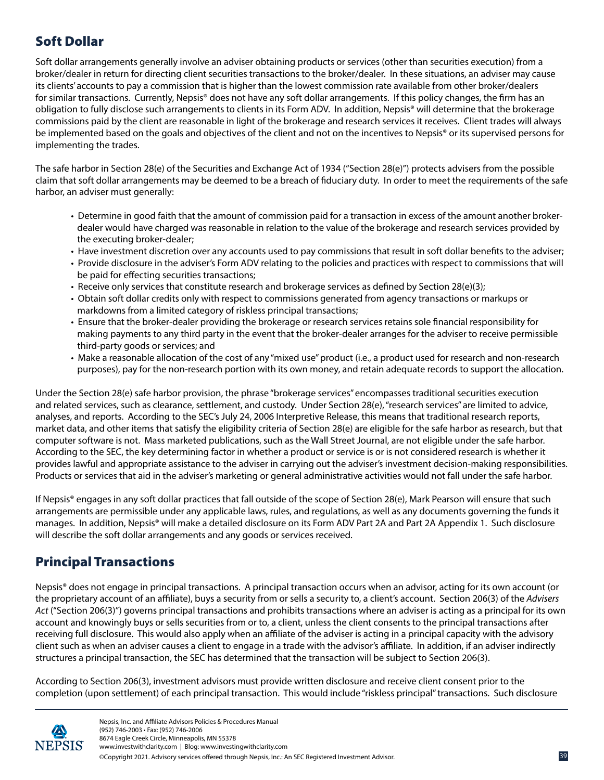## Soft Dollar

Soft dollar arrangements generally involve an adviser obtaining products or services (other than securities execution) from a broker/dealer in return for directing client securities transactions to the broker/dealer. In these situations, an adviser may cause its clients' accounts to pay a commission that is higher than the lowest commission rate available from other broker/dealers for similar transactions. Currently, Nepsis® does not have any soft dollar arrangements. If this policy changes, the firm has an obligation to fully disclose such arrangements to clients in its Form ADV. In addition, Nepsis® will determine that the brokerage commissions paid by the client are reasonable in light of the brokerage and research services it receives. Client trades will always be implemented based on the goals and objectives of the client and not on the incentives to Nepsis® or its supervised persons for implementing the trades.

The safe harbor in Section 28(e) of the Securities and Exchange Act of 1934 ("Section 28(e)") protects advisers from the possible claim that soft dollar arrangements may be deemed to be a breach of fiduciary duty. In order to meet the requirements of the safe harbor, an adviser must generally:

- Determine in good faith that the amount of commission paid for a transaction in excess of the amount another broker dealer would have charged was reasonable in relation to the value of the brokerage and research services provided by the executing broker-dealer;
- Have investment discretion over any accounts used to pay commissions that result in soft dollar benefits to the adviser;
- Provide disclosure in the adviser's Form ADV relating to the policies and practices with respect to commissions that will be paid for effecting securities transactions;
- Receive only services that constitute research and brokerage services as defined by Section 28(e)(3);
- Obtain soft dollar credits only with respect to commissions generated from agency transactions or markups or markdowns from a limited category of riskless principal transactions;
- Ensure that the broker-dealer providing the brokerage or research services retains sole financial responsibility for making payments to any third party in the event that the broker-dealer arranges for the adviser to receive permissible third-party goods or services; and
- Make a reasonable allocation of the cost of any "mixed use" product (i.e., a product used for research and non-research purposes), pay for the non-research portion with its own money, and retain adequate records to support the allocation.

Under the Section 28(e) safe harbor provision, the phrase "brokerage services" encompasses traditional securities execution and related services, such as clearance, settlement, and custody. Under Section 28(e), "research services" are limited to advice, analyses, and reports. According to the SEC's July 24, 2006 Interpretive Release, this means that traditional research reports, market data, and other items that satisfy the eligibility criteria of Section 28(e) are eligible for the safe harbor as research, but that computer software is not. Mass marketed publications, such as the Wall Street Journal, are not eligible under the safe harbor. According to the SEC, the key determining factor in whether a product or service is or is not considered research is whether it provides lawful and appropriate assistance to the adviser in carrying out the adviser's investment decision-making responsibilities. Products or services that aid in the adviser's marketing or general administrative activities would not fall under the safe harbor.

If Nepsis® engages in any soft dollar practices that fall outside of the scope of Section 28(e), Mark Pearson will ensure that such arrangements are permissible under any applicable laws, rules, and regulations, as well as any documents governing the funds it manages. In addition, Nepsis® will make a detailed disclosure on its Form ADV Part 2A and Part 2A Appendix 1. Such disclosure will describe the soft dollar arrangements and any goods or services received.

# Principal Transactions

Nepsis® does not engage in principal transactions. A principal transaction occurs when an advisor, acting for its own account (or the proprietary account of an affiliate), buys a security from or sells a security to, a client's account. Section 206(3) of the *Advisers Act* ("Section 206(3)") governs principal transactions and prohibits transactions where an adviser is acting as a principal for its own account and knowingly buys or sells securities from or to, a client, unless the client consents to the principal transactions after receiving full disclosure. This would also apply when an affiliate of the adviser is acting in a principal capacity with the advisory client such as when an adviser causes a client to engage in a trade with the advisor's affiliate. In addition, if an adviser indirectly structures a principal transaction, the SEC has determined that the transaction will be subject to Section 206(3).

According to Section 206(3), investment advisors must provide written disclosure and receive client consent prior to the completion (upon settlement) of each principal transaction. This would include "riskless principal" transactions. Such disclosure

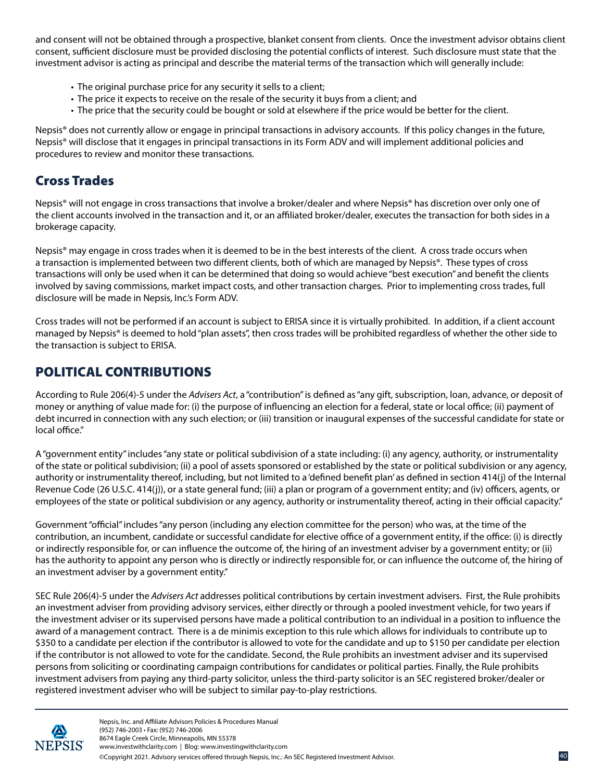and consent will not be obtained through a prospective, blanket consent from clients. Once the investment advisor obtains client consent, sufficient disclosure must be provided disclosing the potential conflicts of interest. Such disclosure must state that the investment advisor is acting as principal and describe the material terms of the transaction which will generally include:

- The original purchase price for any security it sells to a client;
- The price it expects to receive on the resale of the security it buys from a client; and
- The price that the security could be bought or sold at elsewhere if the price would be better for the client.

Nepsis® does not currently allow or engage in principal transactions in advisory accounts. If this policy changes in the future, Nepsis® will disclose that it engages in principal transactions in its Form ADV and will implement additional policies and procedures to review and monitor these transactions.

## Cross Trades

Nepsis® will not engage in cross transactions that involve a broker/dealer and where Nepsis® has discretion over only one of the client accounts involved in the transaction and it, or an affiliated broker/dealer, executes the transaction for both sides in a brokerage capacity.

Nepsis<sup>®</sup> may engage in cross trades when it is deemed to be in the best interests of the client. A cross trade occurs when a transaction is implemented between two different clients, both of which are managed by Nepsis®. These types of cross transactions will only be used when it can be determined that doing so would achieve "best execution" and benefit the clients involved by saving commissions, market impact costs, and other transaction charges. Prior to implementing cross trades, full disclosure will be made in Nepsis, Inc.'s Form ADV.

Cross trades will not be performed if an account is subject to ERISA since it is virtually prohibited. In addition, if a client account managed by Nepsis® is deemed to hold "plan assets", then cross trades will be prohibited regardless of whether the other side to the transaction is subject to ERISA.

#### POLITICAL CONTRIBUTIONS

According to Rule 206(4)-5 under the *Advisers Act*, a "contribution" is defined as "any gift, subscription, loan, advance, or deposit of money or anything of value made for: (i) the purpose of influencing an election for a federal, state or local office; (ii) payment of debt incurred in connection with any such election; or (iii) transition or inaugural expenses of the successful candidate for state or local office."

A "government entity" includes "any state or political subdivision of a state including: (i) any agency, authority, or instrumentality of the state or political subdivision; (ii) a pool of assets sponsored or established by the state or political subdivision or any agency, authority or instrumentality thereof, including, but not limited to a 'defined benefit plan' as defined in section 414(j) of the Internal Revenue Code (26 U.S.C. 414(j)), or a state general fund; (iii) a plan or program of a government entity; and (iv) officers, agents, or employees of the state or political subdivision or any agency, authority or instrumentality thereof, acting in their official capacity."

Government "official" includes "any person (including any election committee for the person) who was, at the time of the contribution, an incumbent, candidate or successful candidate for elective office of a government entity, if the office: (i) is directly or indirectly responsible for, or can influence the outcome of, the hiring of an investment adviser by a government entity; or (ii) has the authority to appoint any person who is directly or indirectly responsible for, or can influence the outcome of, the hiring of an investment adviser by a government entity."

SEC Rule 206(4)-5 under the *Advisers Act* addresses political contributions by certain investment advisers. First, the Rule prohibits an investment adviser from providing advisory services, either directly or through a pooled investment vehicle, for two years if the investment adviser or its supervised persons have made a political contribution to an individual in a position to influence the award of a management contract. There is a de minimis exception to this rule which allows for individuals to contribute up to \$350 to a candidate per election if the contributor is allowed to vote for the candidate and up to \$150 per candidate per election if the contributor is not allowed to vote for the candidate. Second, the Rule prohibits an investment adviser and its supervised persons from soliciting or coordinating campaign contributions for candidates or political parties. Finally, the Rule prohibits investment advisers from paying any third-party solicitor, unless the third-party solicitor is an SEC registered broker/dealer or registered investment adviser who will be subject to similar pay-to-play restrictions.

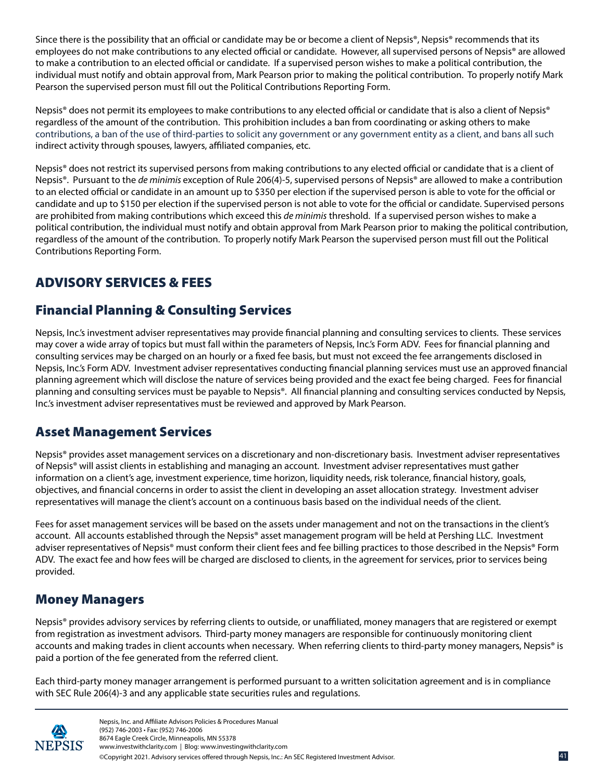Since there is the possibility that an official or candidate may be or become a client of Nepsis®, Nepsis® recommends that its employees do not make contributions to any elected official or candidate. However, all supervised persons of Nepsis® are allowed to make a contribution to an elected official or candidate. If a supervised person wishes to make a political contribution, the individual must notify and obtain approval from, Mark Pearson prior to making the political contribution. To properly notify Mark Pearson the supervised person must fill out the Political Contributions Reporting Form.

Nepsis® does not permit its employees to make contributions to any elected official or candidate that is also a client of Nepsis® regardless of the amount of the contribution. This prohibition includes a ban from coordinating or asking others to make contributions, a ban of the use of third-parties to solicit any government or any government entity as a client, and bans all such indirect activity through spouses, lawyers, affiliated companies, etc.

Nepsis® does not restrict its supervised persons from making contributions to any elected official or candidate that is a client of Nepsis®. Pursuant to the *de minimis* exception of Rule 206(4)-5, supervised persons of Nepsis® are allowed to make a contribution to an elected official or candidate in an amount up to \$350 per election if the supervised person is able to vote for the official or candidate and up to \$150 per election if the supervised person is not able to vote for the official or candidate. Supervised persons are prohibited from making contributions which exceed this *de minimis* threshold. If a supervised person wishes to make a political contribution, the individual must notify and obtain approval from Mark Pearson prior to making the political contribution, regardless of the amount of the contribution. To properly notify Mark Pearson the supervised person must fill out the Political Contributions Reporting Form.

## ADVISORY SERVICES & FEES

#### Financial Planning & Consulting Services

Nepsis, Inc.'s investment adviser representatives may provide financial planning and consulting services to clients. These services may cover a wide array of topics but must fall within the parameters of Nepsis, Inc.'s Form ADV. Fees for financial planning and consulting services may be charged on an hourly or a fixed fee basis, but must not exceed the fee arrangements disclosed in Nepsis, Inc.'s Form ADV. Investment adviser representatives conducting financial planning services must use an approved financial planning agreement which will disclose the nature of services being provided and the exact fee being charged. Fees for financial planning and consulting services must be payable to Nepsis®. All financial planning and consulting services conducted by Nepsis, Inc.'s investment adviser representatives must be reviewed and approved by Mark Pearson.

#### Asset Management Services

Nepsis® provides asset management services on a discretionary and non-discretionary basis. Investment adviser representatives of Nepsis® will assist clients in establishing and managing an account. Investment adviser representatives must gather information on a client's age, investment experience, time horizon, liquidity needs, risk tolerance, financial history, goals, objectives, and financial concerns in order to assist the client in developing an asset allocation strategy. Investment adviser representatives will manage the client's account on a continuous basis based on the individual needs of the client.

Fees for asset management services will be based on the assets under management and not on the transactions in the client's account. All accounts established through the Nepsis® asset management program will be held at Pershing LLC. Investment adviser representatives of Nepsis® must conform their client fees and fee billing practices to those described in the Nepsis® Form ADV. The exact fee and how fees will be charged are disclosed to clients, in the agreement for services, prior to services being provided.

## Money Managers

Nepsis® provides advisory services by referring clients to outside, or unaffiliated, money managers that are registered or exempt from registration as investment advisors. Third-party money managers are responsible for continuously monitoring client accounts and making trades in client accounts when necessary. When referring clients to third-party money managers, Nepsis<sup>®</sup> is paid a portion of the fee generated from the referred client.

Each third-party money manager arrangement is performed pursuant to a written solicitation agreement and is in compliance with SEC Rule 206(4)-3 and any applicable state securities rules and regulations.

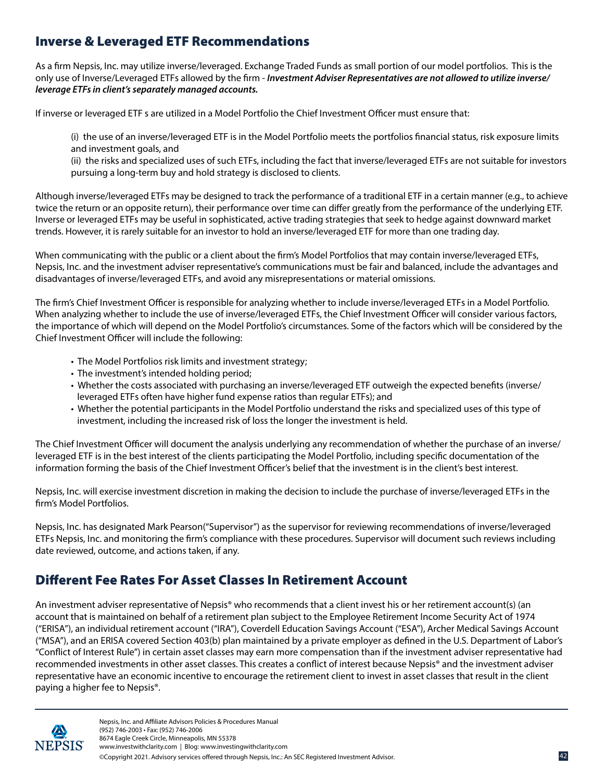## Inverse & Leveraged ETF Recommendations

As a firm Nepsis, Inc. may utilize inverse/leveraged. Exchange Traded Funds as small portion of our model portfolios. This is the only use of Inverse/Leveraged ETFs allowed by the firm - *Investment Adviser Representatives are not allowed to utilize inverse/ leverage ETFs in client's separately managed accounts.* 

If inverse or leveraged ETF s are utilized in a Model Portfolio the Chief Investment Officer must ensure that:

(i) the use of an inverse/leveraged ETF is in the Model Portfolio meets the portfolios financial status, risk exposure limits and investment goals, and

(ii) the risks and specialized uses of such ETFs, including the fact that inverse/leveraged ETFs are not suitable for investors pursuing a long-term buy and hold strategy is disclosed to clients.

Although inverse/leveraged ETFs may be designed to track the performance of a traditional ETF in a certain manner (e.g., to achieve twice the return or an opposite return), their performance over time can differ greatly from the performance of the underlying ETF. Inverse or leveraged ETFs may be useful in sophisticated, active trading strategies that seek to hedge against downward market trends. However, it is rarely suitable for an investor to hold an inverse/leveraged ETF for more than one trading day.

When communicating with the public or a client about the firm's Model Portfolios that may contain inverse/leveraged ETFs, Nepsis, Inc. and the investment adviser representative's communications must be fair and balanced, include the advantages and disadvantages of inverse/leveraged ETFs, and avoid any misrepresentations or material omissions.

The firm's Chief Investment Officer is responsible for analyzing whether to include inverse/leveraged ETFs in a Model Portfolio. When analyzing whether to include the use of inverse/leveraged ETFs, the Chief Investment Officer will consider various factors, the importance of which will depend on the Model Portfolio's circumstances. Some of the factors which will be considered by the Chief Investment Officer will include the following:

- The Model Portfolios risk limits and investment strategy;
- The investment's intended holding period;
- Whether the costs associated with purchasing an inverse/leveraged ETF outweigh the expected benefits (inverse/ leveraged ETFs often have higher fund expense ratios than regular ETFs); and
- Whether the potential participants in the Model Portfolio understand the risks and specialized uses of this type of investment, including the increased risk of loss the longer the investment is held.

The Chief Investment Officer will document the analysis underlying any recommendation of whether the purchase of an inverse/ leveraged ETF is in the best interest of the clients participating the Model Portfolio, including specific documentation of the information forming the basis of the Chief Investment Officer's belief that the investment is in the client's best interest.

Nepsis, Inc. will exercise investment discretion in making the decision to include the purchase of inverse/leveraged ETFs in the firm's Model Portfolios.

Nepsis, Inc. has designated Mark Pearson("Supervisor") as the supervisor for reviewing recommendations of inverse/leveraged ETFs Nepsis, Inc. and monitoring the firm's compliance with these procedures. Supervisor will document such reviews including date reviewed, outcome, and actions taken, if any.

# Different Fee Rates For Asset Classes In Retirement Account

An investment adviser representative of Nepsis® who recommends that a client invest his or her retirement account(s) (an account that is maintained on behalf of a retirement plan subject to the Employee Retirement Income Security Act of 1974 ("ERISA"), an individual retirement account ("IRA"), Coverdell Education Savings Account ("ESA"), Archer Medical Savings Account ("MSA"), and an ERISA covered Section 403(b) plan maintained by a private employer as defined in the U.S. Department of Labor's "Conflict of Interest Rule") in certain asset classes may earn more compensation than if the investment adviser representative had recommended investments in other asset classes. This creates a conflict of interest because Nepsis® and the investment adviser representative have an economic incentive to encourage the retirement client to invest in asset classes that result in the client paying a higher fee to Nepsis®.

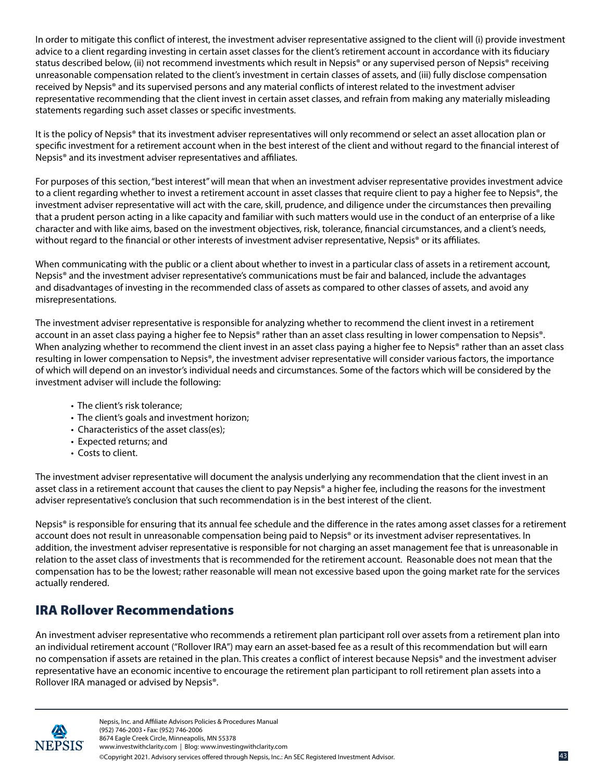In order to mitigate this conflict of interest, the investment adviser representative assigned to the client will (i) provide investment advice to a client regarding investing in certain asset classes for the client's retirement account in accordance with its fiduciary status described below, (ii) not recommend investments which result in Nepsis® or any supervised person of Nepsis® receiving unreasonable compensation related to the client's investment in certain classes of assets, and (iii) fully disclose compensation received by Nepsis® and its supervised persons and any material conflicts of interest related to the investment adviser representative recommending that the client invest in certain asset classes, and refrain from making any materially misleading statements regarding such asset classes or specific investments.

It is the policy of Nepsis® that its investment adviser representatives will only recommend or select an asset allocation plan or specific investment for a retirement account when in the best interest of the client and without regard to the financial interest of Nepsis® and its investment adviser representatives and affiliates.

For purposes of this section, "best interest" will mean that when an investment adviser representative provides investment advice to a client regarding whether to invest a retirement account in asset classes that require client to pay a higher fee to Nepsis®, the investment adviser representative will act with the care, skill, prudence, and diligence under the circumstances then prevailing that a prudent person acting in a like capacity and familiar with such matters would use in the conduct of an enterprise of a like character and with like aims, based on the investment objectives, risk, tolerance, financial circumstances, and a client's needs, without regard to the financial or other interests of investment adviser representative, Nepsis® or its affiliates.

When communicating with the public or a client about whether to invest in a particular class of assets in a retirement account, Nepsis® and the investment adviser representative's communications must be fair and balanced, include the advantages and disadvantages of investing in the recommended class of assets as compared to other classes of assets, and avoid any misrepresentations.

The investment adviser representative is responsible for analyzing whether to recommend the client invest in a retirement account in an asset class paying a higher fee to Nepsis® rather than an asset class resulting in lower compensation to Nepsis®. When analyzing whether to recommend the client invest in an asset class paying a higher fee to Nepsis® rather than an asset class resulting in lower compensation to Nepsis®, the investment adviser representative will consider various factors, the importance of which will depend on an investor's individual needs and circumstances. Some of the factors which will be considered by the investment adviser will include the following:

- The client's risk tolerance;
- The client's goals and investment horizon;
- Characteristics of the asset class(es);
- Expected returns; and
- Costs to client.

The investment adviser representative will document the analysis underlying any recommendation that the client invest in an asset class in a retirement account that causes the client to pay Nepsis® a higher fee, including the reasons for the investment adviser representative's conclusion that such recommendation is in the best interest of the client.

Nepsis® is responsible for ensuring that its annual fee schedule and the difference in the rates among asset classes for a retirement account does not result in unreasonable compensation being paid to Nepsis® or its investment adviser representatives. In addition, the investment adviser representative is responsible for not charging an asset management fee that is unreasonable in relation to the asset class of investments that is recommended for the retirement account. Reasonable does not mean that the compensation has to be the lowest; rather reasonable will mean not excessive based upon the going market rate for the services actually rendered.

## IRA Rollover Recommendations

An investment adviser representative who recommends a retirement plan participant roll over assets from a retirement plan into an individual retirement account ("Rollover IRA") may earn an asset-based fee as a result of this recommendation but will earn no compensation if assets are retained in the plan. This creates a conflict of interest because Nepsis® and the investment adviser representative have an economic incentive to encourage the retirement plan participant to roll retirement plan assets into a Rollover IRA managed or advised by Nepsis®.

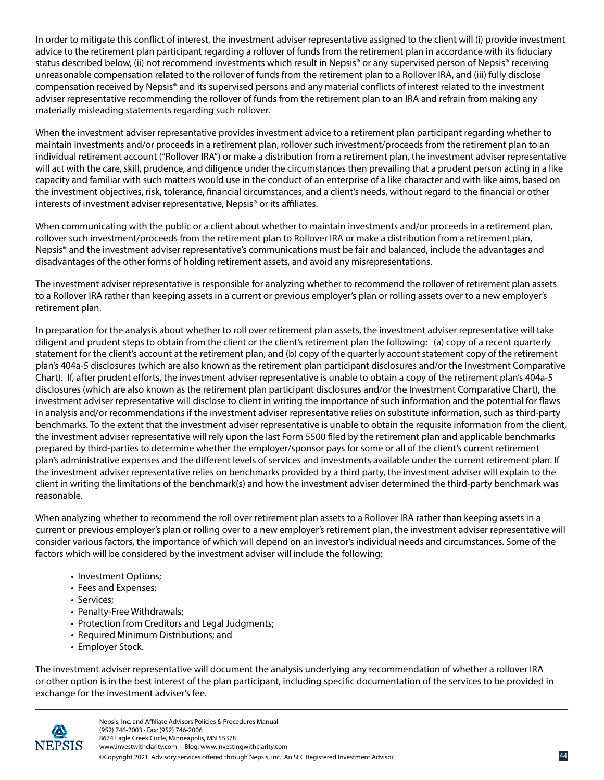In order to mitigate this conflict of interest, the investment adviser representative assigned to the client will (i) provide investment advice to the retirement plan participant regarding a rollover of funds from the retirement plan in accordance with its fiduciary status described below, (ii) not recommend investments which result in Nepsis® or any supervised person of Nepsis® receiving unreasonable compensation related to the rollover of funds from the retirement plan to a Rollover IRA, and (iii) fully disclose compensation received by Nepsis® and its supervised persons and any material conflicts of interest related to the investment adviser representative recommending the rollover of funds from the retirement plan to an IRA and refrain from making any materially misleading statements regarding such rollover.

When the investment adviser representative provides investment advice to a retirement plan participant regarding whether to maintain investments and/or proceeds in a retirement plan, rollover such investment/proceeds from the retirement plan to an individual retirement account ("Rollover IRA") or make a distribution from a retirement plan, the investment adviser representative will act with the care, skill, prudence, and diligence under the circumstances then prevailing that a prudent person acting in a like capacity and familiar with such matters would use in the conduct of an enterprise of a like character and with like aims, based on the investment objectives, risk, tolerance, financial circumstances, and a client's needs, without regard to the financial or other interests of investment adviser representative, Nepsis® or its affiliates.

When communicating with the public or a client about whether to maintain investments and/or proceeds in a retirement plan, rollover such investment/proceeds from the retirement plan to Rollover IRA or make a distribution from a retirement plan, Nepsis® and the investment adviser representative's communications must be fair and balanced, include the advantages and disadvantages of the other forms of holding retirement assets, and avoid any misrepresentations.

The investment adviser representative is responsible for analyzing whether to recommend the rollover of retirement plan assets to a Rollover IRA rather than keeping assets in a current or previous employer's plan or rolling assets over to a new employer's retirement plan.

In preparation for the analysis about whether to roll over retirement plan assets, the investment adviser representative will take diligent and prudent steps to obtain from the client or the client's retirement plan the following: (a) copy of a recent quarterly statement for the client's account at the retirement plan; and (b) copy of the quarterly account statement copy of the retirement plan's 404a-5 disclosures (which are also known as the retirement plan participant disclosures and/or the Investment Comparative Chart). If, after prudent efforts, the investment adviser representative is unable to obtain a copy of the retirement plan's 404a-5 disclosures (which are also known as the retirement plan participant disclosures and/or the Investment Comparative Chart), the investment adviser representative will disclose to client in writing the importance of such information and the potential for flaws in analysis and/or recommendations if the investment adviser representative relies on substitute information, such as third-party benchmarks. To the extent that the investment adviser representative is unable to obtain the requisite information from the client, the investment adviser representative will rely upon the last Form 5500 filed by the retirement plan and applicable benchmarks prepared by third-parties to determine whether the employer/sponsor pays for some or all of the client's current retirement plan's administrative expenses and the different levels of services and investments available under the current retirement plan. If the investment adviser representative relies on benchmarks provided by a third party, the investment adviser will explain to the client in writing the limitations of the benchmark(s) and how the investment adviser determined the third-party benchmark was reasonable.

When analyzing whether to recommend the roll over retirement plan assets to a Rollover IRA rather than keeping assets in a current or previous employer's plan or rolling over to a new employer's retirement plan, the investment adviser representative will consider various factors, the importance of which will depend on an investor's individual needs and circumstances. Some of the factors which will be considered by the investment adviser will include the following:

- Investment Options;
- Fees and Expenses;
- Services;
- Penalty-Free Withdrawals;
- Protection from Creditors and Legal Judgments;
- Required Minimum Distributions; and
- Employer Stock.

The investment adviser representative will document the analysis underlying any recommendation of whether a rollover IRA or other option is in the best interest of the plan participant, including specific documentation of the services to be provided in exchange for the investment adviser's fee.

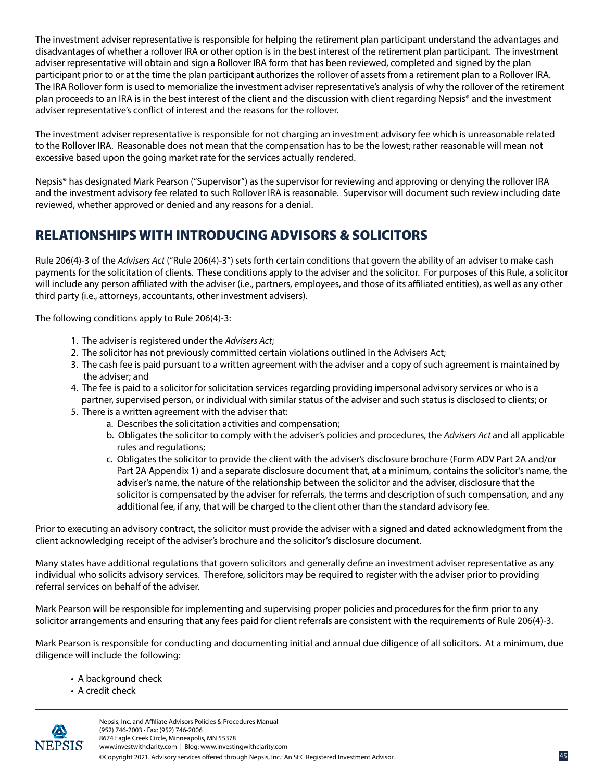The investment adviser representative is responsible for helping the retirement plan participant understand the advantages and disadvantages of whether a rollover IRA or other option is in the best interest of the retirement plan participant. The investment adviser representative will obtain and sign a Rollover IRA form that has been reviewed, completed and signed by the plan participant prior to or at the time the plan participant authorizes the rollover of assets from a retirement plan to a Rollover IRA. The IRA Rollover form is used to memorialize the investment adviser representative's analysis of why the rollover of the retirement plan proceeds to an IRA is in the best interest of the client and the discussion with client regarding Nepsis® and the investment adviser representative's conflict of interest and the reasons for the rollover.

The investment adviser representative is responsible for not charging an investment advisory fee which is unreasonable related to the Rollover IRA. Reasonable does not mean that the compensation has to be the lowest; rather reasonable will mean not excessive based upon the going market rate for the services actually rendered.

Nepsis® has designated Mark Pearson ("Supervisor") as the supervisor for reviewing and approving or denying the rollover IRA and the investment advisory fee related to such Rollover IRA is reasonable. Supervisor will document such review including date reviewed, whether approved or denied and any reasons for a denial.

#### RELATIONSHIPS WITH INTRODUCING ADVISORS & SOLICITORS

Rule 206(4)-3 of the *Advisers Act* ("Rule 206(4)-3") sets forth certain conditions that govern the ability of an adviser to make cash payments for the solicitation of clients. These conditions apply to the adviser and the solicitor. For purposes of this Rule, a solicitor will include any person affiliated with the adviser (i.e., partners, employees, and those of its affiliated entities), as well as any other third party (i.e., attorneys, accountants, other investment advisers).

The following conditions apply to Rule 206(4)-3:

- 1. The adviser is registered under the *Advisers Act*;
- 2. The solicitor has not previously committed certain violations outlined in the Advisers Act;
- 3. The cash fee is paid pursuant to a written agreement with the adviser and a copy of such agreement is maintained by the adviser; and
- 4. The fee is paid to a solicitor for solicitation services regarding providing impersonal advisory services or who is a partner, supervised person, or individual with similar status of the adviser and such status is disclosed to clients; or
- 5. There is a written agreement with the adviser that:
	- a. Describes the solicitation activities and compensation;
	- b. Obligates the solicitor to comply with the adviser's policies and procedures, the *Advisers Act* and all applicable rules and regulations;
	- c. Obligates the solicitor to provide the client with the adviser's disclosure brochure (Form ADV Part 2A and/or Part 2A Appendix 1) and a separate disclosure document that, at a minimum, contains the solicitor's name, the adviser's name, the nature of the relationship between the solicitor and the adviser, disclosure that the solicitor is compensated by the adviser for referrals, the terms and description of such compensation, and any additional fee, if any, that will be charged to the client other than the standard advisory fee.

Prior to executing an advisory contract, the solicitor must provide the adviser with a signed and dated acknowledgment from the client acknowledging receipt of the adviser's brochure and the solicitor's disclosure document.

Many states have additional regulations that govern solicitors and generally define an investment adviser representative as any individual who solicits advisory services. Therefore, solicitors may be required to register with the adviser prior to providing referral services on behalf of the adviser.

Mark Pearson will be responsible for implementing and supervising proper policies and procedures for the firm prior to any solicitor arrangements and ensuring that any fees paid for client referrals are consistent with the requirements of Rule 206(4)-3.

Mark Pearson is responsible for conducting and documenting initial and annual due diligence of all solicitors. At a minimum, due diligence will include the following:

- A background check
- A credit check

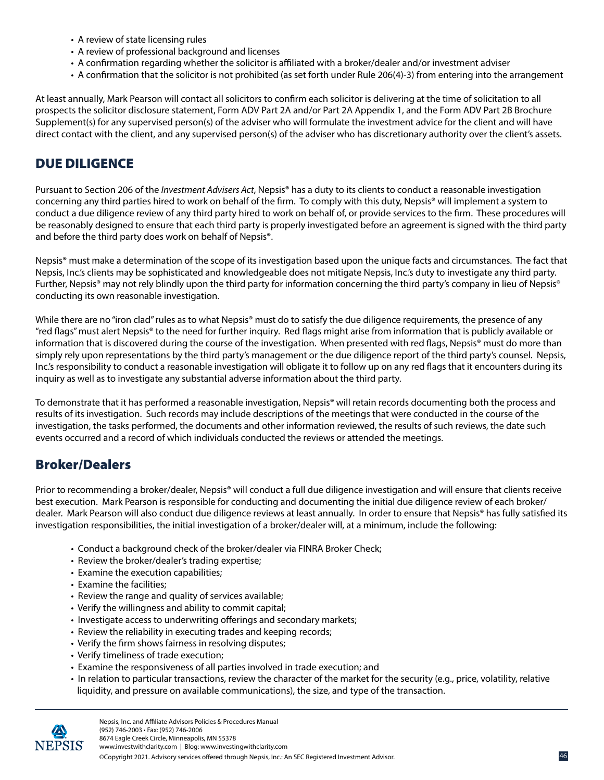- A review of state licensing rules
- A review of professional background and licenses
- A confirmation regarding whether the solicitor is affiliated with a broker/dealer and/or investment adviser
- A confirmation that the solicitor is not prohibited (as set forth under Rule 206(4)-3) from entering into the arrangement

At least annually, Mark Pearson will contact all solicitors to confirm each solicitor is delivering at the time of solicitation to all prospects the solicitor disclosure statement, Form ADV Part 2A and/or Part 2A Appendix 1, and the Form ADV Part 2B Brochure Supplement(s) for any supervised person(s) of the adviser who will formulate the investment advice for the client and will have direct contact with the client, and any supervised person(s) of the adviser who has discretionary authority over the client's assets.

#### DUE DILIGENCE

Pursuant to Section 206 of the *Investment Advisers Act*, Nepsis® has a duty to its clients to conduct a reasonable investigation concerning any third parties hired to work on behalf of the firm. To comply with this duty, Nepsis® will implement a system to conduct a due diligence review of any third party hired to work on behalf of, or provide services to the firm. These procedures will be reasonably designed to ensure that each third party is properly investigated before an agreement is signed with the third party and before the third party does work on behalf of Nepsis®.

Nepsis® must make a determination of the scope of its investigation based upon the unique facts and circumstances. The fact that Nepsis, Inc.'s clients may be sophisticated and knowledgeable does not mitigate Nepsis, Inc.'s duty to investigate any third party. Further, Nepsis® may not rely blindly upon the third party for information concerning the third party's company in lieu of Nepsis® conducting its own reasonable investigation.

While there are no "iron clad" rules as to what Nepsis® must do to satisfy the due diligence requirements, the presence of any "red flags" must alert Nepsis® to the need for further inquiry. Red flags might arise from information that is publicly available or information that is discovered during the course of the investigation. When presented with red flags, Nepsis® must do more than simply rely upon representations by the third party's management or the due diligence report of the third party's counsel. Nepsis, Inc.'s responsibility to conduct a reasonable investigation will obligate it to follow up on any red flags that it encounters during its inquiry as well as to investigate any substantial adverse information about the third party.

To demonstrate that it has performed a reasonable investigation, Nepsis® will retain records documenting both the process and results of its investigation. Such records may include descriptions of the meetings that were conducted in the course of the investigation, the tasks performed, the documents and other information reviewed, the results of such reviews, the date such events occurred and a record of which individuals conducted the reviews or attended the meetings.

## Broker/Dealers

Prior to recommending a broker/dealer, Nepsis® will conduct a full due diligence investigation and will ensure that clients receive best execution. Mark Pearson is responsible for conducting and documenting the initial due diligence review of each broker/ dealer. Mark Pearson will also conduct due diligence reviews at least annually. In order to ensure that Nepsis® has fully satisfied its investigation responsibilities, the initial investigation of a broker/dealer will, at a minimum, include the following:

- Conduct a background check of the broker/dealer via FINRA Broker Check;
- Review the broker/dealer's trading expertise;
- Examine the execution capabilities;
- Examine the facilities;
- Review the range and quality of services available;
- Verify the willingness and ability to commit capital;
- Investigate access to underwriting offerings and secondary markets;
- Review the reliability in executing trades and keeping records;
- Verify the firm shows fairness in resolving disputes;
- Verify timeliness of trade execution;
- Examine the responsiveness of all parties involved in trade execution; and
- In relation to particular transactions, review the character of the market for the security (e.g., price, volatility, relative liquidity, and pressure on available communications), the size, and type of the transaction.

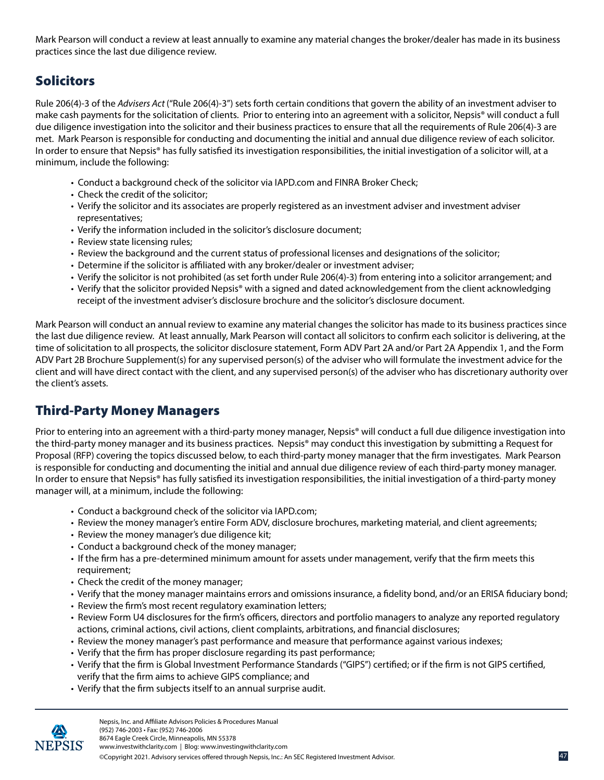Mark Pearson will conduct a review at least annually to examine any material changes the broker/dealer has made in its business practices since the last due diligence review.

## **Solicitors**

Rule 206(4)-3 of the *Advisers Act* ("Rule 206(4)-3") sets forth certain conditions that govern the ability of an investment adviser to make cash payments for the solicitation of clients. Prior to entering into an agreement with a solicitor, Nepsis® will conduct a full due diligence investigation into the solicitor and their business practices to ensure that all the requirements of Rule 206(4)-3 are met. Mark Pearson is responsible for conducting and documenting the initial and annual due diligence review of each solicitor. In order to ensure that Nepsis® has fully satisfied its investigation responsibilities, the initial investigation of a solicitor will, at a minimum, include the following:

- Conduct a background check of the solicitor via IAPD.com and FINRA Broker Check;
- Check the credit of the solicitor;
- Verify the solicitor and its associates are properly registered as an investment adviser and investment adviser representatives;
- Verify the information included in the solicitor's disclosure document;
- Review state licensing rules;
- Review the background and the current status of professional licenses and designations of the solicitor;
- Determine if the solicitor is affiliated with any broker/dealer or investment adviser;
- Verify the solicitor is not prohibited (as set forth under Rule 206(4)-3) from entering into a solicitor arrangement; and
- Verify that the solicitor provided Nepsis® with a signed and dated acknowledgement from the client acknowledging receipt of the investment adviser's disclosure brochure and the solicitor's disclosure document.

Mark Pearson will conduct an annual review to examine any material changes the solicitor has made to its business practices since the last due diligence review. At least annually, Mark Pearson will contact all solicitors to confirm each solicitor is delivering, at the time of solicitation to all prospects, the solicitor disclosure statement, Form ADV Part 2A and/or Part 2A Appendix 1, and the Form ADV Part 2B Brochure Supplement(s) for any supervised person(s) of the adviser who will formulate the investment advice for the client and will have direct contact with the client, and any supervised person(s) of the adviser who has discretionary authority over the client's assets.

## Third-Party Money Managers

Prior to entering into an agreement with a third-party money manager, Nepsis® will conduct a full due diligence investigation into the third-party money manager and its business practices. Nepsis® may conduct this investigation by submitting a Request for Proposal (RFP) covering the topics discussed below, to each third-party money manager that the firm investigates. Mark Pearson is responsible for conducting and documenting the initial and annual due diligence review of each third-party money manager. In order to ensure that Nepsis® has fully satisfied its investigation responsibilities, the initial investigation of a third-party money manager will, at a minimum, include the following:

- Conduct a background check of the solicitor via IAPD.com;
- Review the money manager's entire Form ADV, disclosure brochures, marketing material, and client agreements;
- Review the money manager's due diligence kit;
- Conduct a background check of the money manager;
- If the firm has a pre-determined minimum amount for assets under management, verify that the firm meets this requirement;
- Check the credit of the money manager;
- Verify that the money manager maintains errors and omissions insurance, a fidelity bond, and/or an ERISA fiduciary bond;
- Review the firm's most recent regulatory examination letters;
- Review Form U4 disclosures for the firm's officers, directors and portfolio managers to analyze any reported regulatory actions, criminal actions, civil actions, client complaints, arbitrations, and financial disclosures;
- Review the money manager's past performance and measure that performance against various indexes;
- Verify that the firm has proper disclosure regarding its past performance;
- Verify that the firm is Global Investment Performance Standards ("GIPS") certified; or if the firm is not GIPS certified, verify that the firm aims to achieve GIPS compliance; and
- Verify that the firm subjects itself to an annual surprise audit.

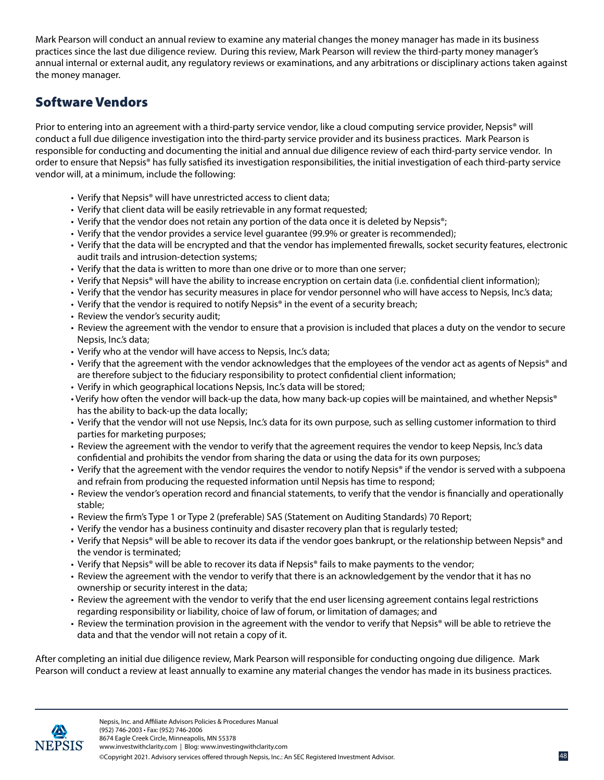Mark Pearson will conduct an annual review to examine any material changes the money manager has made in its business practices since the last due diligence review. During this review, Mark Pearson will review the third-party money manager's annual internal or external audit, any regulatory reviews or examinations, and any arbitrations or disciplinary actions taken against the money manager.

## Software Vendors

Prior to entering into an agreement with a third-party service vendor, like a cloud computing service provider, Nepsis® will conduct a full due diligence investigation into the third-party service provider and its business practices. Mark Pearson is responsible for conducting and documenting the initial and annual due diligence review of each third-party service vendor. In order to ensure that Nepsis® has fully satisfied its investigation responsibilities, the initial investigation of each third-party service vendor will, at a minimum, include the following:

- Verify that Nepsis® will have unrestricted access to client data;
- Verify that client data will be easily retrievable in any format requested;
- Verify that the vendor does not retain any portion of the data once it is deleted by Nepsis®;
- Verify that the vendor provides a service level guarantee (99.9% or greater is recommended);
- Verify that the data will be encrypted and that the vendor has implemented firewalls, socket security features, electronic audit trails and intrusion-detection systems;
- Verify that the data is written to more than one drive or to more than one server;
- Verify that Nepsis® will have the ability to increase encryption on certain data (i.e. confidential client information);
- Verify that the vendor has security measures in place for vendor personnel who will have access to Nepsis, Inc.'s data;
- Verify that the vendor is required to notify Nepsis® in the event of a security breach;
- Review the vendor's security audit;
- Review the agreement with the vendor to ensure that a provision is included that places a duty on the vendor to secure Nepsis, Inc.'s data;
- Verify who at the vendor will have access to Nepsis, Inc.'s data;
- Verify that the agreement with the vendor acknowledges that the employees of the vendor act as agents of Nepsis® and are therefore subject to the fiduciary responsibility to protect confidential client information;
- Verify in which geographical locations Nepsis, Inc.'s data will be stored;
- Verify how often the vendor will back-up the data, how many back-up copies will be maintained, and whether Nepsis® has the ability to back-up the data locally;
- Verify that the vendor will not use Nepsis, Inc.'s data for its own purpose, such as selling customer information to third parties for marketing purposes;
- Review the agreement with the vendor to verify that the agreement requires the vendor to keep Nepsis, Inc.'s data confidential and prohibits the vendor from sharing the data or using the data for its own purposes;
- Verify that the agreement with the vendor requires the vendor to notify Nepsis® if the vendor is served with a subpoena and refrain from producing the requested information until Nepsis has time to respond;
- Review the vendor's operation record and financial statements, to verify that the vendor is financially and operationally stable;
- Review the firm's Type 1 or Type 2 (preferable) SAS (Statement on Auditing Standards) 70 Report;
- Verify the vendor has a business continuity and disaster recovery plan that is regularly tested;
- Verify that Nepsis® will be able to recover its data if the vendor goes bankrupt, or the relationship between Nepsis® and the vendor is terminated;
- Verify that Nepsis® will be able to recover its data if Nepsis® fails to make payments to the vendor;
- Review the agreement with the vendor to verify that there is an acknowledgement by the vendor that it has no ownership or security interest in the data;
- Review the agreement with the vendor to verify that the end user licensing agreement contains legal restrictions regarding responsibility or liability, choice of law of forum, or limitation of damages; and
- Review the termination provision in the agreement with the vendor to verify that Nepsis® will be able to retrieve the data and that the vendor will not retain a copy of it.

After completing an initial due diligence review, Mark Pearson will responsible for conducting ongoing due diligence. Mark Pearson will conduct a review at least annually to examine any material changes the vendor has made in its business practices.

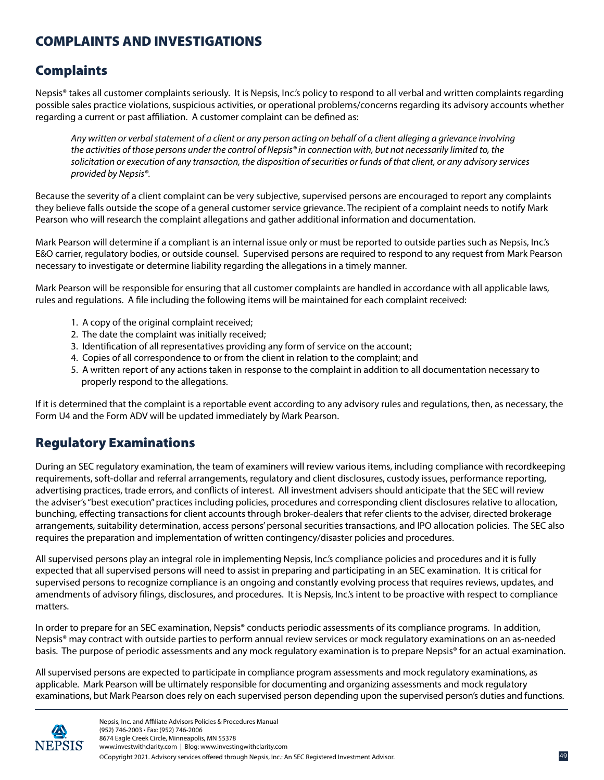#### COMPLAINTS AND INVESTIGATIONS

#### **Complaints**

Nepsis® takes all customer complaints seriously. It is Nepsis, Inc.'s policy to respond to all verbal and written complaints regarding possible sales practice violations, suspicious activities, or operational problems/concerns regarding its advisory accounts whether regarding a current or past affiliation. A customer complaint can be defined as:

*Any written or verbal statement of a client or any person acting on behalf of a client alleging a grievance involving the activities of those persons under the control of Nepsis® in connection with, but not necessarily limited to, the solicitation or execution of any transaction, the disposition of securities or funds of that client, or any advisory services provided by Nepsis®.* 

Because the severity of a client complaint can be very subjective, supervised persons are encouraged to report any complaints they believe falls outside the scope of a general customer service grievance. The recipient of a complaint needs to notify Mark Pearson who will research the complaint allegations and gather additional information and documentation.

Mark Pearson will determine if a compliant is an internal issue only or must be reported to outside parties such as Nepsis, Inc.'s E&O carrier, regulatory bodies, or outside counsel. Supervised persons are required to respond to any request from Mark Pearson necessary to investigate or determine liability regarding the allegations in a timely manner.

Mark Pearson will be responsible for ensuring that all customer complaints are handled in accordance with all applicable laws, rules and regulations. A file including the following items will be maintained for each complaint received:

- 1. A copy of the original complaint received;
- 2. The date the complaint was initially received;
- 3. Identification of all representatives providing any form of service on the account;
- 4. Copies of all correspondence to or from the client in relation to the complaint; and
- 5. A written report of any actions taken in response to the complaint in addition to all documentation necessary to properly respond to the allegations.

If it is determined that the complaint is a reportable event according to any advisory rules and regulations, then, as necessary, the Form U4 and the Form ADV will be updated immediately by Mark Pearson.

#### Regulatory Examinations

During an SEC regulatory examination, the team of examiners will review various items, including compliance with recordkeeping requirements, soft-dollar and referral arrangements, regulatory and client disclosures, custody issues, performance reporting, advertising practices, trade errors, and conflicts of interest. All investment advisers should anticipate that the SEC will review the adviser's "best execution" practices including policies, procedures and corresponding client disclosures relative to allocation, bunching, effecting transactions for client accounts through broker-dealers that refer clients to the adviser, directed brokerage arrangements, suitability determination, access persons' personal securities transactions, and IPO allocation policies. The SEC also requires the preparation and implementation of written contingency/disaster policies and procedures.

All supervised persons play an integral role in implementing Nepsis, Inc.'s compliance policies and procedures and it is fully expected that all supervised persons will need to assist in preparing and participating in an SEC examination. It is critical for supervised persons to recognize compliance is an ongoing and constantly evolving process that requires reviews, updates, and amendments of advisory filings, disclosures, and procedures. It is Nepsis, Inc.'s intent to be proactive with respect to compliance matters.

In order to prepare for an SEC examination, Nepsis® conducts periodic assessments of its compliance programs. In addition, Nepsis® may contract with outside parties to perform annual review services or mock regulatory examinations on an as-needed basis. The purpose of periodic assessments and any mock regulatory examination is to prepare Nepsis® for an actual examination.

All supervised persons are expected to participate in compliance program assessments and mock regulatory examinations, as applicable. Mark Pearson will be ultimately responsible for documenting and organizing assessments and mock regulatory examinations, but Mark Pearson does rely on each supervised person depending upon the supervised person's duties and functions.

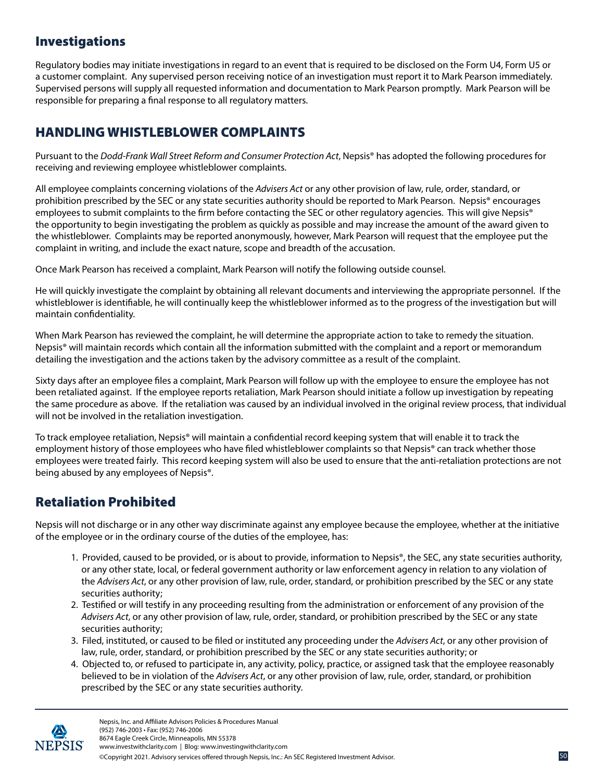## Investigations

Regulatory bodies may initiate investigations in regard to an event that is required to be disclosed on the Form U4, Form U5 or a customer complaint. Any supervised person receiving notice of an investigation must report it to Mark Pearson immediately. Supervised persons will supply all requested information and documentation to Mark Pearson promptly. Mark Pearson will be responsible for preparing a final response to all regulatory matters.

## HANDLING WHISTLEBLOWER COMPLAINTS

Pursuant to the *Dodd-Frank Wall Street Reform and Consumer Protection Act*, Nepsis® has adopted the following procedures for receiving and reviewing employee whistleblower complaints.

All employee complaints concerning violations of the *Advisers Act* or any other provision of law, rule, order, standard, or prohibition prescribed by the SEC or any state securities authority should be reported to Mark Pearson. Nepsis® encourages employees to submit complaints to the firm before contacting the SEC or other regulatory agencies. This will give Nepsis<sup>®</sup> the opportunity to begin investigating the problem as quickly as possible and may increase the amount of the award given to the whistleblower. Complaints may be reported anonymously, however, Mark Pearson will request that the employee put the complaint in writing, and include the exact nature, scope and breadth of the accusation.

Once Mark Pearson has received a complaint, Mark Pearson will notify the following outside counsel.

He will quickly investigate the complaint by obtaining all relevant documents and interviewing the appropriate personnel. If the whistleblower is identifiable, he will continually keep the whistleblower informed as to the progress of the investigation but will maintain confidentiality.

When Mark Pearson has reviewed the complaint, he will determine the appropriate action to take to remedy the situation. Nepsis® will maintain records which contain all the information submitted with the complaint and a report or memorandum detailing the investigation and the actions taken by the advisory committee as a result of the complaint.

Sixty days after an employee files a complaint, Mark Pearson will follow up with the employee to ensure the employee has not been retaliated against. If the employee reports retaliation, Mark Pearson should initiate a follow up investigation by repeating the same procedure as above. If the retaliation was caused by an individual involved in the original review process, that individual will not be involved in the retaliation investigation.

To track employee retaliation, Nepsis® will maintain a confidential record keeping system that will enable it to track the employment history of those employees who have filed whistleblower complaints so that Nepsis® can track whether those employees were treated fairly. This record keeping system will also be used to ensure that the anti-retaliation protections are not being abused by any employees of Nepsis®.

# Retaliation Prohibited

Nepsis will not discharge or in any other way discriminate against any employee because the employee, whether at the initiative of the employee or in the ordinary course of the duties of the employee, has:

- 1. Provided, caused to be provided, or is about to provide, information to Nepsis®, the SEC, any state securities authority, or any other state, local, or federal government authority or law enforcement agency in relation to any violation of the *Advisers Act*, or any other provision of law, rule, order, standard, or prohibition prescribed by the SEC or any state securities authority;
- 2. Testified or will testify in any proceeding resulting from the administration or enforcement of any provision of the *Advisers Act*, or any other provision of law, rule, order, standard, or prohibition prescribed by the SEC or any state securities authority;
- 3. Filed, instituted, or caused to be filed or instituted any proceeding under the *Advisers Act*, or any other provision of law, rule, order, standard, or prohibition prescribed by the SEC or any state securities authority; or
- 4. Objected to, or refused to participate in, any activity, policy, practice, or assigned task that the employee reasonably believed to be in violation of the *Advisers Act*, or any other provision of law, rule, order, standard, or prohibition prescribed by the SEC or any state securities authority.

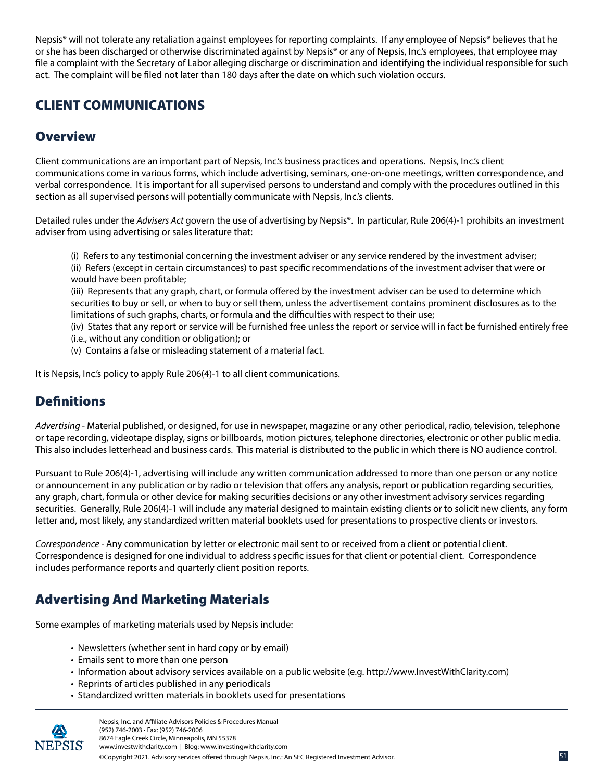Nepsis® will not tolerate any retaliation against employees for reporting complaints. If any employee of Nepsis® believes that he or she has been discharged or otherwise discriminated against by Nepsis® or any of Nepsis, Inc.'s employees, that employee may file a complaint with the Secretary of Labor alleging discharge or discrimination and identifying the individual responsible for such act. The complaint will be filed not later than 180 days after the date on which such violation occurs.

## CLIENT COMMUNICATIONS

#### **Overview**

Client communications are an important part of Nepsis, Inc.'s business practices and operations. Nepsis, Inc.'s client communications come in various forms, which include advertising, seminars, one-on-one meetings, written correspondence, and verbal correspondence. It is important for all supervised persons to understand and comply with the procedures outlined in this section as all supervised persons will potentially communicate with Nepsis, Inc.'s clients.

Detailed rules under the *Advisers Act* govern the use of advertising by Nepsis®. In particular, Rule 206(4)-1 prohibits an investment adviser from using advertising or sales literature that:

(i) Refers to any testimonial concerning the investment adviser or any service rendered by the investment adviser;

(ii) Refers (except in certain circumstances) to past specific recommendations of the investment adviser that were or would have been profitable;

(iii) Represents that any graph, chart, or formula offered by the investment adviser can be used to determine which securities to buy or sell, or when to buy or sell them, unless the advertisement contains prominent disclosures as to the limitations of such graphs, charts, or formula and the difficulties with respect to their use;

(iv) States that any report or service will be furnished free unless the report or service will in fact be furnished entirely free (i.e., without any condition or obligation); or

(v) Contains a false or misleading statement of a material fact.

It is Nepsis, Inc.'s policy to apply Rule 206(4)-1 to all client communications.

#### **Definitions**

*Advertising -* Material published, or designed, for use in newspaper, magazine or any other periodical, radio, television, telephone or tape recording, videotape display, signs or billboards, motion pictures, telephone directories, electronic or other public media. This also includes letterhead and business cards. This material is distributed to the public in which there is NO audience control.

Pursuant to Rule 206(4)-1, advertising will include any written communication addressed to more than one person or any notice or announcement in any publication or by radio or television that offers any analysis, report or publication regarding securities, any graph, chart, formula or other device for making securities decisions or any other investment advisory services regarding securities. Generally, Rule 206(4)-1 will include any material designed to maintain existing clients or to solicit new clients, any form letter and, most likely, any standardized written material booklets used for presentations to prospective clients or investors.

*Correspondence -* Any communication by letter or electronic mail sent to or received from a client or potential client. Correspondence is designed for one individual to address specific issues for that client or potential client. Correspondence includes performance reports and quarterly client position reports.

# Advertising And Marketing Materials

Some examples of marketing materials used by Nepsis include:

- Newsletters (whether sent in hard copy or by email)
- Emails sent to more than one person
- Information about advisory services available on a public website (e.g. http://www.InvestWithClarity.com)
- Reprints of articles published in any periodicals
- Standardized written materials in booklets used for presentations

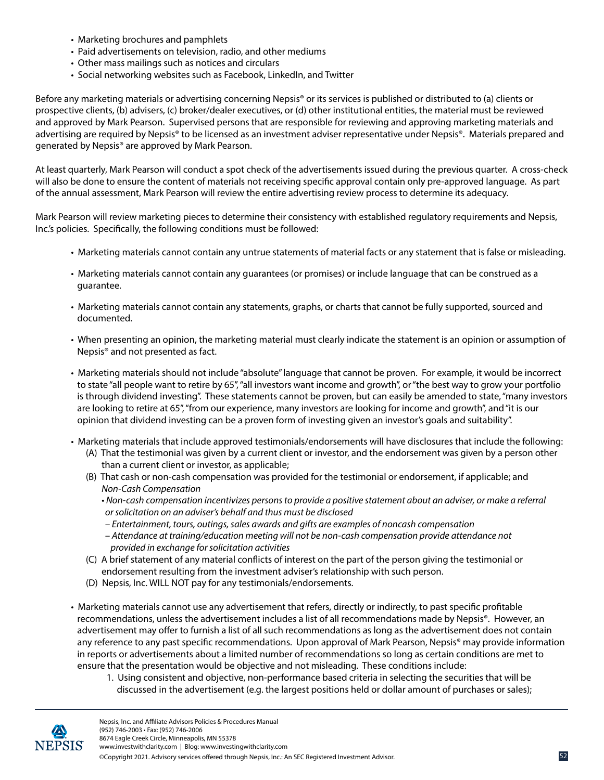- Marketing brochures and pamphlets
- Paid advertisements on television, radio, and other mediums
- Other mass mailings such as notices and circulars
- Social networking websites such as Facebook, LinkedIn, and Twitter

Before any marketing materials or advertising concerning Nepsis® or its services is published or distributed to (a) clients or prospective clients, (b) advisers, (c) broker/dealer executives, or (d) other institutional entities, the material must be reviewed and approved by Mark Pearson. Supervised persons that are responsible for reviewing and approving marketing materials and advertising are required by Nepsis® to be licensed as an investment adviser representative under Nepsis®. Materials prepared and generated by Nepsis® are approved by Mark Pearson.

At least quarterly, Mark Pearson will conduct a spot check of the advertisements issued during the previous quarter. A cross-check will also be done to ensure the content of materials not receiving specific approval contain only pre-approved language. As part of the annual assessment, Mark Pearson will review the entire advertising review process to determine its adequacy.

Mark Pearson will review marketing pieces to determine their consistency with established regulatory requirements and Nepsis, Inc.'s policies. Specifically, the following conditions must be followed:

- Marketing materials cannot contain any untrue statements of material facts or any statement that is false or misleading.
- Marketing materials cannot contain any guarantees (or promises) or include language that can be construed as a guarantee.
- Marketing materials cannot contain any statements, graphs, or charts that cannot be fully supported, sourced and documented.
- When presenting an opinion, the marketing material must clearly indicate the statement is an opinion or assumption of Nepsis® and not presented as fact.
- Marketing materials should not include "absolute" language that cannot be proven. For example, it would be incorrect to state "all people want to retire by 65", "all investors want income and growth", or "the best way to grow your portfolio is through dividend investing". These statements cannot be proven, but can easily be amended to state, "many investors are looking to retire at 65", "from our experience, many investors are looking for income and growth", and "it is our opinion that dividend investing can be a proven form of investing given an investor's goals and suitability".
- Marketing materials that include approved testimonials/endorsements will have disclosures that include the following:
	- (A) That the testimonial was given by a current client or investor, and the endorsement was given by a person other than a current client or investor, as applicable;
	- (B) That cash or non-cash compensation was provided for the testimonial or endorsement, if applicable; and  *Non-Cash Compensation*
		- *Non-cash compensation incentivizes persons to provide a positive statement about an adviser, or make a referral or solicitation on an adviser's behalf and thus must be disclosed*
		- *Entertainment, tours, outings, sales awards and gifts are examples of noncash compensation*
		- *Attendance at training/education meeting will not be non-cash compensation provide attendance not provided in exchange for solicitation activities*
	- (C) A brief statement of any material conflicts of interest on the part of the person giving the testimonial or endorsement resulting from the investment adviser's relationship with such person.
	- (D) Nepsis, Inc. WILL NOT pay for any testimonials/endorsements.
- Marketing materials cannot use any advertisement that refers, directly or indirectly, to past specific profitable recommendations, unless the advertisement includes a list of all recommendations made by Nepsis®. However, an advertisement may offer to furnish a list of all such recommendations as long as the advertisement does not contain any reference to any past specific recommendations. Upon approval of Mark Pearson, Nepsis® may provide information in reports or advertisements about a limited number of recommendations so long as certain conditions are met to ensure that the presentation would be objective and not misleading. These conditions include:
	- 1. Using consistent and objective, non-performance based criteria in selecting the securities that will be discussed in the advertisement (e.g. the largest positions held or dollar amount of purchases or sales);

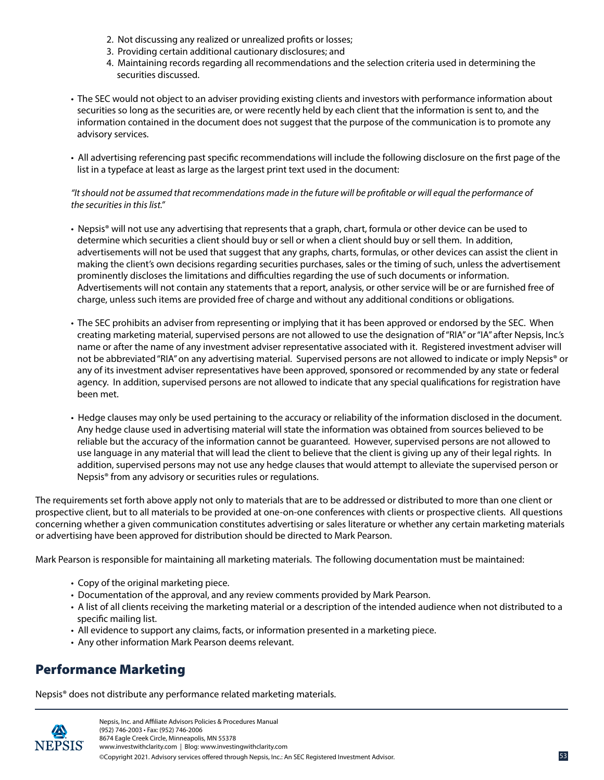- 2. Not discussing any realized or unrealized profits or losses;
- 3. Providing certain additional cautionary disclosures; and
- 4. Maintaining records regarding all recommendations and the selection criteria used in determining the securities discussed.
- The SEC would not object to an adviser providing existing clients and investors with performance information about securities so long as the securities are, or were recently held by each client that the information is sent to, and the information contained in the document does not suggest that the purpose of the communication is to promote any advisory services.
- All advertising referencing past specific recommendations will include the following disclosure on the first page of the list in a typeface at least as large as the largest print text used in the document:

*"It should not be assumed that recommendations made in the future will be profitable or will equal the performance of the securities in this list."*

- Nepsis® will not use any advertising that represents that a graph, chart, formula or other device can be used to determine which securities a client should buy or sell or when a client should buy or sell them. In addition, advertisements will not be used that suggest that any graphs, charts, formulas, or other devices can assist the client in making the client's own decisions regarding securities purchases, sales or the timing of such, unless the advertisement prominently discloses the limitations and difficulties regarding the use of such documents or information. Advertisements will not contain any statements that a report, analysis, or other service will be or are furnished free of charge, unless such items are provided free of charge and without any additional conditions or obligations.
- The SEC prohibits an adviser from representing or implying that it has been approved or endorsed by the SEC. When creating marketing material, supervised persons are not allowed to use the designation of "RIA" or "IA" after Nepsis, Inc.'s name or after the name of any investment adviser representative associated with it. Registered investment adviser will not be abbreviated "RIA" on any advertising material. Supervised persons are not allowed to indicate or imply Nepsis® or any of its investment adviser representatives have been approved, sponsored or recommended by any state or federal agency. In addition, supervised persons are not allowed to indicate that any special qualifications for registration have been met.
- Hedge clauses may only be used pertaining to the accuracy or reliability of the information disclosed in the document. Any hedge clause used in advertising material will state the information was obtained from sources believed to be reliable but the accuracy of the information cannot be guaranteed. However, supervised persons are not allowed to use language in any material that will lead the client to believe that the client is giving up any of their legal rights. In addition, supervised persons may not use any hedge clauses that would attempt to alleviate the supervised person or Nepsis® from any advisory or securities rules or regulations.

The requirements set forth above apply not only to materials that are to be addressed or distributed to more than one client or prospective client, but to all materials to be provided at one-on-one conferences with clients or prospective clients. All questions concerning whether a given communication constitutes advertising or sales literature or whether any certain marketing materials or advertising have been approved for distribution should be directed to Mark Pearson.

Mark Pearson is responsible for maintaining all marketing materials. The following documentation must be maintained:

- Copy of the original marketing piece.
- Documentation of the approval, and any review comments provided by Mark Pearson.
- A list of all clients receiving the marketing material or a description of the intended audience when not distributed to a specific mailing list.
- All evidence to support any claims, facts, or information presented in a marketing piece.
- Any other information Mark Pearson deems relevant.

## Performance Marketing

Nepsis® does not distribute any performance related marketing materials.

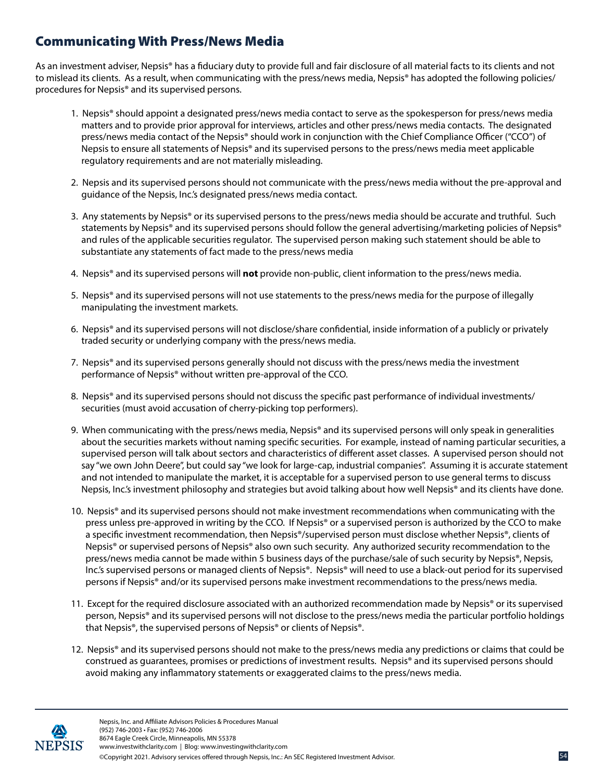#### Communicating With Press/News Media

As an investment adviser, Nepsis® has a fiduciary duty to provide full and fair disclosure of all material facts to its clients and not to mislead its clients. As a result, when communicating with the press/news media, Nepsis® has adopted the following policies/ procedures for Nepsis® and its supervised persons.

- 1. Nepsis® should appoint a designated press/news media contact to serve as the spokesperson for press/news media matters and to provide prior approval for interviews, articles and other press/news media contacts. The designated press/news media contact of the Nepsis® should work in conjunction with the Chief Compliance Officer ("CCO") of Nepsis to ensure all statements of Nepsis® and its supervised persons to the press/news media meet applicable regulatory requirements and are not materially misleading.
- 2. Nepsis and its supervised persons should not communicate with the press/news media without the pre-approval and guidance of the Nepsis, Inc.'s designated press/news media contact.
- 3. Any statements by Nepsis® or its supervised persons to the press/news media should be accurate and truthful. Such statements by Nepsis® and its supervised persons should follow the general advertising/marketing policies of Nepsis® and rules of the applicable securities regulator. The supervised person making such statement should be able to substantiate any statements of fact made to the press/news media
- 4. Nepsis® and its supervised persons will **not** provide non-public, client information to the press/news media.
- 5. Nepsis® and its supervised persons will not use statements to the press/news media for the purpose of illegally manipulating the investment markets.
- 6. Nepsis® and its supervised persons will not disclose/share confidential, inside information of a publicly or privately traded security or underlying company with the press/news media.
- 7. Nepsis® and its supervised persons generally should not discuss with the press/news media the investment performance of Nepsis® without written pre-approval of the CCO.
- 8. Nepsis® and its supervised persons should not discuss the specific past performance of individual investments/ securities (must avoid accusation of cherry-picking top performers).
- 9. When communicating with the press/news media, Nepsis® and its supervised persons will only speak in generalities about the securities markets without naming specific securities. For example, instead of naming particular securities, a supervised person will talk about sectors and characteristics of different asset classes. A supervised person should not say "we own John Deere", but could say "we look for large-cap, industrial companies". Assuming it is accurate statement and not intended to manipulate the market, it is acceptable for a supervised person to use general terms to discuss Nepsis, Inc.'s investment philosophy and strategies but avoid talking about how well Nepsis® and its clients have done.
- 10. Nepsis® and its supervised persons should not make investment recommendations when communicating with the press unless pre-approved in writing by the CCO. If Nepsis® or a supervised person is authorized by the CCO to make a specific investment recommendation, then Nepsis®/supervised person must disclose whether Nepsis®, clients of Nepsis® or supervised persons of Nepsis® also own such security. Any authorized security recommendation to the press/news media cannot be made within 5 business days of the purchase/sale of such security by Nepsis®, Nepsis, Inc.'s supervised persons or managed clients of Nepsis®. Nepsis® will need to use a black-out period for its supervised persons if Nepsis® and/or its supervised persons make investment recommendations to the press/news media.
- 11. Except for the required disclosure associated with an authorized recommendation made by Nepsis® or its supervised person, Nepsis® and its supervised persons will not disclose to the press/news media the particular portfolio holdings that Nepsis®, the supervised persons of Nepsis® or clients of Nepsis®.
- 12. Nepsis® and its supervised persons should not make to the press/news media any predictions or claims that could be construed as guarantees, promises or predictions of investment results. Nepsis® and its supervised persons should avoid making any inflammatory statements or exaggerated claims to the press/news media.

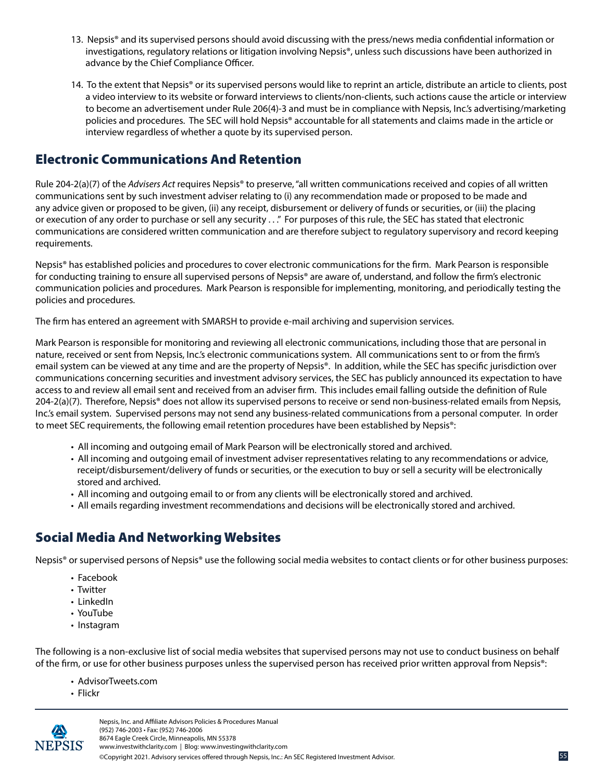- 13. Nepsis® and its supervised persons should avoid discussing with the press/news media confidential information or investigations, regulatory relations or litigation involving Nepsis®, unless such discussions have been authorized in advance by the Chief Compliance Officer.
- 14. To the extent that Nepsis® or its supervised persons would like to reprint an article, distribute an article to clients, post a video interview to its website or forward interviews to clients/non-clients, such actions cause the article or interview to become an advertisement under Rule 206(4)-3 and must be in compliance with Nepsis, Inc.'s advertising/marketing policies and procedures. The SEC will hold Nepsis® accountable for all statements and claims made in the article or interview regardless of whether a quote by its supervised person.

#### Electronic Communications And Retention

Rule 204-2(a)(7) of the *Advisers Act* requires Nepsis® to preserve, "all written communications received and copies of all written communications sent by such investment adviser relating to (i) any recommendation made or proposed to be made and any advice given or proposed to be given, (ii) any receipt, disbursement or delivery of funds or securities, or (iii) the placing or execution of any order to purchase or sell any security . . ." For purposes of this rule, the SEC has stated that electronic communications are considered written communication and are therefore subject to regulatory supervisory and record keeping requirements.

Nepsis® has established policies and procedures to cover electronic communications for the firm. Mark Pearson is responsible for conducting training to ensure all supervised persons of Nepsis® are aware of, understand, and follow the firm's electronic communication policies and procedures. Mark Pearson is responsible for implementing, monitoring, and periodically testing the policies and procedures.

The firm has entered an agreement with SMARSH to provide e-mail archiving and supervision services.

Mark Pearson is responsible for monitoring and reviewing all electronic communications, including those that are personal in nature, received or sent from Nepsis, Inc.'s electronic communications system. All communications sent to or from the firm's email system can be viewed at any time and are the property of Nepsis®. In addition, while the SEC has specific jurisdiction over communications concerning securities and investment advisory services, the SEC has publicly announced its expectation to have access to and review all email sent and received from an adviser firm. This includes email falling outside the definition of Rule 204-2(a)(7). Therefore, Nepsis® does not allow its supervised persons to receive or send non-business-related emails from Nepsis, Inc.'s email system. Supervised persons may not send any business-related communications from a personal computer. In order to meet SEC requirements, the following email retention procedures have been established by Nepsis®:

- All incoming and outgoing email of Mark Pearson will be electronically stored and archived.
- All incoming and outgoing email of investment adviser representatives relating to any recommendations or advice, receipt/disbursement/delivery of funds or securities, or the execution to buy or sell a security will be electronically stored and archived.
- All incoming and outgoing email to or from any clients will be electronically stored and archived.
- All emails regarding investment recommendations and decisions will be electronically stored and archived.

#### Social Media And Networking Websites

Nepsis® or supervised persons of Nepsis® use the following social media websites to contact clients or for other business purposes:

- Facebook
- Twitter
- LinkedIn
- YouTube
- Instagram

The following is a non-exclusive list of social media websites that supervised persons may not use to conduct business on behalf of the firm, or use for other business purposes unless the supervised person has received prior written approval from Nepsis®:

- AdvisorTweets.com
- Flickr

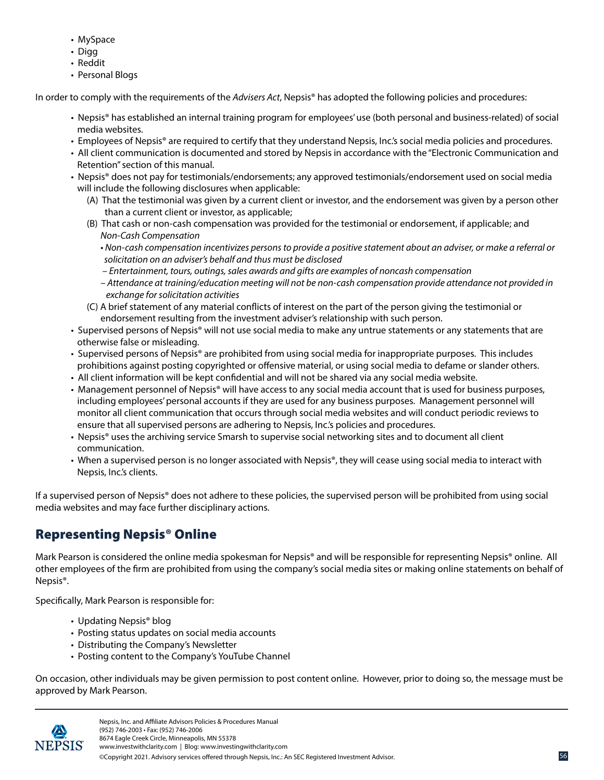- MySpace
- Digg
- Reddit
- Personal Blogs

In order to comply with the requirements of the *Advisers Act*, Nepsis® has adopted the following policies and procedures:

- Nepsis® has established an internal training program for employees' use (both personal and business-related) of social media websites.
- Employees of Nepsis® are required to certify that they understand Nepsis, Inc.'s social media policies and procedures.
- All client communication is documented and stored by Nepsis in accordance with the "Electronic Communication and Retention" section of this manual.
- Nepsis® does not pay for testimonials/endorsements; any approved testimonials/endorsement used on social media will include the following disclosures when applicable:
	- (A) That the testimonial was given by a current client or investor, and the endorsement was given by a person other than a current client or investor, as applicable;
	- (B) That cash or non-cash compensation was provided for the testimonial or endorsement, if applicable; and *Non-Cash Compensation*
		- *Non-cash compensation incentivizes persons to provide a positive statement about an adviser, or make a referral or solicitation on an adviser's behalf and thus must be disclosed*
		- *Entertainment, tours, outings, sales awards and gifts are examples of noncash compensation*
		- *Attendance at training/education meeting will not be non-cash compensation provide attendance not provided in exchange for solicitation activities*
	- (C) A brief statement of any material conflicts of interest on the part of the person giving the testimonial or endorsement resulting from the investment adviser's relationship with such person.
- Supervised persons of Nepsis® will not use social media to make any untrue statements or any statements that are otherwise false or misleading.
- Supervised persons of Nepsis® are prohibited from using social media for inappropriate purposes. This includes prohibitions against posting copyrighted or offensive material, or using social media to defame or slander others.
- All client information will be kept confidential and will not be shared via any social media website.
- Management personnel of Nepsis® will have access to any social media account that is used for business purposes, including employees' personal accounts if they are used for any business purposes. Management personnel will monitor all client communication that occurs through social media websites and will conduct periodic reviews to ensure that all supervised persons are adhering to Nepsis, Inc.'s policies and procedures.
- Nepsis® uses the archiving service Smarsh to supervise social networking sites and to document all client communication.
- When a supervised person is no longer associated with Nepsis®, they will cease using social media to interact with Nepsis, Inc.'s clients.

If a supervised person of Nepsis® does not adhere to these policies, the supervised person will be prohibited from using social media websites and may face further disciplinary actions.

# Representing Nepsis® Online

Mark Pearson is considered the online media spokesman for Nepsis® and will be responsible for representing Nepsis® online. All other employees of the firm are prohibited from using the company's social media sites or making online statements on behalf of Nepsis®.

Specifically, Mark Pearson is responsible for:

- Updating Nepsis® blog
- Posting status updates on social media accounts
- Distributing the Company's Newsletter
- Posting content to the Company's YouTube Channel

On occasion, other individuals may be given permission to post content online. However, prior to doing so, the message must be approved by Mark Pearson.

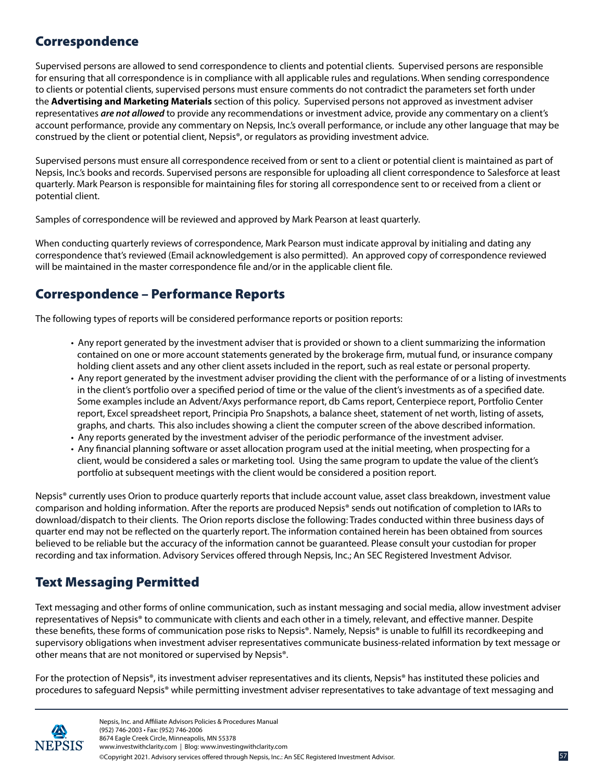#### Correspondence

Supervised persons are allowed to send correspondence to clients and potential clients. Supervised persons are responsible for ensuring that all correspondence is in compliance with all applicable rules and regulations. When sending correspondence to clients or potential clients, supervised persons must ensure comments do not contradict the parameters set forth under the **Advertising and Marketing Materials** section of this policy. Supervised persons not approved as investment adviser representatives *are not allowed* to provide any recommendations or investment advice, provide any commentary on a client's account performance, provide any commentary on Nepsis, Inc.'s overall performance, or include any other language that may be construed by the client or potential client, Nepsis®, or regulators as providing investment advice.

Supervised persons must ensure all correspondence received from or sent to a client or potential client is maintained as part of Nepsis, Inc.'s books and records. Supervised persons are responsible for uploading all client correspondence to Salesforce at least quarterly. Mark Pearson is responsible for maintaining files for storing all correspondence sent to or received from a client or potential client.

Samples of correspondence will be reviewed and approved by Mark Pearson at least quarterly.

When conducting quarterly reviews of correspondence, Mark Pearson must indicate approval by initialing and dating any correspondence that's reviewed (Email acknowledgement is also permitted). An approved copy of correspondence reviewed will be maintained in the master correspondence file and/or in the applicable client file.

## Correspondence – Performance Reports

The following types of reports will be considered performance reports or position reports:

- Any report generated by the investment adviser that is provided or shown to a client summarizing the information contained on one or more account statements generated by the brokerage firm, mutual fund, or insurance company holding client assets and any other client assets included in the report, such as real estate or personal property.
- Any report generated by the investment adviser providing the client with the performance of or a listing of investments in the client's portfolio over a specified period of time or the value of the client's investments as of a specified date. Some examples include an Advent/Axys performance report, db Cams report, Centerpiece report, Portfolio Center report, Excel spreadsheet report, Principia Pro Snapshots, a balance sheet, statement of net worth, listing of assets, graphs, and charts. This also includes showing a client the computer screen of the above described information.
- Any reports generated by the investment adviser of the periodic performance of the investment adviser.
- Any financial planning software or asset allocation program used at the initial meeting, when prospecting for a client, would be considered a sales or marketing tool. Using the same program to update the value of the client's portfolio at subsequent meetings with the client would be considered a position report.

Nepsis® currently uses Orion to produce quarterly reports that include account value, asset class breakdown, investment value comparison and holding information. After the reports are produced Nepsis® sends out notification of completion to IARs to download/dispatch to their clients. The Orion reports disclose the following: Trades conducted within three business days of quarter end may not be reflected on the quarterly report. The information contained herein has been obtained from sources believed to be reliable but the accuracy of the information cannot be guaranteed. Please consult your custodian for proper recording and tax information. Advisory Services offered through Nepsis, Inc.; An SEC Registered Investment Advisor.

## Text Messaging Permitted

Text messaging and other forms of online communication, such as instant messaging and social media, allow investment adviser representatives of Nepsis® to communicate with clients and each other in a timely, relevant, and effective manner. Despite these benefits, these forms of communication pose risks to Nepsis®. Namely, Nepsis® is unable to fulfill its recordkeeping and supervisory obligations when investment adviser representatives communicate business-related information by text message or other means that are not monitored or supervised by Nepsis®.

For the protection of Nepsis®, its investment adviser representatives and its clients, Nepsis® has instituted these policies and procedures to safeguard Nepsis® while permitting investment adviser representatives to take advantage of text messaging and

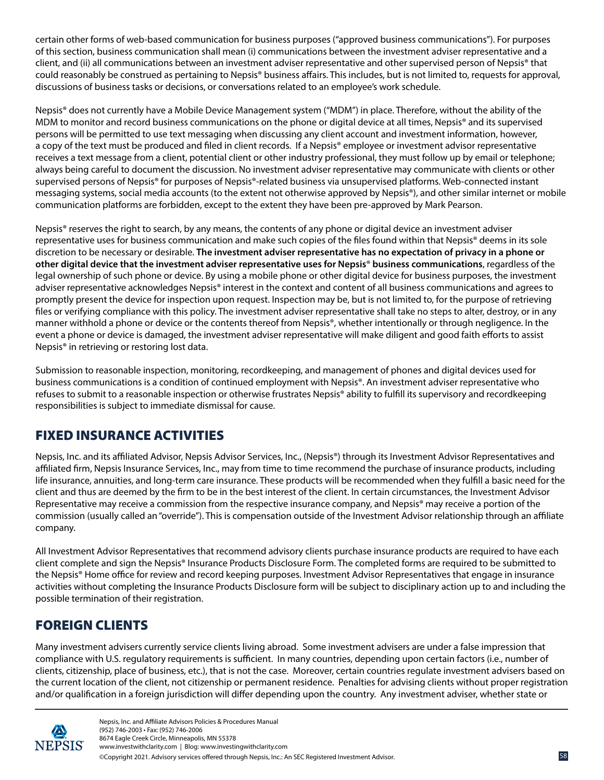certain other forms of web-based communication for business purposes ("approved business communications"). For purposes of this section, business communication shall mean (i) communications between the investment adviser representative and a client, and (ii) all communications between an investment adviser representative and other supervised person of Nepsis® that could reasonably be construed as pertaining to Nepsis® business affairs. This includes, but is not limited to, requests for approval, discussions of business tasks or decisions, or conversations related to an employee's work schedule.

Nepsis® does not currently have a Mobile Device Management system ("MDM") in place. Therefore, without the ability of the MDM to monitor and record business communications on the phone or digital device at all times, Nepsis® and its supervised persons will be permitted to use text messaging when discussing any client account and investment information, however, a copy of the text must be produced and filed in client records. If a Nepsis® employee or investment advisor representative receives a text message from a client, potential client or other industry professional, they must follow up by email or telephone; always being careful to document the discussion. No investment adviser representative may communicate with clients or other supervised persons of Nepsis® for purposes of Nepsis®-related business via unsupervised platforms. Web-connected instant messaging systems, social media accounts (to the extent not otherwise approved by Nepsis®), and other similar internet or mobile communication platforms are forbidden, except to the extent they have been pre-approved by Mark Pearson.

Nepsis® reserves the right to search, by any means, the contents of any phone or digital device an investment adviser representative uses for business communication and make such copies of the files found within that Nepsis® deems in its sole discretion to be necessary or desirable. **The investment adviser representative has no expectation of privacy in a phone or other digital device that the investment adviser representative uses for Nepsis**® **business communications**, regardless of the legal ownership of such phone or device. By using a mobile phone or other digital device for business purposes, the investment adviser representative acknowledges Nepsis® interest in the context and content of all business communications and agrees to promptly present the device for inspection upon request. Inspection may be, but is not limited to, for the purpose of retrieving files or verifying compliance with this policy. The investment adviser representative shall take no steps to alter, destroy, or in any manner withhold a phone or device or the contents thereof from Nepsis®, whether intentionally or through negligence. In the event a phone or device is damaged, the investment adviser representative will make diligent and good faith efforts to assist Nepsis® in retrieving or restoring lost data.

Submission to reasonable inspection, monitoring, recordkeeping, and management of phones and digital devices used for business communications is a condition of continued employment with Nepsis®. An investment adviser representative who refuses to submit to a reasonable inspection or otherwise frustrates Nepsis® ability to fulfill its supervisory and recordkeeping responsibilities is subject to immediate dismissal for cause.

## FIXED INSURANCE ACTIVITIES

Nepsis, Inc. and its affiliated Advisor, Nepsis Advisor Services, Inc., (Nepsis®) through its Investment Advisor Representatives and affiliated firm, Nepsis Insurance Services, Inc., may from time to time recommend the purchase of insurance products, including life insurance, annuities, and long-term care insurance. These products will be recommended when they fulfill a basic need for the client and thus are deemed by the firm to be in the best interest of the client. In certain circumstances, the Investment Advisor Representative may receive a commission from the respective insurance company, and Nepsis® may receive a portion of the commission (usually called an "override"). This is compensation outside of the Investment Advisor relationship through an affiliate company.

All Investment Advisor Representatives that recommend advisory clients purchase insurance products are required to have each client complete and sign the Nepsis® Insurance Products Disclosure Form. The completed forms are required to be submitted to the Nepsis® Home office for review and record keeping purposes. Investment Advisor Representatives that engage in insurance activities without completing the Insurance Products Disclosure form will be subject to disciplinary action up to and including the possible termination of their registration.

## FOREIGN CLIENTS

Many investment advisers currently service clients living abroad. Some investment advisers are under a false impression that compliance with U.S. regulatory requirements is sufficient. In many countries, depending upon certain factors (i.e., number of clients, citizenship, place of business, etc.), that is not the case. Moreover, certain countries regulate investment advisers based on the current location of the client, not citizenship or permanent residence. Penalties for advising clients without proper registration and/or qualification in a foreign jurisdiction will differ depending upon the country. Any investment adviser, whether state or

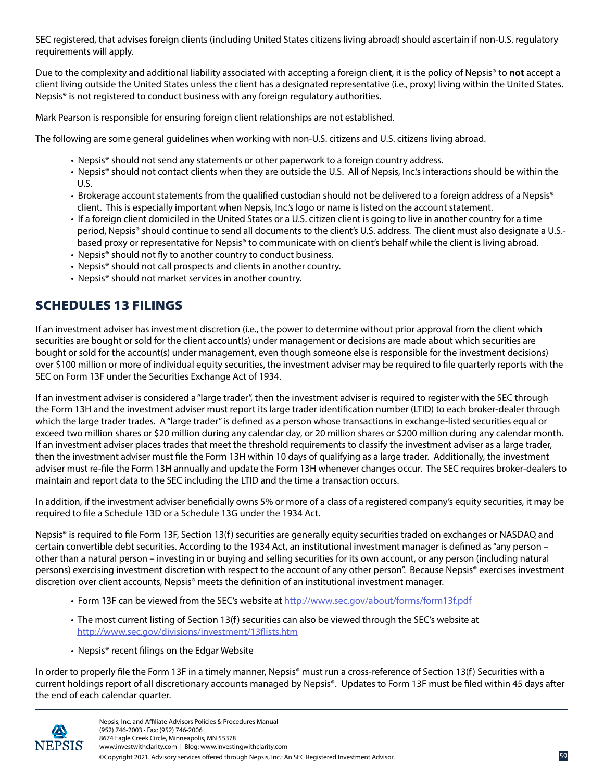SEC registered, that advises foreign clients (including United States citizens living abroad) should ascertain if non-U.S. regulatory requirements will apply.

Due to the complexity and additional liability associated with accepting a foreign client, it is the policy of Nepsis® to **not** accept a client living outside the United States unless the client has a designated representative (i.e., proxy) living within the United States. Nepsis® is not registered to conduct business with any foreign regulatory authorities.

Mark Pearson is responsible for ensuring foreign client relationships are not established.

The following are some general guidelines when working with non-U.S. citizens and U.S. citizens living abroad.

- Nepsis® should not send any statements or other paperwork to a foreign country address.
- Nepsis® should not contact clients when they are outside the U.S. All of Nepsis, Inc.'s interactions should be within the U.S.
- Brokerage account statements from the qualified custodian should not be delivered to a foreign address of a Nepsis® client. This is especially important when Nepsis, Inc.'s logo or name is listed on the account statement.
- If a foreign client domiciled in the United States or a U.S. citizen client is going to live in another country for a time period, Nepsis® should continue to send all documents to the client's U.S. address. The client must also designate a U.S. based proxy or representative for Nepsis® to communicate with on client's behalf while the client is living abroad.
- Nepsis® should not fly to another country to conduct business.
- Nepsis® should not call prospects and clients in another country.
- Nepsis® should not market services in another country.

#### SCHEDULES 13 FILINGS

If an investment adviser has investment discretion (i.e., the power to determine without prior approval from the client which securities are bought or sold for the client account(s) under management or decisions are made about which securities are bought or sold for the account(s) under management, even though someone else is responsible for the investment decisions) over \$100 million or more of individual equity securities, the investment adviser may be required to file quarterly reports with the SEC on Form 13F under the Securities Exchange Act of 1934.

If an investment adviser is considered a "large trader", then the investment adviser is required to register with the SEC through the Form 13H and the investment adviser must report its large trader identification number (LTID) to each broker-dealer through which the large trader trades. A "large trader" is defined as a person whose transactions in exchange-listed securities equal or exceed two million shares or \$20 million during any calendar day, or 20 million shares or \$200 million during any calendar month. If an investment adviser places trades that meet the threshold requirements to classify the investment adviser as a large trader, then the investment adviser must file the Form 13H within 10 days of qualifying as a large trader. Additionally, the investment adviser must re-file the Form 13H annually and update the Form 13H whenever changes occur. The SEC requires broker-dealers to maintain and report data to the SEC including the LTID and the time a transaction occurs.

In addition, if the investment adviser beneficially owns 5% or more of a class of a registered company's equity securities, it may be required to file a Schedule 13D or a Schedule 13G under the 1934 Act.

Nepsis® is required to file Form 13F, Section 13(f) securities are generally equity securities traded on exchanges or NASDAQ and certain convertible debt securities. According to the 1934 Act, an institutional investment manager is defined as "any person – other than a natural person – investing in or buying and selling securities for its own account, or any person (including natural persons) exercising investment discretion with respect to the account of any other person". Because Nepsis® exercises investment discretion over client accounts, Nepsis® meets the definition of an institutional investment manager.

- Form 13F can be viewed from the SEC's website at<http://www.sec.gov/about/forms/form13f.pdf>
- The most current listing of Section 13(f) securities can also be viewed through the SEC's website at <http://www.sec.gov/divisions/investment/13flists.htm>
- Nepsis® recent filings on the Edgar Website

In order to properly file the Form 13F in a timely manner, Nepsis® must run a cross-reference of Section 13(f) Securities with a current holdings report of all discretionary accounts managed by Nepsis®. Updates to Form 13F must be filed within 45 days after the end of each calendar quarter.

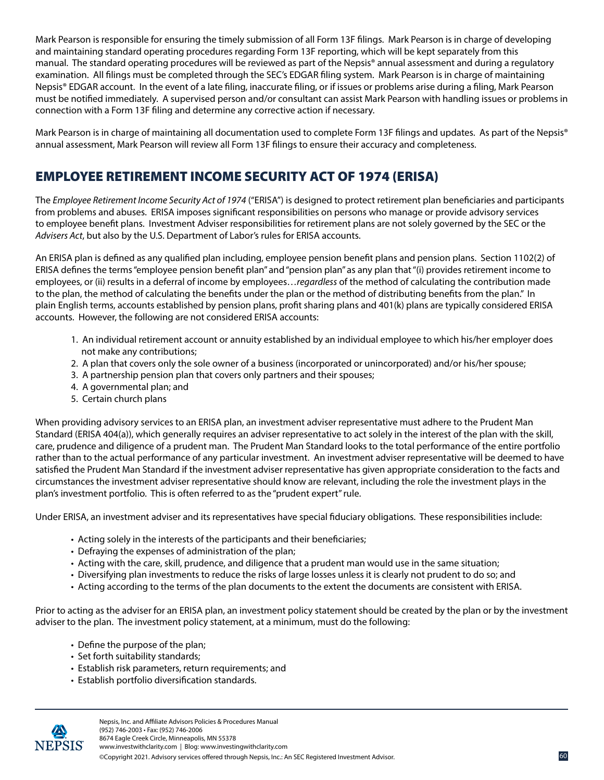Mark Pearson is responsible for ensuring the timely submission of all Form 13F filings. Mark Pearson is in charge of developing and maintaining standard operating procedures regarding Form 13F reporting, which will be kept separately from this manual. The standard operating procedures will be reviewed as part of the Nepsis® annual assessment and during a regulatory examination. All filings must be completed through the SEC's EDGAR filing system. Mark Pearson is in charge of maintaining Nepsis® EDGAR account. In the event of a late filing, inaccurate filing, or if issues or problems arise during a filing, Mark Pearson must be notified immediately. A supervised person and/or consultant can assist Mark Pearson with handling issues or problems in connection with a Form 13F filing and determine any corrective action if necessary.

Mark Pearson is in charge of maintaining all documentation used to complete Form 13F filings and updates. As part of the Nepsis<sup>®</sup> annual assessment, Mark Pearson will review all Form 13F filings to ensure their accuracy and completeness.

#### EMPLOYEE RETIREMENT INCOME SECURITY ACT OF 1974 (ERISA)

The *Employee Retirement Income Security Act of 1974* ("ERISA") is designed to protect retirement plan beneficiaries and participants from problems and abuses. ERISA imposes significant responsibilities on persons who manage or provide advisory services to employee benefit plans. Investment Adviser responsibilities for retirement plans are not solely governed by the SEC or the *Advisers Act*, but also by the U.S. Department of Labor's rules for ERISA accounts.

An ERISA plan is defined as any qualified plan including, employee pension benefit plans and pension plans. Section 1102(2) of ERISA defines the terms "employee pension benefit plan" and "pension plan" as any plan that "(i) provides retirement income to employees, or (ii) results in a deferral of income by employees…*regardless* of the method of calculating the contribution made to the plan, the method of calculating the benefits under the plan or the method of distributing benefits from the plan." In plain English terms, accounts established by pension plans, profit sharing plans and 401(k) plans are typically considered ERISA accounts. However, the following are not considered ERISA accounts:

- 1. An individual retirement account or annuity established by an individual employee to which his/her employer does not make any contributions;
- 2. A plan that covers only the sole owner of a business (incorporated or unincorporated) and/or his/her spouse;
- 3. A partnership pension plan that covers only partners and their spouses;
- 4. A governmental plan; and
- 5. Certain church plans

When providing advisory services to an ERISA plan, an investment adviser representative must adhere to the Prudent Man Standard (ERISA 404(a)), which generally requires an adviser representative to act solely in the interest of the plan with the skill, care, prudence and diligence of a prudent man. The Prudent Man Standard looks to the total performance of the entire portfolio rather than to the actual performance of any particular investment. An investment adviser representative will be deemed to have satisfied the Prudent Man Standard if the investment adviser representative has given appropriate consideration to the facts and circumstances the investment adviser representative should know are relevant, including the role the investment plays in the plan's investment portfolio. This is often referred to as the "prudent expert" rule.

Under ERISA, an investment adviser and its representatives have special fiduciary obligations. These responsibilities include:

- Acting solely in the interests of the participants and their beneficiaries;
- Defraying the expenses of administration of the plan;
- Acting with the care, skill, prudence, and diligence that a prudent man would use in the same situation;
- Diversifying plan investments to reduce the risks of large losses unless it is clearly not prudent to do so; and
- Acting according to the terms of the plan documents to the extent the documents are consistent with ERISA.

Prior to acting as the adviser for an ERISA plan, an investment policy statement should be created by the plan or by the investment adviser to the plan. The investment policy statement, at a minimum, must do the following:

- Define the purpose of the plan;
- Set forth suitability standards;
- Establish risk parameters, return requirements; and
- Establish portfolio diversification standards.

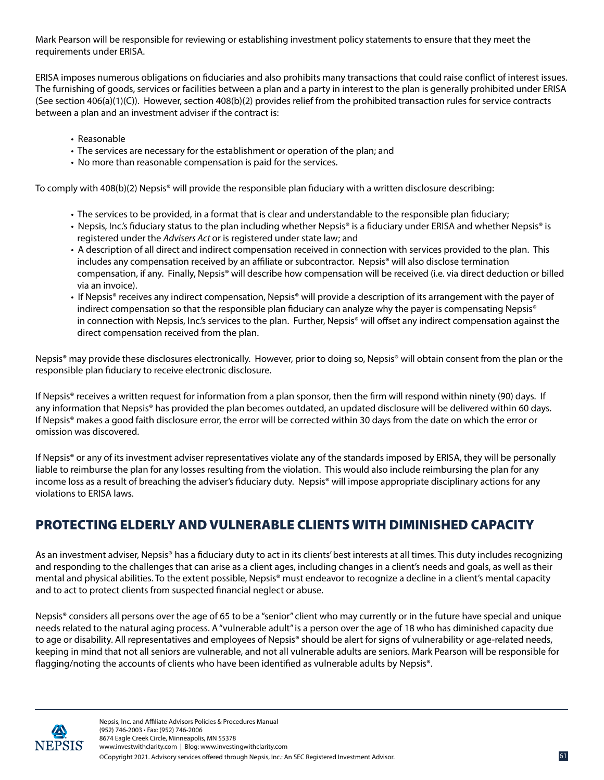Mark Pearson will be responsible for reviewing or establishing investment policy statements to ensure that they meet the requirements under ERISA.

ERISA imposes numerous obligations on fiduciaries and also prohibits many transactions that could raise conflict of interest issues. The furnishing of goods, services or facilities between a plan and a party in interest to the plan is generally prohibited under ERISA (See section 406(a)(1)(C)). However, section 408(b)(2) provides relief from the prohibited transaction rules for service contracts between a plan and an investment adviser if the contract is:

- Reasonable
- The services are necessary for the establishment or operation of the plan; and
- No more than reasonable compensation is paid for the services.

To comply with 408(b)(2) Nepsis® will provide the responsible plan fiduciary with a written disclosure describing:

- The services to be provided, in a format that is clear and understandable to the responsible plan fiduciary;
- Nepsis, Inc.'s fiduciary status to the plan including whether Nepsis® is a fiduciary under ERISA and whether Nepsis® is registered under the *Advisers Act* or is registered under state law; and
- A description of all direct and indirect compensation received in connection with services provided to the plan. This includes any compensation received by an affiliate or subcontractor. Nepsis® will also disclose termination compensation, if any. Finally, Nepsis® will describe how compensation will be received (i.e. via direct deduction or billed via an invoice).
- If Nepsis® receives any indirect compensation, Nepsis® will provide a description of its arrangement with the payer of indirect compensation so that the responsible plan fiduciary can analyze why the payer is compensating Nepsis® in connection with Nepsis, Inc.'s services to the plan. Further, Nepsis® will offset any indirect compensation against the direct compensation received from the plan.

Nepsis® may provide these disclosures electronically. However, prior to doing so, Nepsis® will obtain consent from the plan or the responsible plan fiduciary to receive electronic disclosure.

If Nepsis® receives a written request for information from a plan sponsor, then the firm will respond within ninety (90) days. If any information that Nepsis® has provided the plan becomes outdated, an updated disclosure will be delivered within 60 days. If Nepsis® makes a good faith disclosure error, the error will be corrected within 30 days from the date on which the error or omission was discovered.

If Nepsis® or any of its investment adviser representatives violate any of the standards imposed by ERISA, they will be personally liable to reimburse the plan for any losses resulting from the violation. This would also include reimbursing the plan for any income loss as a result of breaching the adviser's fiduciary duty. Nepsis® will impose appropriate disciplinary actions for any violations to ERISA laws.

## PROTECTING ELDERLY AND VULNERABLE CLIENTS WITH DIMINISHED CAPACITY

As an investment adviser, Nepsis® has a fiduciary duty to act in its clients' best interests at all times. This duty includes recognizing and responding to the challenges that can arise as a client ages, including changes in a client's needs and goals, as well as their mental and physical abilities. To the extent possible, Nepsis® must endeavor to recognize a decline in a client's mental capacity and to act to protect clients from suspected financial neglect or abuse.

Nepsis® considers all persons over the age of 65 to be a "senior" client who may currently or in the future have special and unique needs related to the natural aging process. A "vulnerable adult" is a person over the age of 18 who has diminished capacity due to age or disability. All representatives and employees of Nepsis® should be alert for signs of vulnerability or age-related needs, keeping in mind that not all seniors are vulnerable, and not all vulnerable adults are seniors. Mark Pearson will be responsible for flagging/noting the accounts of clients who have been identified as vulnerable adults by Nepsis®.

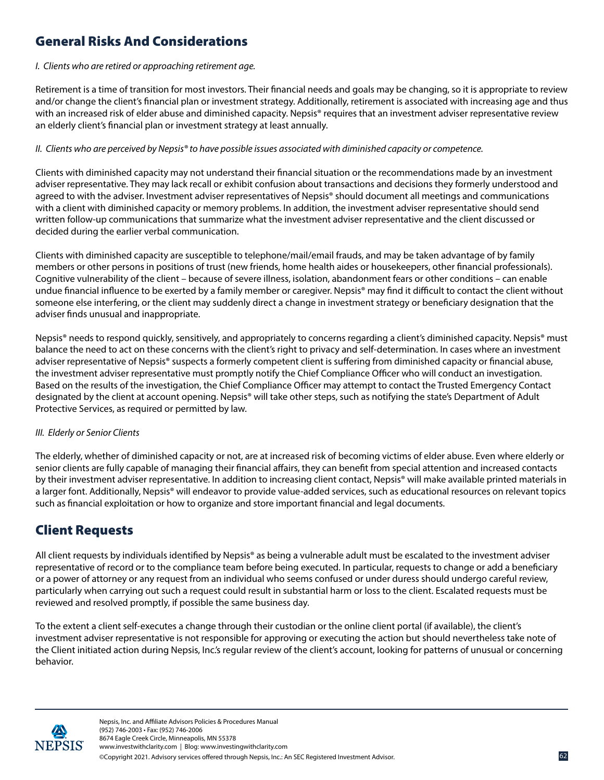# General Risks And Considerations

#### *I. Clients who are retired or approaching retirement age.*

Retirement is a time of transition for most investors. Their financial needs and goals may be changing, so it is appropriate to review and/or change the client's financial plan or investment strategy. Additionally, retirement is associated with increasing age and thus with an increased risk of elder abuse and diminished capacity. Nepsis® requires that an investment adviser representative review an elderly client's financial plan or investment strategy at least annually.

#### *II. Clients who are perceived by Nepsis® to have possible issues associated with diminished capacity or competence.*

Clients with diminished capacity may not understand their financial situation or the recommendations made by an investment adviser representative. They may lack recall or exhibit confusion about transactions and decisions they formerly understood and agreed to with the adviser. Investment adviser representatives of Nepsis® should document all meetings and communications with a client with diminished capacity or memory problems. In addition, the investment adviser representative should send written follow-up communications that summarize what the investment adviser representative and the client discussed or decided during the earlier verbal communication.

Clients with diminished capacity are susceptible to telephone/mail/email frauds, and may be taken advantage of by family members or other persons in positions of trust (new friends, home health aides or housekeepers, other financial professionals). Cognitive vulnerability of the client – because of severe illness, isolation, abandonment fears or other conditions – can enable undue financial influence to be exerted by a family member or caregiver. Nepsis<sup>®</sup> may find it difficult to contact the client without someone else interfering, or the client may suddenly direct a change in investment strategy or beneficiary designation that the adviser finds unusual and inappropriate.

Nepsis<sup>®</sup> needs to respond quickly, sensitively, and appropriately to concerns regarding a client's diminished capacity. Nepsis<sup>®</sup> must balance the need to act on these concerns with the client's right to privacy and self-determination. In cases where an investment adviser representative of Nepsis® suspects a formerly competent client is suffering from diminished capacity or financial abuse, the investment adviser representative must promptly notify the Chief Compliance Officer who will conduct an investigation. Based on the results of the investigation, the Chief Compliance Officer may attempt to contact the Trusted Emergency Contact designated by the client at account opening. Nepsis® will take other steps, such as notifying the state's Department of Adult Protective Services, as required or permitted by law.

#### *III. Elderly or Senior Clients*

The elderly, whether of diminished capacity or not, are at increased risk of becoming victims of elder abuse. Even where elderly or senior clients are fully capable of managing their financial affairs, they can benefit from special attention and increased contacts by their investment adviser representative. In addition to increasing client contact, Nepsis® will make available printed materials in a larger font. Additionally, Nepsis® will endeavor to provide value-added services, such as educational resources on relevant topics such as financial exploitation or how to organize and store important financial and legal documents.

## Client Requests

All client requests by individuals identified by Nepsis® as being a vulnerable adult must be escalated to the investment adviser representative of record or to the compliance team before being executed. In particular, requests to change or add a beneficiary or a power of attorney or any request from an individual who seems confused or under duress should undergo careful review, particularly when carrying out such a request could result in substantial harm or loss to the client. Escalated requests must be reviewed and resolved promptly, if possible the same business day.

To the extent a client self-executes a change through their custodian or the online client portal (if available), the client's investment adviser representative is not responsible for approving or executing the action but should nevertheless take note of the Client initiated action during Nepsis, Inc.'s regular review of the client's account, looking for patterns of unusual or concerning behavior.

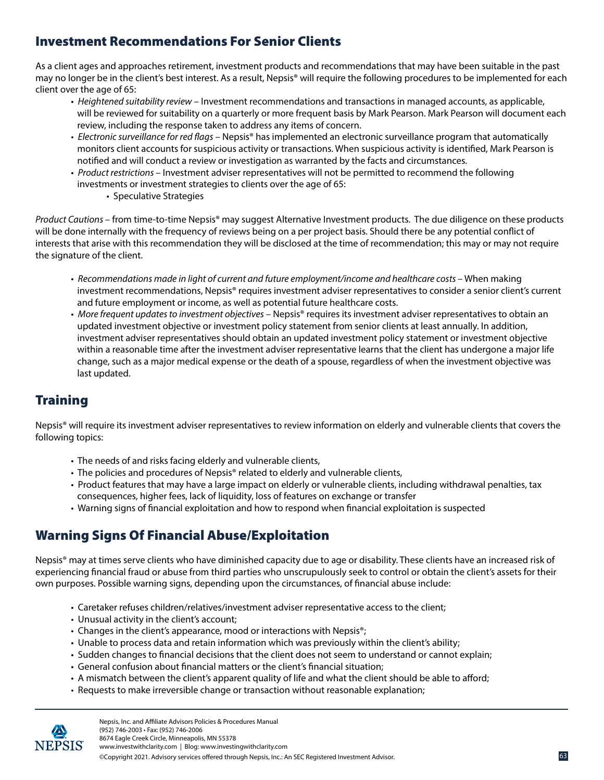## Investment Recommendations For Senior Clients

As a client ages and approaches retirement, investment products and recommendations that may have been suitable in the past may no longer be in the client's best interest. As a result, Nepsis® will require the following procedures to be implemented for each client over the age of 65:

- *Heightened suitability review* Investment recommendations and transactions in managed accounts, as applicable, will be reviewed for suitability on a quarterly or more frequent basis by Mark Pearson. Mark Pearson will document each review, including the response taken to address any items of concern.
- *Electronic surveillance for red flags* Nepsis® has implemented an electronic surveillance program that automatically monitors client accounts for suspicious activity or transactions. When suspicious activity is identified, Mark Pearson is notified and will conduct a review or investigation as warranted by the facts and circumstances.
- *Product restrictions*  Investment adviser representatives will not be permitted to recommend the following investments or investment strategies to clients over the age of 65:
	- Speculative Strategies

*Product Cautions –* from time-to-time Nepsis® may suggest Alternative Investment products. The due diligence on these products will be done internally with the frequency of reviews being on a per project basis. Should there be any potential conflict of interests that arise with this recommendation they will be disclosed at the time of recommendation; this may or may not require the signature of the client.

- Recommendations made in light of current and future employment/income and healthcare costs When making investment recommendations, Nepsis® requires investment adviser representatives to consider a senior client's current and future employment or income, as well as potential future healthcare costs.
- *More frequent updates to investment objectives* Nepsis® requires its investment adviser representatives to obtain an updated investment objective or investment policy statement from senior clients at least annually. In addition, investment adviser representatives should obtain an updated investment policy statement or investment objective within a reasonable time after the investment adviser representative learns that the client has undergone a major life change, such as a major medical expense or the death of a spouse, regardless of when the investment objective was last updated.

## **Training**

Nepsis® will require its investment adviser representatives to review information on elderly and vulnerable clients that covers the following topics:

- The needs of and risks facing elderly and vulnerable clients,
- The policies and procedures of Nepsis® related to elderly and vulnerable clients,
- Product features that may have a large impact on elderly or vulnerable clients, including withdrawal penalties, tax consequences, higher fees, lack of liquidity, loss of features on exchange or transfer
- Warning signs of financial exploitation and how to respond when financial exploitation is suspected

# Warning Signs Of Financial Abuse/Exploitation

Nepsis® may at times serve clients who have diminished capacity due to age or disability. These clients have an increased risk of experiencing financial fraud or abuse from third parties who unscrupulously seek to control or obtain the client's assets for their own purposes. Possible warning signs, depending upon the circumstances, of financial abuse include:

- Caretaker refuses children/relatives/investment adviser representative access to the client;
- Unusual activity in the client's account;
- Changes in the client's appearance, mood or interactions with Nepsis<sup>®</sup>;
- Unable to process data and retain information which was previously within the client's ability;
- Sudden changes to financial decisions that the client does not seem to understand or cannot explain;
- General confusion about financial matters or the client's financial situation;
- A mismatch between the client's apparent quality of life and what the client should be able to afford;
- Requests to make irreversible change or transaction without reasonable explanation;

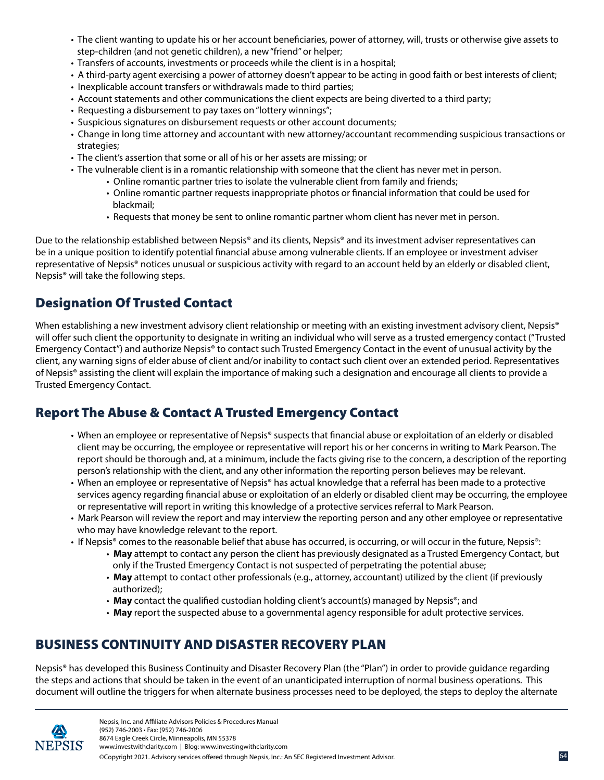- The client wanting to update his or her account beneficiaries, power of attorney, will, trusts or otherwise give assets to step-children (and not genetic children), a new "friend" or helper;
- Transfers of accounts, investments or proceeds while the client is in a hospital;
- A third-party agent exercising a power of attorney doesn't appear to be acting in good faith or best interests of client;
- Inexplicable account transfers or withdrawals made to third parties;
- Account statements and other communications the client expects are being diverted to a third party;
- Requesting a disbursement to pay taxes on "lottery winnings";
- Suspicious signatures on disbursement requests or other account documents;
- Change in long time attorney and accountant with new attorney/accountant recommending suspicious transactions or strategies;
- The client's assertion that some or all of his or her assets are missing; or
- The vulnerable client is in a romantic relationship with someone that the client has never met in person.
	- Online romantic partner tries to isolate the vulnerable client from family and friends;
	- Online romantic partner requests inappropriate photos or financial information that could be used for blackmail;
	- Requests that money be sent to online romantic partner whom client has never met in person.

Due to the relationship established between Nepsis® and its clients, Nepsis® and its investment adviser representatives can be in a unique position to identify potential financial abuse among vulnerable clients. If an employee or investment adviser representative of Nepsis® notices unusual or suspicious activity with regard to an account held by an elderly or disabled client, Nepsis® will take the following steps.

# Designation Of Trusted Contact

When establishing a new investment advisory client relationship or meeting with an existing investment advisory client, Nepsis® will offer such client the opportunity to designate in writing an individual who will serve as a trusted emergency contact ("Trusted Emergency Contact") and authorize Nepsis® to contact such Trusted Emergency Contact in the event of unusual activity by the client, any warning signs of elder abuse of client and/or inability to contact such client over an extended period. Representatives of Nepsis® assisting the client will explain the importance of making such a designation and encourage all clients to provide a Trusted Emergency Contact.

## Report The Abuse & Contact A Trusted Emergency Contact

- When an employee or representative of Nepsis® suspects that financial abuse or exploitation of an elderly or disabled client may be occurring, the employee or representative will report his or her concerns in writing to Mark Pearson. The report should be thorough and, at a minimum, include the facts giving rise to the concern, a description of the reporting person's relationship with the client, and any other information the reporting person believes may be relevant.
- When an employee or representative of Nepsis® has actual knowledge that a referral has been made to a protective services agency regarding financial abuse or exploitation of an elderly or disabled client may be occurring, the employee or representative will report in writing this knowledge of a protective services referral to Mark Pearson.
- Mark Pearson will review the report and may interview the reporting person and any other employee or representative who may have knowledge relevant to the report.
- If Nepsis® comes to the reasonable belief that abuse has occurred, is occurring, or will occur in the future, Nepsis®:
	- **May** attempt to contact any person the client has previously designated as a Trusted Emergency Contact, but only if the Trusted Emergency Contact is not suspected of perpetrating the potential abuse;
	- **May** attempt to contact other professionals (e.g., attorney, accountant) utilized by the client (if previously authorized);
	- **May** contact the qualified custodian holding client's account(s) managed by Nepsis®; and
	- **May** report the suspected abuse to a governmental agency responsible for adult protective services.

## BUSINESS CONTINUITY AND DISASTER RECOVERY PLAN

Nepsis® has developed this Business Continuity and Disaster Recovery Plan (the "Plan") in order to provide guidance regarding the steps and actions that should be taken in the event of an unanticipated interruption of normal business operations. This document will outline the triggers for when alternate business processes need to be deployed, the steps to deploy the alternate

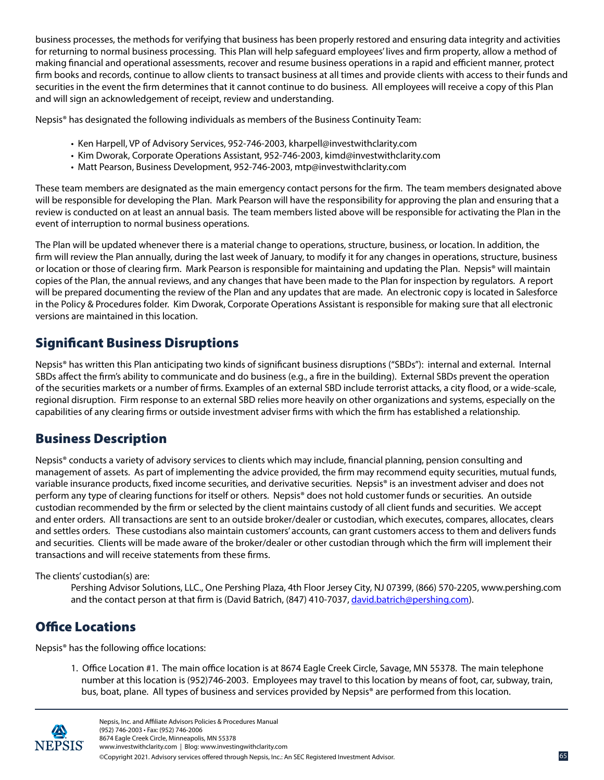business processes, the methods for verifying that business has been properly restored and ensuring data integrity and activities for returning to normal business processing. This Plan will help safeguard employees' lives and firm property, allow a method of making financial and operational assessments, recover and resume business operations in a rapid and efficient manner, protect firm books and records, continue to allow clients to transact business at all times and provide clients with access to their funds and securities in the event the firm determines that it cannot continue to do business. All employees will receive a copy of this Plan and will sign an acknowledgement of receipt, review and understanding.

Nepsis® has designated the following individuals as members of the Business Continuity Team:

- Ken Harpell, VP of Advisory Services, 952-746-2003, kharpell@investwithclarity.com
- Kim Dworak, Corporate Operations Assistant, 952-746-2003, kimd@investwithclarity.com
- Matt Pearson, Business Development, 952-746-2003, mtp@investwithclarity.com

These team members are designated as the main emergency contact persons for the firm. The team members designated above will be responsible for developing the Plan. Mark Pearson will have the responsibility for approving the plan and ensuring that a review is conducted on at least an annual basis. The team members listed above will be responsible for activating the Plan in the event of interruption to normal business operations.

The Plan will be updated whenever there is a material change to operations, structure, business, or location. In addition, the firm will review the Plan annually, during the last week of January, to modify it for any changes in operations, structure, business or location or those of clearing firm. Mark Pearson is responsible for maintaining and updating the Plan. Nepsis® will maintain copies of the Plan, the annual reviews, and any changes that have been made to the Plan for inspection by regulators. A report will be prepared documenting the review of the Plan and any updates that are made. An electronic copy is located in Salesforce in the Policy & Procedures folder. Kim Dworak, Corporate Operations Assistant is responsible for making sure that all electronic versions are maintained in this location.

## Significant Business Disruptions

Nepsis® has written this Plan anticipating two kinds of significant business disruptions ("SBDs"): internal and external. Internal SBDs affect the firm's ability to communicate and do business (e.g., a fire in the building). External SBDs prevent the operation of the securities markets or a number of firms. Examples of an external SBD include terrorist attacks, a city flood, or a wide-scale, regional disruption. Firm response to an external SBD relies more heavily on other organizations and systems, especially on the capabilities of any clearing firms or outside investment adviser firms with which the firm has established a relationship.

## Business Description

Nepsis® conducts a variety of advisory services to clients which may include, financial planning, pension consulting and management of assets. As part of implementing the advice provided, the firm may recommend equity securities, mutual funds, variable insurance products, fixed income securities, and derivative securities. Nepsis® is an investment adviser and does not perform any type of clearing functions for itself or others. Nepsis® does not hold customer funds or securities. An outside custodian recommended by the firm or selected by the client maintains custody of all client funds and securities. We accept and enter orders. All transactions are sent to an outside broker/dealer or custodian, which executes, compares, allocates, clears and settles orders. These custodians also maintain customers' accounts, can grant customers access to them and delivers funds and securities. Clients will be made aware of the broker/dealer or other custodian through which the firm will implement their transactions and will receive statements from these firms.

#### The clients' custodian(s) are:

Pershing Advisor Solutions, LLC., One Pershing Plaza, 4th Floor Jersey City, NJ 07399, (866) 570-2205, www.pershing.com and the contact person at that firm is (David Batrich, (847) 410-7037, david.batrich@pershing.com).

## Office Locations

Nepsis® has the following office locations:

1. Office Location #1. The main office location is at 8674 Eagle Creek Circle, Savage, MN 55378. The main telephone number at this location is (952)746-2003. Employees may travel to this location by means of foot, car, subway, train, bus, boat, plane. All types of business and services provided by Nepsis® are performed from this location.

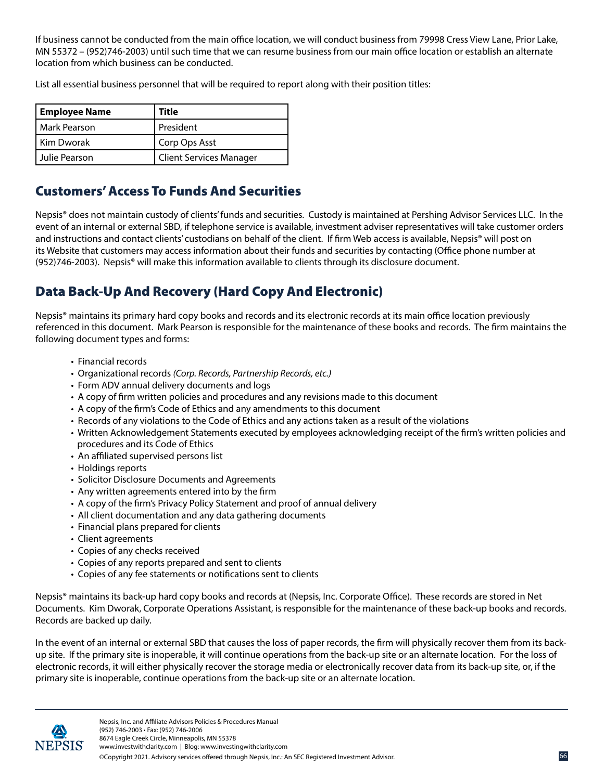If business cannot be conducted from the main office location, we will conduct business from 79998 Cress View Lane, Prior Lake, MN 55372 – (952)746-2003) until such time that we can resume business from our main office location or establish an alternate location from which business can be conducted.

List all essential business personnel that will be required to report along with their position titles:

| <b>Employee Name</b> | Title                          |
|----------------------|--------------------------------|
| l Mark Pearson       | President                      |
| l Kim Dworak         | Corp Ops Asst                  |
| l Julie Pearson      | <b>Client Services Manager</b> |

## Customers' Access To Funds And Securities

Nepsis® does not maintain custody of clients' funds and securities. Custody is maintained at Pershing Advisor Services LLC. In the event of an internal or external SBD, if telephone service is available, investment adviser representatives will take customer orders and instructions and contact clients' custodians on behalf of the client. If firm Web access is available, Nepsis® will post on its Website that customers may access information about their funds and securities by contacting (Office phone number at (952)746-2003). Nepsis® will make this information available to clients through its disclosure document.

# Data Back-Up And Recovery (Hard Copy And Electronic)

Nepsis® maintains its primary hard copy books and records and its electronic records at its main office location previously referenced in this document. Mark Pearson is responsible for the maintenance of these books and records. The firm maintains the following document types and forms:

- Financial records
- Organizational records *(Corp. Records, Partnership Records, etc.)*
- Form ADV annual delivery documents and logs
- A copy of firm written policies and procedures and any revisions made to this document
- A copy of the firm's Code of Ethics and any amendments to this document
- Records of any violations to the Code of Ethics and any actions taken as a result of the violations
- Written Acknowledgement Statements executed by employees acknowledging receipt of the firm's written policies and procedures and its Code of Ethics
- An affiliated supervised persons list
- Holdings reports
- Solicitor Disclosure Documents and Agreements
- Any written agreements entered into by the firm
- A copy of the firm's Privacy Policy Statement and proof of annual delivery
- All client documentation and any data gathering documents
- Financial plans prepared for clients
- Client agreements
- Copies of any checks received
- Copies of any reports prepared and sent to clients
- Copies of any fee statements or notifications sent to clients

Nepsis® maintains its back-up hard copy books and records at (Nepsis, Inc. Corporate Office). These records are stored in Net Documents. Kim Dworak, Corporate Operations Assistant, is responsible for the maintenance of these back-up books and records. Records are backed up daily.

In the event of an internal or external SBD that causes the loss of paper records, the firm will physically recover them from its backup site. If the primary site is inoperable, it will continue operations from the back-up site or an alternate location. For the loss of electronic records, it will either physically recover the storage media or electronically recover data from its back-up site, or, if the primary site is inoperable, continue operations from the back-up site or an alternate location.

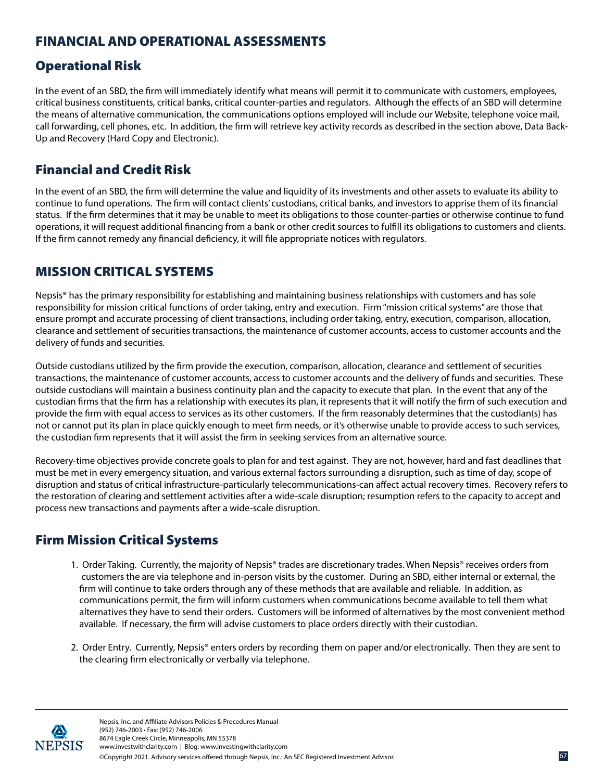## FINANCIAL AND OPERATIONAL ASSESSMENTS

## Operational Risk

In the event of an SBD, the firm will immediately identify what means will permit it to communicate with customers, employees, critical business constituents, critical banks, critical counter-parties and regulators. Although the effects of an SBD will determine the means of alternative communication, the communications options employed will include our Website, telephone voice mail, call forwarding, cell phones, etc. In addition, the firm will retrieve key activity records as described in the section above, Data Back-Up and Recovery (Hard Copy and Electronic).

## Financial and Credit Risk

In the event of an SBD, the firm will determine the value and liquidity of its investments and other assets to evaluate its ability to continue to fund operations. The firm will contact clients' custodians, critical banks, and investors to apprise them of its financial status. If the firm determines that it may be unable to meet its obligations to those counter-parties or otherwise continue to fund operations, it will request additional financing from a bank or other credit sources to fulfill its obligations to customers and clients. If the firm cannot remedy any financial deficiency, it will file appropriate notices with regulators.

# MISSION CRITICAL SYSTEMS

Nepsis® has the primary responsibility for establishing and maintaining business relationships with customers and has sole responsibility for mission critical functions of order taking, entry and execution. Firm "mission critical systems" are those that ensure prompt and accurate processing of client transactions, including order taking, entry, execution, comparison, allocation, clearance and settlement of securities transactions, the maintenance of customer accounts, access to customer accounts and the delivery of funds and securities.

Outside custodians utilized by the firm provide the execution, comparison, allocation, clearance and settlement of securities transactions, the maintenance of customer accounts, access to customer accounts and the delivery of funds and securities. These outside custodians will maintain a business continuity plan and the capacity to execute that plan. In the event that any of the custodian firms that the firm has a relationship with executes its plan, it represents that it will notify the firm of such execution and provide the firm with equal access to services as its other customers. If the firm reasonably determines that the custodian(s) has not or cannot put its plan in place quickly enough to meet firm needs, or it's otherwise unable to provide access to such services, the custodian firm represents that it will assist the firm in seeking services from an alternative source.

Recovery-time objectives provide concrete goals to plan for and test against. They are not, however, hard and fast deadlines that must be met in every emergency situation, and various external factors surrounding a disruption, such as time of day, scope of disruption and status of critical infrastructure-particularly telecommunications-can affect actual recovery times. Recovery refers to the restoration of clearing and settlement activities after a wide-scale disruption; resumption refers to the capacity to accept and process new transactions and payments after a wide-scale disruption.

## Firm Mission Critical Systems

- 1. Order Taking. Currently, the majority of Nepsis® trades are discretionary trades. When Nepsis® receives orders from customers the are via telephone and in-person visits by the customer. During an SBD, either internal or external, the firm will continue to take orders through any of these methods that are available and reliable. In addition, as communications permit, the firm will inform customers when communications become available to tell them what alternatives they have to send their orders. Customers will be informed of alternatives by the most convenient method available. If necessary, the firm will advise customers to place orders directly with their custodian.
- 2. Order Entry. Currently, Nepsis® enters orders by recording them on paper and/or electronically. Then they are sent to the clearing firm electronically or verbally via telephone.

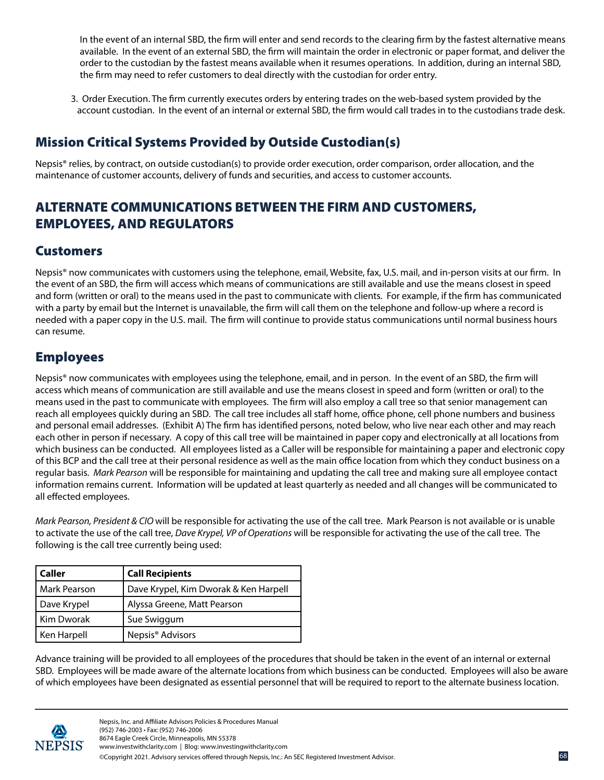In the event of an internal SBD, the firm will enter and send records to the clearing firm by the fastest alternative means available. In the event of an external SBD, the firm will maintain the order in electronic or paper format, and deliver the order to the custodian by the fastest means available when it resumes operations. In addition, during an internal SBD, the firm may need to refer customers to deal directly with the custodian for order entry.

3. Order Execution. The firm currently executes orders by entering trades on the web-based system provided by the account custodian. In the event of an internal or external SBD, the firm would call trades in to the custodians trade desk.

# Mission Critical Systems Provided by Outside Custodian(s)

Nepsis® relies, by contract, on outside custodian(s) to provide order execution, order comparison, order allocation, and the maintenance of customer accounts, delivery of funds and securities, and access to customer accounts.

#### ALTERNATE COMMUNICATIONS BETWEEN THE FIRM AND CUSTOMERS, EMPLOYEES, AND REGULATORS

#### **Customers**

Nepsis® now communicates with customers using the telephone, email, Website, fax, U.S. mail, and in-person visits at our firm. In the event of an SBD, the firm will access which means of communications are still available and use the means closest in speed and form (written or oral) to the means used in the past to communicate with clients. For example, if the firm has communicated with a party by email but the Internet is unavailable, the firm will call them on the telephone and follow-up where a record is needed with a paper copy in the U.S. mail. The firm will continue to provide status communications until normal business hours can resume.

## Employees

Nepsis® now communicates with employees using the telephone, email, and in person. In the event of an SBD, the firm will access which means of communication are still available and use the means closest in speed and form (written or oral) to the means used in the past to communicate with employees. The firm will also employ a call tree so that senior management can reach all employees quickly during an SBD. The call tree includes all staff home, office phone, cell phone numbers and business and personal email addresses. (Exhibit A) The firm has identified persons, noted below, who live near each other and may reach each other in person if necessary. A copy of this call tree will be maintained in paper copy and electronically at all locations from which business can be conducted. All employees listed as a Caller will be responsible for maintaining a paper and electronic copy of this BCP and the call tree at their personal residence as well as the main office location from which they conduct business on a regular basis. *Mark Pearson* will be responsible for maintaining and updating the call tree and making sure all employee contact information remains current. Information will be updated at least quarterly as needed and all changes will be communicated to all effected employees.

*Mark Pearson, President & CIO* will be responsible for activating the use of the call tree. Mark Pearson is not available or is unable to activate the use of the call tree, *Dave Krypel, VP of Operations* will be responsible for activating the use of the call tree. The following is the call tree currently being used:

| <b>Caller</b> | <b>Call Recipients</b>                |
|---------------|---------------------------------------|
| Mark Pearson  | Dave Krypel, Kim Dworak & Ken Harpell |
| Dave Krypel   | Alyssa Greene, Matt Pearson           |
| Kim Dworak    | Sue Swiggum                           |
| Ken Harpell   | Nepsis <sup>®</sup> Advisors          |

Advance training will be provided to all employees of the procedures that should be taken in the event of an internal or external SBD. Employees will be made aware of the alternate locations from which business can be conducted. Employees will also be aware of which employees have been designated as essential personnel that will be required to report to the alternate business location.

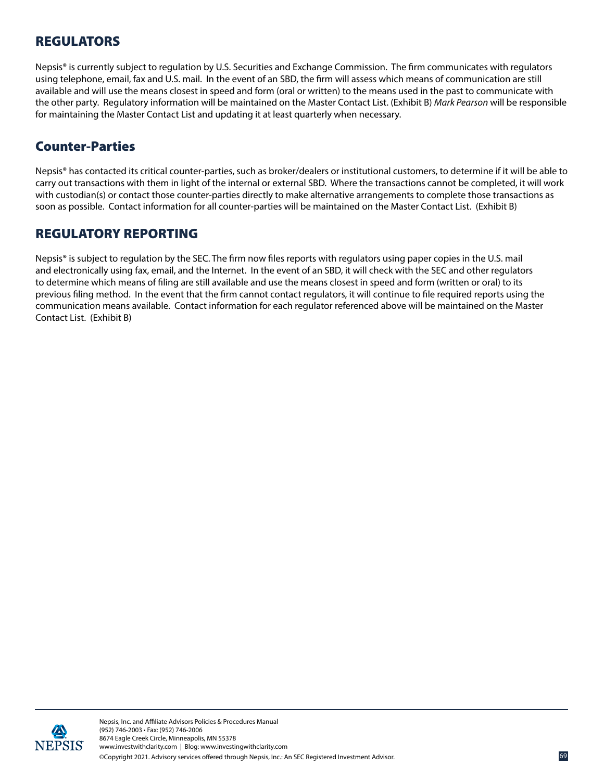#### REGULATORS

Nepsis® is currently subject to regulation by U.S. Securities and Exchange Commission. The firm communicates with regulators using telephone, email, fax and U.S. mail. In the event of an SBD, the firm will assess which means of communication are still available and will use the means closest in speed and form (oral or written) to the means used in the past to communicate with the other party. Regulatory information will be maintained on the Master Contact List. (Exhibit B) *Mark Pearson* will be responsible for maintaining the Master Contact List and updating it at least quarterly when necessary.

#### Counter-Parties

Nepsis® has contacted its critical counter-parties, such as broker/dealers or institutional customers, to determine if it will be able to carry out transactions with them in light of the internal or external SBD. Where the transactions cannot be completed, it will work with custodian(s) or contact those counter-parties directly to make alternative arrangements to complete those transactions as soon as possible. Contact information for all counter-parties will be maintained on the Master Contact List. (Exhibit B)

#### REGULATORY REPORTING

Nepsis® is subject to regulation by the SEC. The firm now files reports with regulators using paper copies in the U.S. mail and electronically using fax, email, and the Internet. In the event of an SBD, it will check with the SEC and other regulators to determine which means of filing are still available and use the means closest in speed and form (written or oral) to its previous filing method. In the event that the firm cannot contact regulators, it will continue to file required reports using the communication means available. Contact information for each regulator referenced above will be maintained on the Master Contact List. (Exhibit B)

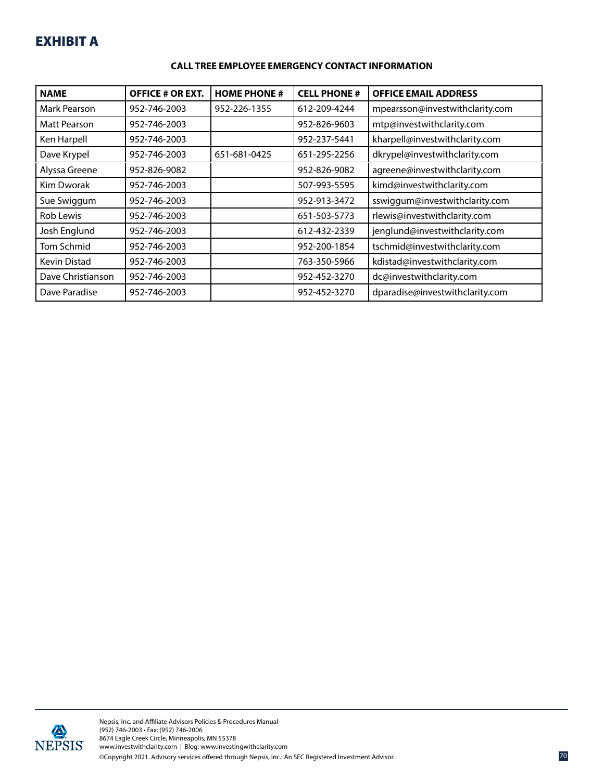## EXHIBIT A

| <b>CALL TREE EMPLOYEE EMERGENCY CONTACT INFORMATION</b> |
|---------------------------------------------------------|
|---------------------------------------------------------|

| <b>NAME</b>       | <b>OFFICE # OR EXT.</b> | <b>HOME PHONE #</b> | <b>CELL PHONE#</b> | <b>OFFICE EMAIL ADDRESS</b>     |  |
|-------------------|-------------------------|---------------------|--------------------|---------------------------------|--|
| Mark Pearson      | 952-746-2003            | 952-226-1355        | 612-209-4244       | mpearsson@investwithclarity.com |  |
| Matt Pearson      | 952-746-2003            |                     | 952-826-9603       | mtp@investwithclarity.com       |  |
| Ken Harpell       | 952-746-2003            |                     | 952-237-5441       | kharpell@investwithclarity.com  |  |
| Dave Krypel       | 952-746-2003            | 651-681-0425        | 651-295-2256       | dkrypel@investwithclarity.com   |  |
| Alyssa Greene     | 952-826-9082            |                     | 952-826-9082       | agreene@investwithclarity.com   |  |
| Kim Dworak        | 952-746-2003            |                     | 507-993-5595       | kimd@investwithclarity.com      |  |
| Sue Swiggum       | 952-746-2003            |                     | 952-913-3472       | sswiggum@investwithclarity.com  |  |
| Rob Lewis         | 952-746-2003            |                     | 651-503-5773       | rlewis@investwithclarity.com    |  |
| Josh Englund      | 952-746-2003            |                     | 612-432-2339       | jenglund@investwithclarity.com  |  |
| Tom Schmid        | 952-746-2003            |                     | 952-200-1854       | tschmid@investwithclarity.com   |  |
| Kevin Distad      | 952-746-2003            |                     | 763-350-5966       | kdistad@investwithclarity.com   |  |
| Dave Christianson | 952-746-2003            |                     | 952-452-3270       | dc@investwithclarity.com        |  |
| Dave Paradise     | 952-746-2003            |                     | 952-452-3270       | dparadise@investwithclarity.com |  |

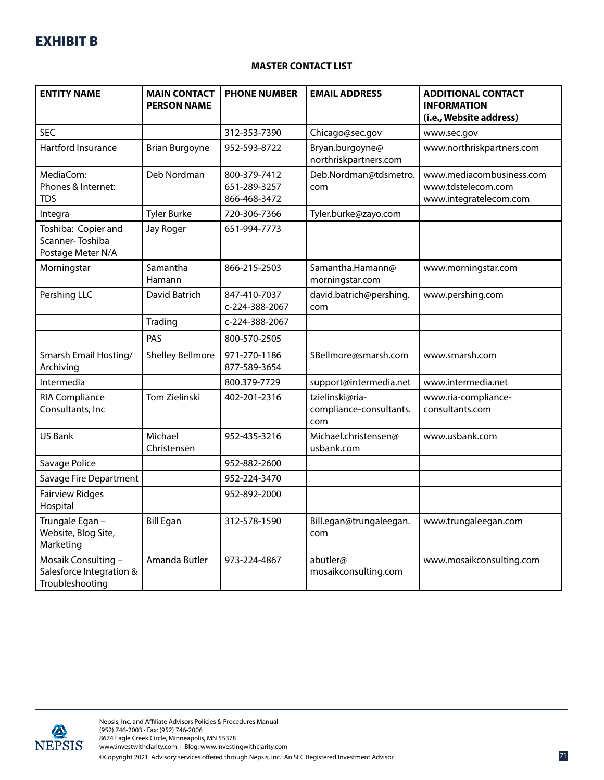#### **MASTER CONTACT LIST**

| <b>ENTITY NAME</b>                                                 | <b>MAIN CONTACT</b><br><b>PERSON NAME</b> | <b>PHONE NUMBER</b>                          | <b>EMAIL ADDRESS</b>                              | <b>ADDITIONAL CONTACT</b><br><b>INFORMATION</b><br>(i.e., Website address) |
|--------------------------------------------------------------------|-------------------------------------------|----------------------------------------------|---------------------------------------------------|----------------------------------------------------------------------------|
| <b>SEC</b>                                                         |                                           | 312-353-7390                                 | Chicago@sec.gov                                   | www.sec.gov                                                                |
| Hartford Insurance                                                 | <b>Brian Burgoyne</b>                     | 952-593-8722                                 | Bryan.burgoyne@<br>northriskpartners.com          | www.northriskpartners.com                                                  |
| MediaCom:<br>Phones & Internet:<br>TDS                             | Deb Nordman                               | 800-379-7412<br>651-289-3257<br>866-468-3472 | Deb.Nordman@tdsmetro.<br>com                      | www.mediacombusiness.com<br>www.tdstelecom.com<br>www.integratelecom.com   |
| Integra                                                            | <b>Tyler Burke</b>                        | 720-306-7366                                 | Tyler.burke@zayo.com                              |                                                                            |
| Toshiba: Copier and<br>Scanner-Toshiba<br>Postage Meter N/A        | Jay Roger                                 | 651-994-7773                                 |                                                   |                                                                            |
| Morningstar                                                        | Samantha<br>Hamann                        | 866-215-2503                                 | Samantha.Hamann@<br>morningstar.com               | www.morningstar.com                                                        |
| Pershing LLC                                                       | David Batrich                             | 847-410-7037<br>c-224-388-2067               | david.batrich@pershing.<br>com                    | www.pershing.com                                                           |
|                                                                    | Trading                                   | c-224-388-2067                               |                                                   |                                                                            |
|                                                                    | PAS                                       | 800-570-2505                                 |                                                   |                                                                            |
| Smarsh Email Hosting/<br>Archiving                                 | <b>Shelley Bellmore</b>                   | 971-270-1186<br>877-589-3654                 | SBellmore@smarsh.com                              | www.smarsh.com                                                             |
| Intermedia                                                         |                                           | 800.379-7729                                 | support@intermedia.net                            | www.intermedia.net                                                         |
| RIA Compliance<br>Consultants, Inc                                 | <b>Tom Zielinski</b>                      | 402-201-2316                                 | tzielinski@ria-<br>compliance-consultants.<br>com | www.ria-compliance-<br>consultants.com                                     |
| <b>US Bank</b>                                                     | Michael<br>Christensen                    | 952-435-3216                                 | Michael.christensen@<br>usbank.com                | www.usbank.com                                                             |
| Savage Police                                                      |                                           | 952-882-2600                                 |                                                   |                                                                            |
| Savage Fire Department                                             |                                           | 952-224-3470                                 |                                                   |                                                                            |
| <b>Fairview Ridges</b><br>Hospital                                 |                                           | 952-892-2000                                 |                                                   |                                                                            |
| Trungale Egan-<br>Website, Blog Site,<br>Marketing                 | <b>Bill Egan</b>                          | 312-578-1590                                 | Bill.egan@trungaleegan.<br>com                    | www.trungaleegan.com                                                       |
| Mosaik Consulting -<br>Salesforce Integration &<br>Troubleshooting | Amanda Butler                             | 973-224-4867                                 | abutler@<br>mosaikconsulting.com                  | www.mosaikconsulting.com                                                   |

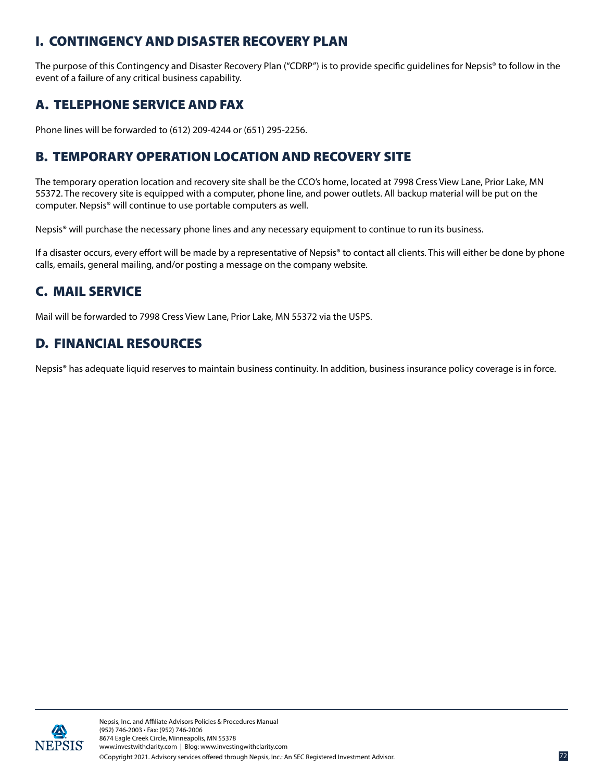#### I. CONTINGENCY AND DISASTER RECOVERY PLAN

The purpose of this Contingency and Disaster Recovery Plan ("CDRP") is to provide specific guidelines for Nepsis® to follow in the event of a failure of any critical business capability.

## A. TELEPHONE SERVICE AND FAX

Phone lines will be forwarded to (612) 209-4244 or (651) 295-2256.

#### B. TEMPORARY OPERATION LOCATION AND RECOVERY SITE

The temporary operation location and recovery site shall be the CCO's home, located at 7998 Cress View Lane, Prior Lake, MN 55372. The recovery site is equipped with a computer, phone line, and power outlets. All backup material will be put on the computer. Nepsis® will continue to use portable computers as well.

Nepsis<sup>®</sup> will purchase the necessary phone lines and any necessary equipment to continue to run its business.

If a disaster occurs, every effort will be made by a representative of Nepsis® to contact all clients. This will either be done by phone calls, emails, general mailing, and/or posting a message on the company website.

# C. MAIL SERVICE

Mail will be forwarded to 7998 Cress View Lane, Prior Lake, MN 55372 via the USPS.

#### D. FINANCIAL RESOURCES

Nepsis® has adequate liquid reserves to maintain business continuity. In addition, business insurance policy coverage is in force.

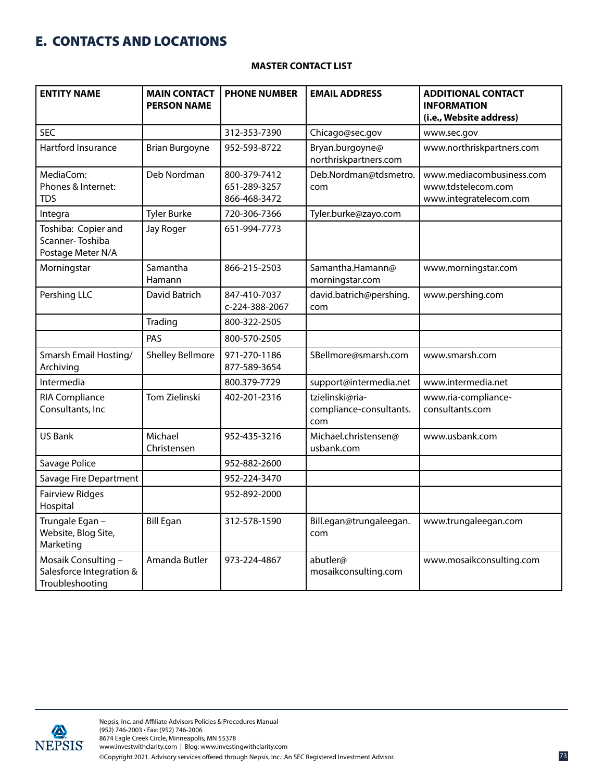### E. CONTACTS AND LOCATIONS

#### **MASTER CONTACT LIST**

| <b>ENTITY NAME</b>                                                 | <b>MAIN CONTACT</b><br><b>PERSON NAME</b> | <b>PHONE NUMBER</b>                          | <b>EMAIL ADDRESS</b>                              | <b>ADDITIONAL CONTACT</b><br><b>INFORMATION</b><br>(i.e., Website address) |
|--------------------------------------------------------------------|-------------------------------------------|----------------------------------------------|---------------------------------------------------|----------------------------------------------------------------------------|
| <b>SEC</b>                                                         |                                           | 312-353-7390                                 | Chicago@sec.gov                                   | www.sec.gov                                                                |
| Hartford Insurance                                                 | <b>Brian Burgoyne</b>                     | 952-593-8722                                 | Bryan.burgoyne@<br>northriskpartners.com          | www.northriskpartners.com                                                  |
| MediaCom:<br>Phones & Internet:<br><b>TDS</b>                      | Deb Nordman                               | 800-379-7412<br>651-289-3257<br>866-468-3472 | Deb.Nordman@tdsmetro.<br>com                      | www.mediacombusiness.com<br>www.tdstelecom.com<br>www.integratelecom.com   |
| Integra                                                            | <b>Tyler Burke</b>                        | 720-306-7366                                 | Tyler.burke@zayo.com                              |                                                                            |
| Toshiba: Copier and<br>Scanner-Toshiba<br>Postage Meter N/A        | Jay Roger                                 | 651-994-7773                                 |                                                   |                                                                            |
| Morningstar                                                        | Samantha<br>Hamann                        | 866-215-2503                                 | Samantha.Hamann@<br>morningstar.com               | www.morningstar.com                                                        |
| Pershing LLC                                                       | David Batrich                             | 847-410-7037<br>c-224-388-2067               | david.batrich@pershing.<br>com                    | www.pershing.com                                                           |
|                                                                    | Trading                                   | 800-322-2505                                 |                                                   |                                                                            |
|                                                                    | PAS                                       | 800-570-2505                                 |                                                   |                                                                            |
| Smarsh Email Hosting/<br>Archiving                                 | <b>Shelley Bellmore</b>                   | 971-270-1186<br>877-589-3654                 | SBellmore@smarsh.com                              | www.smarsh.com                                                             |
| Intermedia                                                         |                                           | 800.379-7729                                 | support@intermedia.net                            | www.intermedia.net                                                         |
| <b>RIA Compliance</b><br>Consultants, Inc                          | <b>Tom Zielinski</b>                      | 402-201-2316                                 | tzielinski@ria-<br>compliance-consultants.<br>com | www.ria-compliance-<br>consultants.com                                     |
| <b>US Bank</b>                                                     | Michael<br>Christensen                    | 952-435-3216                                 | Michael.christensen@<br>usbank.com                | www.usbank.com                                                             |
| Savage Police                                                      |                                           | 952-882-2600                                 |                                                   |                                                                            |
| Savage Fire Department                                             |                                           | 952-224-3470                                 |                                                   |                                                                            |
| <b>Fairview Ridges</b><br>Hospital                                 |                                           | 952-892-2000                                 |                                                   |                                                                            |
| Trungale Egan -<br>Website, Blog Site,<br>Marketing                | <b>Bill Egan</b>                          | 312-578-1590                                 | Bill.egan@trungaleegan.<br>com                    | www.trungaleegan.com                                                       |
| Mosaik Consulting -<br>Salesforce Integration &<br>Troubleshooting | Amanda Butler                             | 973-224-4867                                 | abutler@<br>mosaikconsulting.com                  | www.mosaikconsulting.com                                                   |

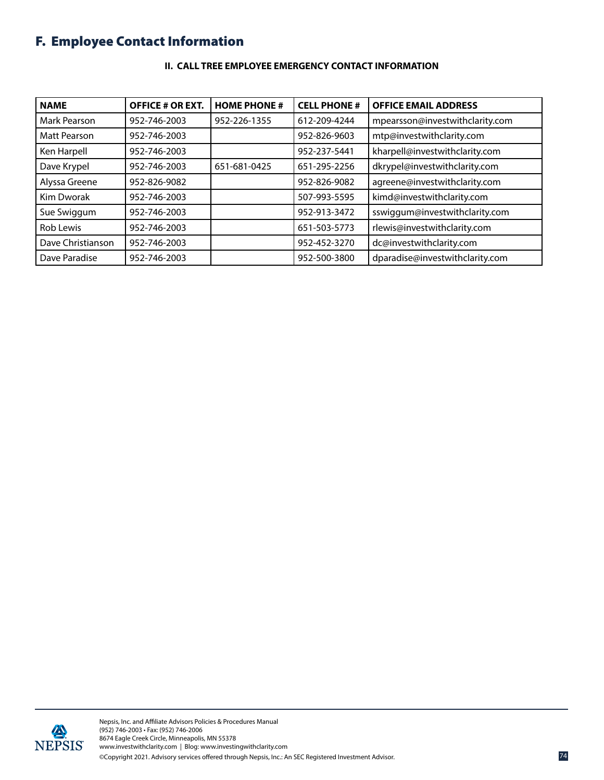# F. Employee Contact Information

| <b>NAME</b>       | <b>OFFICE # OR EXT.</b> | <b>HOME PHONE #</b> | <b>CELL PHONE #</b> | <b>OFFICE EMAIL ADDRESS</b>     |
|-------------------|-------------------------|---------------------|---------------------|---------------------------------|
| Mark Pearson      | 952-746-2003            | 952-226-1355        | 612-209-4244        | mpearsson@investwithclarity.com |
| Matt Pearson      | 952-746-2003            |                     | 952-826-9603        | mtp@investwithclarity.com       |
| Ken Harpell       | 952-746-2003            |                     | 952-237-5441        | kharpell@investwithclarity.com  |
| Dave Krypel       | 952-746-2003            | 651-681-0425        | 651-295-2256        | dkrypel@investwithclarity.com   |
| Alyssa Greene     | 952-826-9082            |                     | 952-826-9082        | agreene@investwithclarity.com   |
| Kim Dworak        | 952-746-2003            |                     | 507-993-5595        | kimd@investwithclarity.com      |
| Sue Swiggum       | 952-746-2003            |                     | 952-913-3472        | sswiggum@investwithclarity.com  |
| Rob Lewis         | 952-746-2003            |                     | 651-503-5773        | rlewis@investwithclarity.com    |
| Dave Christianson | 952-746-2003            |                     | 952-452-3270        | dc@investwithclarity.com        |
| Dave Paradise     | 952-746-2003            |                     | 952-500-3800        | dparadise@investwithclarity.com |

#### **II. CALL TREE EMPLOYEE EMERGENCY CONTACT INFORMATION**

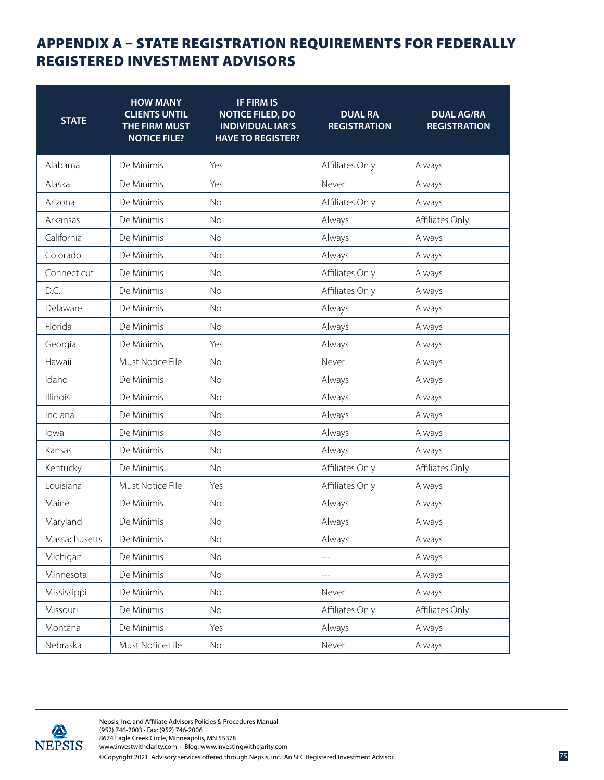## APPENDIX A – STATE REGISTRATION REQUIREMENTS FOR FEDERALLY REGISTERED INVESTMENT ADVISORS

| <b>STATE</b>  | <b>HOW MANY</b><br><b>CLIENTS UNTIL</b><br>THE FIRM MUST<br><b>NOTICE FILE?</b> | <b>IF FIRM IS</b><br><b>NOTICE FILED, DO</b><br><b>INDIVIDUAL IAR'S</b><br><b>HAVE TO REGISTER?</b> | <b>DUAL RA</b><br><b>REGISTRATION</b> | <b>DUAL AG/RA</b><br><b>REGISTRATION</b> |
|---------------|---------------------------------------------------------------------------------|-----------------------------------------------------------------------------------------------------|---------------------------------------|------------------------------------------|
| Alabama       | De Minimis                                                                      | Yes                                                                                                 | Affiliates Only                       | Always                                   |
| Alaska        | De Minimis                                                                      | Yes                                                                                                 | Never                                 | Always                                   |
| Arizona       | De Minimis                                                                      | <b>No</b>                                                                                           | Affiliates Only                       | Always                                   |
| Arkansas      | De Minimis                                                                      | <b>No</b>                                                                                           | Always                                | Affiliates Only                          |
| California    | De Minimis                                                                      | <b>No</b>                                                                                           | Always                                | Always                                   |
| Colorado      | De Minimis                                                                      | No                                                                                                  | Always                                | Always                                   |
| Connecticut   | De Minimis                                                                      | <b>No</b>                                                                                           | Affiliates Only                       | Always                                   |
| D.C.          | De Minimis                                                                      | No                                                                                                  | Affiliates Only                       | Always                                   |
| Delaware      | De Minimis                                                                      | <b>No</b>                                                                                           | Always                                | Always                                   |
| Florida       | De Minimis                                                                      | <b>No</b>                                                                                           | Always                                | Always                                   |
| Georgia       | De Minimis                                                                      | Yes                                                                                                 | Always                                | Always                                   |
| Hawaii        | Must Notice File                                                                | <b>No</b>                                                                                           | Never                                 | Always                                   |
| Idaho         | De Minimis                                                                      | <b>No</b>                                                                                           | Always                                | Always                                   |
| Illinois      | De Minimis                                                                      | No                                                                                                  | Always                                | Always                                   |
| Indiana       | De Minimis                                                                      | <b>No</b>                                                                                           | Always                                | Always                                   |
| lowa          | De Minimis                                                                      | No                                                                                                  | Always                                | Always                                   |
| Kansas        | De Minimis                                                                      | <b>No</b>                                                                                           | Always                                | Always                                   |
| Kentucky      | De Minimis                                                                      | No                                                                                                  | Affiliates Only                       | Affiliates Only                          |
| Louisiana     | Must Notice File                                                                | Yes                                                                                                 | Affiliates Only                       | Always                                   |
| Maine         | De Minimis                                                                      | No                                                                                                  | Always                                | Always                                   |
| Maryland      | De Minimis                                                                      | No                                                                                                  | Always                                | Always                                   |
| Massachusetts | De Minimis                                                                      | No                                                                                                  | Always                                | Always                                   |
| Michigan      | De Minimis                                                                      | No                                                                                                  | $\overline{a}$                        | Always                                   |
| Minnesota     | De Minimis                                                                      | No                                                                                                  |                                       | Always                                   |
| Mississippi   | De Minimis                                                                      | No                                                                                                  | Never                                 | Always                                   |
| Missouri      | De Minimis                                                                      | No                                                                                                  | Affiliates Only                       | Affiliates Only                          |
| Montana       | De Minimis                                                                      | Yes                                                                                                 | Always                                | Always                                   |
| Nebraska      | Must Notice File                                                                | No                                                                                                  | Never                                 | Always                                   |

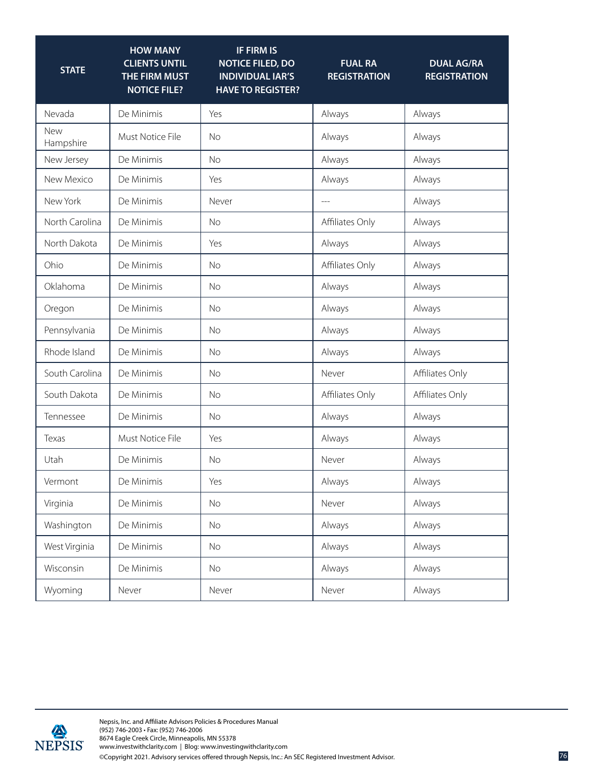| <b>STATE</b>     | <b>HOW MANY</b><br><b>CLIENTS UNTIL</b><br>THE FIRM MUST<br><b>NOTICE FILE?</b> | <b>IF FIRM IS</b><br><b>NOTICE FILED, DO</b><br><b>INDIVIDUAL IAR'S</b><br><b>HAVE TO REGISTER?</b> | <b>FUAL RA</b><br><b>REGISTRATION</b> | <b>DUAL AG/RA</b><br><b>REGISTRATION</b> |
|------------------|---------------------------------------------------------------------------------|-----------------------------------------------------------------------------------------------------|---------------------------------------|------------------------------------------|
| Nevada           | De Minimis                                                                      | Yes                                                                                                 | Always                                | Always                                   |
| New<br>Hampshire | Must Notice File                                                                | No                                                                                                  | Always                                | Always                                   |
| New Jersey       | De Minimis                                                                      | No                                                                                                  | Always                                | Always                                   |
| New Mexico       | De Minimis                                                                      | Yes                                                                                                 | Always                                | Always                                   |
| New York         | De Minimis                                                                      | Never                                                                                               | $---$                                 | Always                                   |
| North Carolina   | De Minimis                                                                      | No                                                                                                  | Affiliates Only                       | Always                                   |
| North Dakota     | De Minimis                                                                      | Yes                                                                                                 | Always                                | Always                                   |
| Ohio             | De Minimis                                                                      | No                                                                                                  | Affiliates Only                       | Always                                   |
| Oklahoma         | De Minimis                                                                      | No                                                                                                  | Always                                | Always                                   |
| Oregon           | De Minimis                                                                      | No                                                                                                  | Always                                | Always                                   |
| Pennsylvania     | De Minimis                                                                      | No                                                                                                  | Always                                | Always                                   |
| Rhode Island     | De Minimis                                                                      | No                                                                                                  | Always                                | Always                                   |
| South Carolina   | De Minimis                                                                      | No                                                                                                  | Never                                 | Affiliates Only                          |
| South Dakota     | De Minimis                                                                      | No                                                                                                  | Affiliates Only                       | Affiliates Only                          |
| Tennessee        | De Minimis                                                                      | No                                                                                                  | Always                                | Always                                   |
| Texas            | Must Notice File                                                                | Yes                                                                                                 | Always                                | Always                                   |
| Utah             | De Minimis                                                                      | No                                                                                                  | Never                                 | Always                                   |
| Vermont          | De Minimis                                                                      | Yes                                                                                                 | Always                                | Always                                   |
| Virginia         | De Minimis                                                                      | No                                                                                                  | Never                                 | Always                                   |
| Washington       | De Minimis                                                                      | No                                                                                                  | Always                                | Always                                   |
| West Virginia    | De Minimis                                                                      | No                                                                                                  | Always                                | Always                                   |
| Wisconsin        | De Minimis                                                                      | No                                                                                                  | Always                                | Always                                   |
| Wyoming          | Never                                                                           | Never                                                                                               | Never                                 | Always                                   |